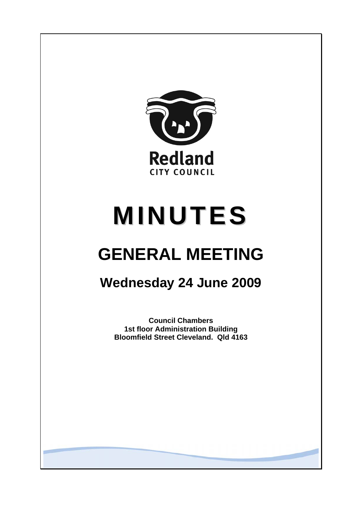

# **MINUTES**

# **GENERAL MEETING**

# **Wednesday 24 June 2009**

**Council Chambers 1st floor Administration Building Bloomfield Street Cleveland. Qld 4163**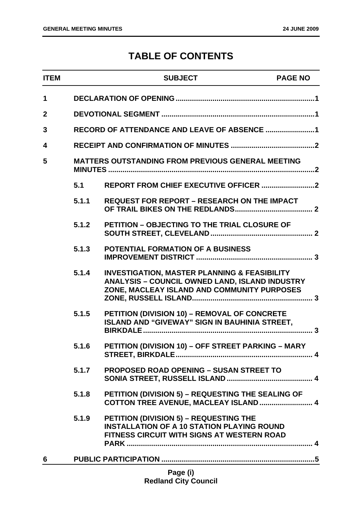# **TABLE OF CONTENTS**

| <b>ITEM</b>  |                                                          | <b>SUBJECT</b>                                                                                                                                                  | <b>PAGE NO</b> |
|--------------|----------------------------------------------------------|-----------------------------------------------------------------------------------------------------------------------------------------------------------------|----------------|
| 1            |                                                          |                                                                                                                                                                 |                |
| $\mathbf{2}$ |                                                          |                                                                                                                                                                 |                |
| 3            |                                                          |                                                                                                                                                                 |                |
| 4            |                                                          |                                                                                                                                                                 |                |
| 5            | <b>MATTERS OUTSTANDING FROM PREVIOUS GENERAL MEETING</b> |                                                                                                                                                                 |                |
|              | 5.1                                                      |                                                                                                                                                                 |                |
|              | 5.1.1                                                    | <b>REQUEST FOR REPORT - RESEARCH ON THE IMPACT</b>                                                                                                              |                |
|              | 5.1.2                                                    | <b>PETITION - OBJECTING TO THE TRIAL CLOSURE OF</b>                                                                                                             |                |
|              | 5.1.3                                                    | POTENTIAL FORMATION OF A BUSINESS                                                                                                                               |                |
|              | 5.1.4                                                    | <b>INVESTIGATION, MASTER PLANNING &amp; FEASIBILITY</b><br><b>ANALYSIS - COUNCIL OWNED LAND, ISLAND INDUSTRY</b><br>ZONE, MACLEAY ISLAND AND COMMUNITY PURPOSES |                |
|              | 5.1.5                                                    | PETITION (DIVISION 10) - REMOVAL OF CONCRETE<br><b>ISLAND AND "GIVEWAY" SIGN IN BAUHINIA STREET,</b>                                                            |                |
|              | 5.1.6                                                    | <b>PETITION (DIVISION 10) – OFF STREET PARKING – MARY</b>                                                                                                       |                |
|              | 5.1.7                                                    | <b>PROPOSED ROAD OPENING - SUSAN STREET TO</b>                                                                                                                  |                |
|              | 5.1.8                                                    | PETITION (DIVISION 5) - REQUESTING THE SEALING OF<br>COTTON TREE AVENUE, MACLEAY ISLAND  4                                                                      |                |
|              | 5.1.9                                                    | <b>PETITION (DIVISION 5) - REQUESTING THE</b><br><b>INSTALLATION OF A 10 STATION PLAYING ROUND</b><br>FITNESS CIRCUIT WITH SIGNS AT WESTERN ROAD                |                |
| 6            |                                                          |                                                                                                                                                                 |                |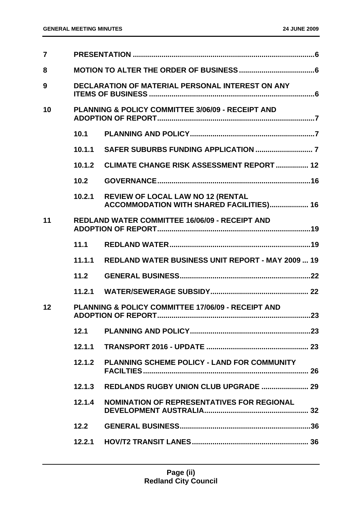| $\overline{7}$ |                                                         |                                                                               |
|----------------|---------------------------------------------------------|-------------------------------------------------------------------------------|
| 8              |                                                         |                                                                               |
| 9              | <b>DECLARATION OF MATERIAL PERSONAL INTEREST ON ANY</b> |                                                                               |
| 10             |                                                         | <b>PLANNING &amp; POLICY COMMITTEE 3/06/09 - RECEIPT AND</b>                  |
|                |                                                         |                                                                               |
|                | 10.1.1                                                  |                                                                               |
|                | 10.1.2                                                  | <b>CLIMATE CHANGE RISK ASSESSMENT REPORT  12</b>                              |
|                | 10.2                                                    |                                                                               |
|                | 10.2.1                                                  | REVIEW OF LOCAL LAW NO 12 (RENTAL<br>ACCOMMODATION WITH SHARED FACILITIES) 16 |
| 11             |                                                         | <b>REDLAND WATER COMMITTEE 16/06/09 - RECEIPT AND</b>                         |
|                | 11.1                                                    |                                                                               |
|                | 11.1.1                                                  | <b>REDLAND WATER BUSINESS UNIT REPORT - MAY 2009  19</b>                      |
|                | 11.2                                                    |                                                                               |
|                |                                                         |                                                                               |
| 12             |                                                         | <b>PLANNING &amp; POLICY COMMITTEE 17/06/09 - RECEIPT AND</b>                 |
|                | 12.1                                                    |                                                                               |
|                | 12.1.1                                                  |                                                                               |
|                | 12.1.2                                                  | <b>PLANNING SCHEME POLICY - LAND FOR COMMUNITY</b>                            |
|                | 12.1.3                                                  |                                                                               |
|                | 12.1.4                                                  | <b>NOMINATION OF REPRESENTATIVES FOR REGIONAL</b>                             |
|                | 12.2                                                    |                                                                               |
|                | 12.2.1                                                  |                                                                               |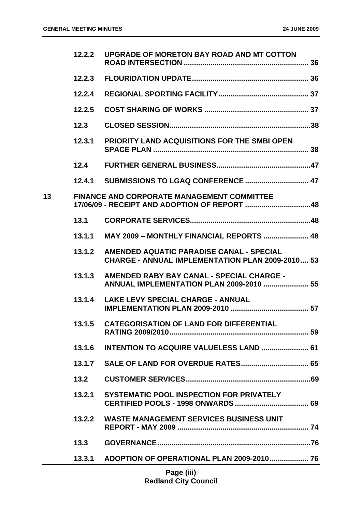|    | 12.2.2 | UPGRADE OF MORETON BAY ROAD AND MT COTTON                                                           |
|----|--------|-----------------------------------------------------------------------------------------------------|
|    | 12.2.3 |                                                                                                     |
|    | 12.2.4 |                                                                                                     |
|    | 12.2.5 |                                                                                                     |
|    | 12.3   |                                                                                                     |
|    | 12.3.1 | <b>PRIORITY LAND ACQUISITIONS FOR THE SMBI OPEN</b>                                                 |
|    | 12.4   |                                                                                                     |
|    | 12.4.1 |                                                                                                     |
| 13 |        | <b>FINANCE AND CORPORATE MANAGEMENT COMMITTEE</b><br>17/06/09 - RECEIPT AND ADOPTION OF REPORT 48   |
|    | 13.1   |                                                                                                     |
|    | 13.1.1 | MAY 2009 - MONTHLY FINANCIAL REPORTS  48                                                            |
|    | 13.1.2 | AMENDED AQUATIC PARADISE CANAL - SPECIAL<br><b>CHARGE - ANNUAL IMPLEMENTATION PLAN 2009-2010 53</b> |
|    | 13.1.3 | AMENDED RABY BAY CANAL - SPECIAL CHARGE -<br><b>ANNUAL IMPLEMENTATION PLAN 2009-2010  55</b>        |
|    | 13.1.4 | <b>LAKE LEVY SPECIAL CHARGE - ANNUAL</b>                                                            |
|    | 13.1.5 | <b>CATEGORISATION OF LAND FOR DIFFERENTIAL</b>                                                      |
|    | 13.1.6 | <b>INTENTION TO ACQUIRE VALUELESS LAND  61</b>                                                      |
|    |        |                                                                                                     |
|    | 13.2   |                                                                                                     |
|    | 13.2.1 | <b>SYSTEMATIC POOL INSPECTION FOR PRIVATELY</b>                                                     |
|    | 13.2.2 | <b>WASTE MANAGEMENT SERVICES BUSINESS UNIT</b>                                                      |
|    | 13.3   |                                                                                                     |
|    | 13.3.1 |                                                                                                     |
|    |        |                                                                                                     |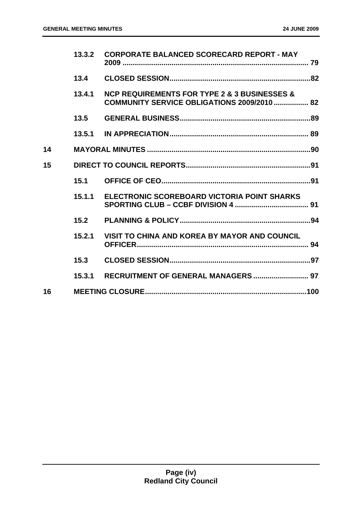|    | 13.3.2 | <b>CORPORATE BALANCED SCORECARD REPORT - MAY</b>                                                                  |  |
|----|--------|-------------------------------------------------------------------------------------------------------------------|--|
|    | 13.4   |                                                                                                                   |  |
|    | 13.4.1 | <b>NCP REQUIREMENTS FOR TYPE 2 &amp; 3 BUSINESSES &amp;</b><br><b>COMMUNITY SERVICE OBLIGATIONS 2009/2010  82</b> |  |
|    | 13.5   |                                                                                                                   |  |
|    | 13.5.1 |                                                                                                                   |  |
| 14 |        |                                                                                                                   |  |
| 15 |        |                                                                                                                   |  |
|    | 15.1   |                                                                                                                   |  |
|    | 15.1.1 | ELECTRONIC SCOREBOARD VICTORIA POINT SHARKS                                                                       |  |
|    | 15.2   |                                                                                                                   |  |
|    | 15.2.1 | VISIT TO CHINA AND KOREA BY MAYOR AND COUNCIL                                                                     |  |
|    | 15.3   |                                                                                                                   |  |
|    | 15.3.1 |                                                                                                                   |  |
| 16 |        |                                                                                                                   |  |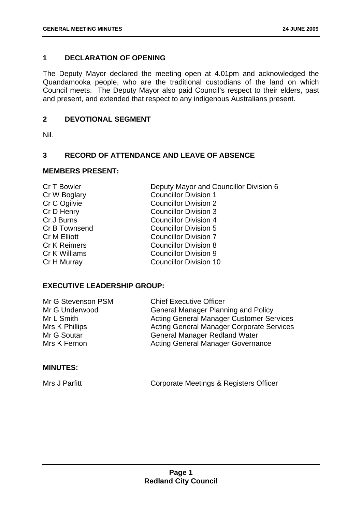# <span id="page-5-0"></span>**1 DECLARATION OF OPENING**

The Deputy Mayor declared the meeting open at 4.01pm and acknowledged the Quandamooka people, who are the traditional custodians of the land on which Council meets. The Deputy Mayor also paid Council's respect to their elders, past and present, and extended that respect to any indigenous Australians present.

# **2 DEVOTIONAL SEGMENT**

Nil.

# **3 RECORD OF ATTENDANCE AND LEAVE OF ABSENCE**

# **MEMBERS PRESENT:**

| Cr T Bowler         | Deputy Mayor and Councillor Division 6 |
|---------------------|----------------------------------------|
| Cr W Boglary        | <b>Councillor Division 1</b>           |
| Cr C Ogilvie        | <b>Councillor Division 2</b>           |
| Cr D Henry          | <b>Councillor Division 3</b>           |
| Cr J Burns          | <b>Councillor Division 4</b>           |
| Cr B Townsend       | <b>Councillor Division 5</b>           |
| Cr M Elliott        | <b>Councillor Division 7</b>           |
| <b>Cr K Reimers</b> | <b>Councillor Division 8</b>           |
| Cr K Williams       | <b>Councillor Division 9</b>           |
| Cr H Murray         | <b>Councillor Division 10</b>          |
|                     |                                        |

# **EXECUTIVE LEADERSHIP GROUP:**

| <b>Chief Executive Officer</b>                   |
|--------------------------------------------------|
| <b>General Manager Planning and Policy</b>       |
| <b>Acting General Manager Customer Services</b>  |
| <b>Acting General Manager Corporate Services</b> |
| <b>General Manager Redland Water</b>             |
| <b>Acting General Manager Governance</b>         |
|                                                  |

# **MINUTES:**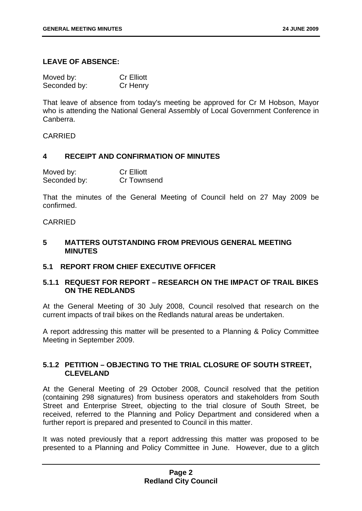#### <span id="page-6-0"></span>**LEAVE OF ABSENCE:**

| Moved by:    | <b>Cr Elliott</b> |
|--------------|-------------------|
| Seconded by: | Cr Henry          |

That leave of absence from today's meeting be approved for Cr M Hobson, Mayor who is attending the National General Assembly of Local Government Conference in Canberra.

#### CARRIED

# **4 RECEIPT AND CONFIRMATION OF MINUTES**

| Moved by:    | <b>Cr Elliott</b> |
|--------------|-------------------|
| Seconded by: | Cr Townsend       |

That the minutes of the General Meeting of Council held on 27 May 2009 be confirmed.

#### CARRIED

#### **5 MATTERS OUTSTANDING FROM PREVIOUS GENERAL MEETING MINUTES**

#### **5.1 REPORT FROM CHIEF EXECUTIVE OFFICER**

# **5.1.1 REQUEST FOR REPORT – RESEARCH ON THE IMPACT OF TRAIL BIKES ON THE REDLANDS**

At the General Meeting of 30 July 2008, Council resolved that research on the current impacts of trail bikes on the Redlands natural areas be undertaken.

A report addressing this matter will be presented to a Planning & Policy Committee Meeting in September 2009.

# **5.1.2 PETITION – OBJECTING TO THE TRIAL CLOSURE OF SOUTH STREET, CLEVELAND**

At the General Meeting of 29 October 2008, Council resolved that the petition (containing 298 signatures) from business operators and stakeholders from South Street and Enterprise Street, objecting to the trial closure of South Street, be received, referred to the Planning and Policy Department and considered when a further report is prepared and presented to Council in this matter.

It was noted previously that a report addressing this matter was proposed to be presented to a Planning and Policy Committee in June. However, due to a glitch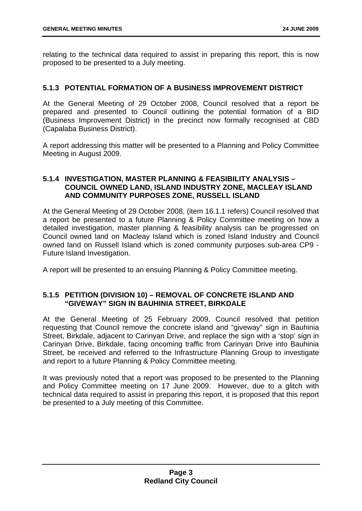<span id="page-7-0"></span>relating to the technical data required to assist in preparing this report, this is now proposed to be presented to a July meeting.

# **5.1.3 POTENTIAL FORMATION OF A BUSINESS IMPROVEMENT DISTRICT**

At the General Meeting of 29 October 2008, Council resolved that a report be prepared and presented to Council outlining the potential formation of a BID (Business Improvement District) in the precinct now formally recognised at CBD (Capalaba Business District).

A report addressing this matter will be presented to a Planning and Policy Committee Meeting in August 2009.

# **5.1.4 INVESTIGATION, MASTER PLANNING & FEASIBILITY ANALYSIS – COUNCIL OWNED LAND, ISLAND INDUSTRY ZONE, MACLEAY ISLAND AND COMMUNITY PURPOSES ZONE, RUSSELL ISLAND**

At the General Meeting of 29 October 2008, (item 16.1.1 refers) Council resolved that a report be presented to a future Planning & Policy Committee meeting on how a detailed investigation, master planning & feasibility analysis can be progressed on Council owned land on Macleay Island which is zoned Island Industry and Council owned land on Russell Island which is zoned community purposes sub-area CP9 - Future Island Investigation.

A report will be presented to an ensuing Planning & Policy Committee meeting.

# **5.1.5 PETITION (DIVISION 10) – REMOVAL OF CONCRETE ISLAND AND "GIVEWAY" SIGN IN BAUHINIA STREET, BIRKDALE**

At the General Meeting of 25 February 2009, Council resolved that petition requesting that Council remove the concrete island and "giveway" sign in Bauhinia Street, Birkdale, adjacent to Carinyan Drive, and replace the sign with a 'stop' sign in Carinyan Drive, Birkdale, facing oncoming traffic from Carinyan Drive into Bauhinia Street, be received and referred to the Infrastructure Planning Group to investigate and report to a future Planning & Policy Committee meeting.

It was previously noted that a report was proposed to be presented to the Planning and Policy Committee meeting on 17 June 2009. However, due to a glitch with technical data required to assist in preparing this report, it is proposed that this report be presented to a July meeting of this Committee.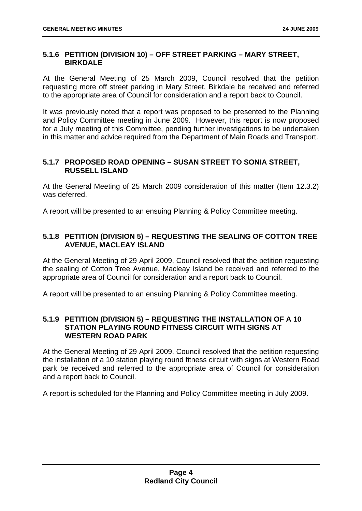# <span id="page-8-0"></span>**5.1.6 PETITION (DIVISION 10) – OFF STREET PARKING – MARY STREET, BIRKDALE**

At the General Meeting of 25 March 2009, Council resolved that the petition requesting more off street parking in Mary Street, Birkdale be received and referred to the appropriate area of Council for consideration and a report back to Council.

It was previously noted that a report was proposed to be presented to the Planning and Policy Committee meeting in June 2009. However, this report is now proposed for a July meeting of this Committee, pending further investigations to be undertaken in this matter and advice required from the Department of Main Roads and Transport.

# **5.1.7 PROPOSED ROAD OPENING – SUSAN STREET TO SONIA STREET, RUSSELL ISLAND**

At the General Meeting of 25 March 2009 consideration of this matter (Item 12.3.2) was deferred.

A report will be presented to an ensuing Planning & Policy Committee meeting.

# **5.1.8 PETITION (DIVISION 5) – REQUESTING THE SEALING OF COTTON TREE AVENUE, MACLEAY ISLAND**

At the General Meeting of 29 April 2009, Council resolved that the petition requesting the sealing of Cotton Tree Avenue, Macleay Island be received and referred to the appropriate area of Council for consideration and a report back to Council.

A report will be presented to an ensuing Planning & Policy Committee meeting.

# **5.1.9 PETITION (DIVISION 5) – REQUESTING THE INSTALLATION OF A 10 STATION PLAYING ROUND FITNESS CIRCUIT WITH SIGNS AT WESTERN ROAD PARK**

At the General Meeting of 29 April 2009, Council resolved that the petition requesting the installation of a 10 station playing round fitness circuit with signs at Western Road park be received and referred to the appropriate area of Council for consideration and a report back to Council.

A report is scheduled for the Planning and Policy Committee meeting in July 2009.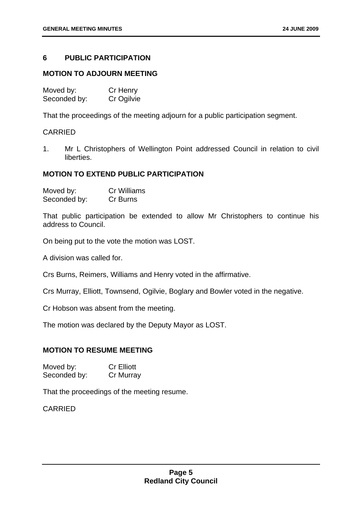# <span id="page-9-0"></span>**6 PUBLIC PARTICIPATION**

#### **MOTION TO ADJOURN MEETING**

| Moved by:    | Cr Henry   |
|--------------|------------|
| Seconded by: | Cr Ogilvie |

That the proceedings of the meeting adjourn for a public participation segment.

#### CARRIED

1. Mr L Christophers of Wellington Point addressed Council in relation to civil liberties.

#### **MOTION TO EXTEND PUBLIC PARTICIPATION**

Moved by: Cr Williams Seconded by: Cr Burns

That public participation be extended to allow Mr Christophers to continue his address to Council.

On being put to the vote the motion was LOST.

A division was called for.

Crs Burns, Reimers, Williams and Henry voted in the affirmative.

Crs Murray, Elliott, Townsend, Ogilvie, Boglary and Bowler voted in the negative.

Cr Hobson was absent from the meeting.

The motion was declared by the Deputy Mayor as LOST.

# **MOTION TO RESUME MEETING**

| Moved by:    | <b>Cr Elliott</b> |
|--------------|-------------------|
| Seconded by: | Cr Murray         |

That the proceedings of the meeting resume.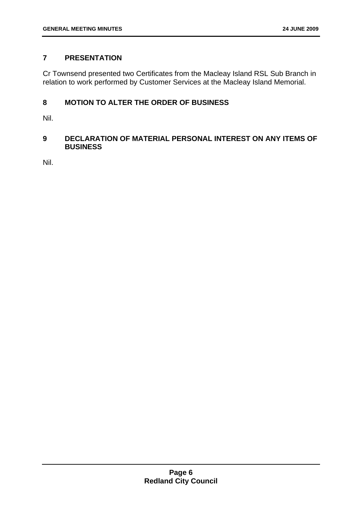# <span id="page-10-0"></span>**7 PRESENTATION**

Cr Townsend presented two Certificates from the Macleay Island RSL Sub Branch in relation to work performed by Customer Services at the Macleay Island Memorial.

# **8 MOTION TO ALTER THE ORDER OF BUSINESS**

Nil.

# **9 DECLARATION OF MATERIAL PERSONAL INTEREST ON ANY ITEMS OF BUSINESS**

Nil.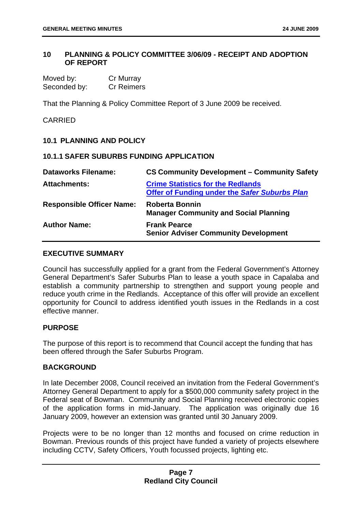# <span id="page-11-0"></span>**10 PLANNING & POLICY COMMITTEE 3/06/09 - RECEIPT AND ADOPTION OF REPORT**

Moved by: Cr Murray Seconded by: Cr Reimers

That the Planning & Policy Committee Report of 3 June 2009 be received.

# **CARRIED**

# **10.1 PLANNING AND POLICY**

# **10.1.1 SAFER SUBURBS FUNDING APPLICATION**

| <b>Dataworks Filename:</b>       | <b>CS Community Development - Community Safety</b>                                               |
|----------------------------------|--------------------------------------------------------------------------------------------------|
| <b>Attachments:</b>              | <b>Crime Statistics for the Redlands</b><br><b>Offer of Funding under the Safer Suburbs Plan</b> |
| <b>Responsible Officer Name:</b> | <b>Roberta Bonnin</b><br><b>Manager Community and Social Planning</b>                            |
| <b>Author Name:</b>              | <b>Frank Pearce</b><br><b>Senior Adviser Community Development</b>                               |

### **EXECUTIVE SUMMARY**

Council has successfully applied for a grant from the Federal Government's Attorney General Department's Safer Suburbs Plan to lease a youth space in Capalaba and establish a community partnership to strengthen and support young people and reduce youth crime in the Redlands. Acceptance of this offer will provide an excellent opportunity for Council to address identified youth issues in the Redlands in a cost effective manner.

#### **PURPOSE**

The purpose of this report is to recommend that Council accept the funding that has been offered through the Safer Suburbs Program.

#### **BACKGROUND**

In late December 2008, Council received an invitation from the Federal Government's Attorney General Department to apply for a \$500,000 community safety project in the Federal seat of Bowman. Community and Social Planning received electronic copies of the application forms in mid-January. The application was originally due 16 January 2009, however an extension was granted until 30 January 2009.

Projects were to be no longer than 12 months and focused on crime reduction in Bowman. Previous rounds of this project have funded a variety of projects elsewhere including CCTV, Safety Officers, Youth focussed projects, lighting etc.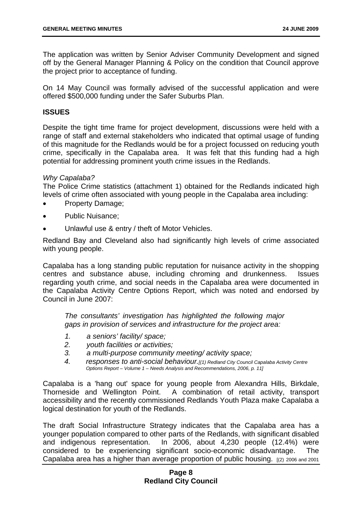The application was written by Senior Adviser Community Development and signed off by the General Manager Planning & Policy on the condition that Council approve the project prior to acceptance of funding.

On 14 May Council was formally advised of the successful application and were offered \$500,000 funding under the Safer Suburbs Plan.

#### **ISSUES**

Despite the tight time frame for project development, discussions were held with a range of staff and external stakeholders who indicated that optimal usage of funding of this magnitude for the Redlands would be for a project focussed on reducing youth crime, specifically in the Capalaba area. It was felt that this funding had a high potential for addressing prominent youth crime issues in the Redlands.

#### *Why Capalaba?*

The Police Crime statistics (attachment 1) obtained for the Redlands indicated high levels of crime often associated with young people in the Capalaba area including:

- Property Damage;
- Public Nuisance;
- Unlawful use & entry / theft of Motor Vehicles.

Redland Bay and Cleveland also had significantly high levels of crime associated with young people.

Capalaba has a long standing public reputation for nuisance activity in the shopping centres and substance abuse, including chroming and drunkenness. Issues regarding youth crime, and social needs in the Capalaba area were documented in the Capalaba Activity Centre Options Report, which was noted and endorsed by Council in June 2007:

*The consultants' investigation has highlighted the following major gaps in provision of services and infrastructure for the project area:* 

- *1. a seniors' facility/ space;*
- *2. youth facilities or activities;*
- *3. a multi-purpose community meeting/ activity space;*
- *4. responses to anti-social behaviour.[(1) Redland City Council Capalaba Activity Centre Options Report – Volume 1 – Needs Analysis and Recommendations, 2006, p. 11]*

Capalaba is a 'hang out' space for young people from Alexandra Hills, Birkdale, Thorneside and Wellington Point. A combination of retail activity, transport accessibility and the recently commissioned Redlands Youth Plaza make Capalaba a logical destination for youth of the Redlands.

The draft Social Infrastructure Strategy indicates that the Capalaba area has a younger population compared to other parts of the Redlands, with significant disabled and indigenous representation. In 2006, about 4,230 people (12.4%) were considered to be experiencing significant socio-economic disadvantage. The Capalaba area has a higher than average proportion of public housing. [(2) 2006 and 2001

# **Page 8 Redland City Council**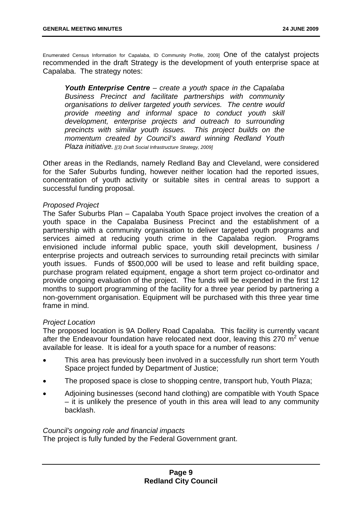Enumerated Census Information for Capalaba, ID Community Profile, 2009] One of the catalyst projects recommended in the draft Strategy is the development of youth enterprise space at Capalaba. The strategy notes:

*Youth Enterprise Centre – create a youth space in the Capalaba Business Precinct and facilitate partnerships with community organisations to deliver targeted youth services. The centre would provide meeting and informal space to conduct youth skill development, enterprise projects and outreach to surrounding precincts with similar youth issues. This project builds on the momentum created by Council's award winning Redland Youth Plaza initiative. [(3) Draft Social Infrastructure Strategy, 2009]* 

Other areas in the Redlands, namely Redland Bay and Cleveland, were considered for the Safer Suburbs funding, however neither location had the reported issues, concentration of youth activity or suitable sites in central areas to support a successful funding proposal.

#### *Proposed Project*

The Safer Suburbs Plan – Capalaba Youth Space project involves the creation of a youth space in the Capalaba Business Precinct and the establishment of a partnership with a community organisation to deliver targeted youth programs and services aimed at reducing youth crime in the Capalaba region. Programs envisioned include informal public space, youth skill development, business / enterprise projects and outreach services to surrounding retail precincts with similar youth issues. Funds of \$500,000 will be used to lease and refit building space, purchase program related equipment, engage a short term project co-ordinator and provide ongoing evaluation of the project. The funds will be expended in the first 12 months to support programming of the facility for a three year period by partnering a non-government organisation. Equipment will be purchased with this three year time frame in mind.

#### *Project Location*

The proposed location is 9A Dollery Road Capalaba. This facility is currently vacant after the Endeavour foundation have relocated next door, leaving this 270  $m^2$  venue available for lease. It is ideal for a youth space for a number of reasons:

- This area has previously been involved in a successfully run short term Youth Space project funded by Department of Justice;
- The proposed space is close to shopping centre, transport hub, Youth Plaza;
- Adjoining businesses (second hand clothing) are compatible with Youth Space – it is unlikely the presence of youth in this area will lead to any community backlash.

#### *Council's ongoing role and financial impacts*

The project is fully funded by the Federal Government grant.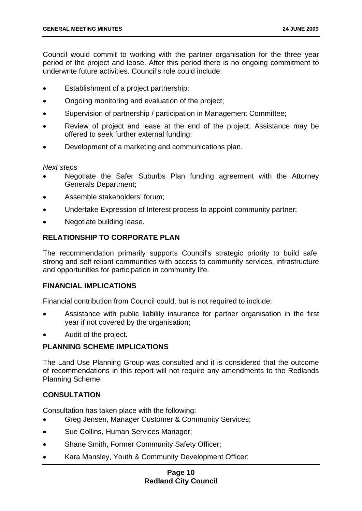Council would commit to working with the partner organisation for the three year period of the project and lease. After this period there is no ongoing commitment to underwrite future activities. Council's role could include:

- Establishment of a project partnership;
- Ongoing monitoring and evaluation of the project;
- Supervision of partnership / participation in Management Committee;
- Review of project and lease at the end of the project. Assistance may be offered to seek further external funding;
- Development of a marketing and communications plan.

#### *Next steps*

- Negotiate the Safer Suburbs Plan funding agreement with the Attorney Generals Department;
- Assemble stakeholders' forum;
- Undertake Expression of Interest process to appoint community partner;
- Negotiate building lease.

# **RELATIONSHIP TO CORPORATE PLAN**

The recommendation primarily supports Council's strategic priority to build safe, strong and self reliant communities with access to community services, infrastructure and opportunities for participation in community life.

#### **FINANCIAL IMPLICATIONS**

Financial contribution from Council could, but is not required to include:

- Assistance with public liability insurance for partner organisation in the first year if not covered by the organisation;
- Audit of the project.

#### **PLANNING SCHEME IMPLICATIONS**

The Land Use Planning Group was consulted and it is considered that the outcome of recommendations in this report will not require any amendments to the Redlands Planning Scheme.

#### **CONSULTATION**

Consultation has taken place with the following:

- Greg Jensen, Manager Customer & Community Services;
- Sue Collins, Human Services Manager;
- Shane Smith, Former Community Safety Officer;
- Kara Mansley, Youth & Community Development Officer:

# **Page 10 Redland City Council**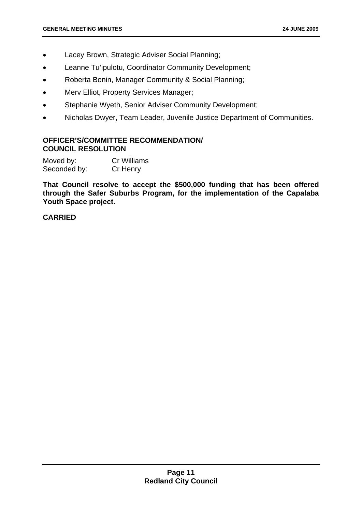- Lacey Brown, Strategic Adviser Social Planning;
- Leanne Tu'ipulotu, Coordinator Community Development;
- Roberta Bonin, Manager Community & Social Planning;
- Merv Elliot, Property Services Manager;
- Stephanie Wyeth, Senior Adviser Community Development;
- Nicholas Dwyer, Team Leader, Juvenile Justice Department of Communities.

#### **OFFICER'S/COMMITTEE RECOMMENDATION/ COUNCIL RESOLUTION**

| Moved by:    | <b>Cr Williams</b> |
|--------------|--------------------|
| Seconded by: | Cr Henry           |

**That Council resolve to accept the \$500,000 funding that has been offered through the Safer Suburbs Program, for the implementation of the Capalaba Youth Space project.**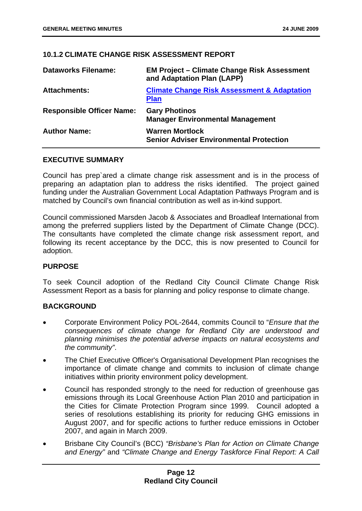# <span id="page-16-0"></span>**10.1.2 CLIMATE CHANGE RISK ASSESSMENT REPORT**

| <b>Dataworks Filename:</b>       | <b>EM Project - Climate Change Risk Assessment</b><br>and Adaptation Plan (LAPP) |
|----------------------------------|----------------------------------------------------------------------------------|
| <b>Attachments:</b>              | <b>Climate Change Risk Assessment &amp; Adaptation</b><br><b>Plan</b>            |
| <b>Responsible Officer Name:</b> | <b>Gary Photinos</b><br><b>Manager Environmental Management</b>                  |
| <b>Author Name:</b>              | <b>Warren Mortlock</b><br><b>Senior Adviser Environmental Protection</b>         |

# **EXECUTIVE SUMMARY**

Council has prep`ared a climate change risk assessment and is in the process of preparing an adaptation plan to address the risks identified. The project gained funding under the Australian Government Local Adaptation Pathways Program and is matched by Council's own financial contribution as well as in-kind support.

Council commissioned Marsden Jacob & Associates and Broadleaf International from among the preferred suppliers listed by the Department of Climate Change (DCC). The consultants have completed the climate change risk assessment report, and following its recent acceptance by the DCC, this is now presented to Council for adoption.

#### **PURPOSE**

To seek Council adoption of the Redland City Council Climate Change Risk Assessment Report as a basis for planning and policy response to climate change.

# **BACKGROUND**

- Corporate Environment Policy POL-2644, commits Council to "*Ensure that the consequences of climate change for Redland City are understood and planning minimises the potential adverse impacts on natural ecosystems and the community"*.
- The Chief Executive Officer's Organisational Development Plan recognises the importance of climate change and commits to inclusion of climate change initiatives within priority environment policy development.
- Council has responded strongly to the need for reduction of greenhouse gas emissions through its Local Greenhouse Action Plan 2010 and participation in the Cities for Climate Protection Program since 1999. Council adopted a series of resolutions establishing its priority for reducing GHG emissions in August 2007, and for specific actions to further reduce emissions in October 2007, and again in March 2009.
- Brisbane City Council's (BCC) *"Brisbane's Plan for Action on Climate Change and Energy"* and *"Climate Change and Energy Taskforce Final Report: A Call*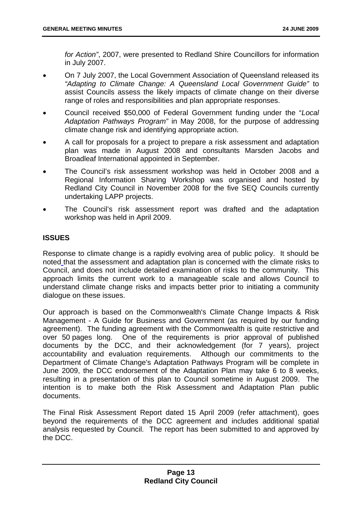*for Action"*, 2007, were presented to Redland Shire Councillors for information in July 2007.

- On 7 July 2007, the Local Government Association of Queensland released its *"Adapting to Climate Change: A Queensland Local Government Guide"* to assist Councils assess the likely impacts of climate change on their diverse range of roles and responsibilities and plan appropriate responses.
- Council received \$50,000 of Federal Government funding under the "*Local Adaptation Pathways Program"* in May 2008, for the purpose of addressing climate change risk and identifying appropriate action.
- A call for proposals for a project to prepare a risk assessment and adaptation plan was made in August 2008 and consultants Marsden Jacobs and Broadleaf International appointed in September.
- The Council's risk assessment workshop was held in October 2008 and a Regional Information Sharing Workshop was organised and hosted by Redland City Council in November 2008 for the five SEQ Councils currently undertaking LAPP projects.
- The Council's risk assessment report was drafted and the adaptation workshop was held in April 2009.

# **ISSUES**

Response to climate change is a rapidly evolving area of public policy. It should be noted that the assessment and adaptation plan is concerned with the climate risks to Council, and does not include detailed examination of risks to the community. This approach limits the current work to a manageable scale and allows Council to understand climate change risks and impacts better prior to initiating a community dialogue on these issues.

Our approach is based on the Commonwealth's Climate Change Impacts & Risk Management - A Guide for Business and Government (as required by our funding agreement). The funding agreement with the Commonwealth is quite restrictive and over 50 pages long. One of the requirements is prior approval of published documents by the DCC, and their acknowledgement (for 7 years), project accountability and evaluation requirements. Although our commitments to the Department of Climate Change's Adaptation Pathways Program will be complete in June 2009, the DCC endorsement of the Adaptation Plan may take 6 to 8 weeks, resulting in a presentation of this plan to Council sometime in August 2009. The intention is to make both the Risk Assessment and Adaptation Plan public documents.

The Final Risk Assessment Report dated 15 April 2009 (refer attachment), goes beyond the requirements of the DCC agreement and includes additional spatial analysis requested by Council. The report has been submitted to and approved by the DCC.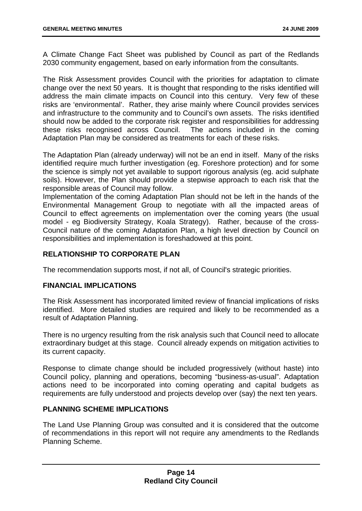A Climate Change Fact Sheet was published by Council as part of the Redlands 2030 community engagement, based on early information from the consultants.

The Risk Assessment provides Council with the priorities for adaptation to climate change over the next 50 years. It is thought that responding to the risks identified will address the main climate impacts on Council into this century. Very few of these risks are 'environmental'. Rather, they arise mainly where Council provides services and infrastructure to the community and to Council's own assets. The risks identified should now be added to the corporate risk register and responsibilities for addressing these risks recognised across Council. The actions included in the coming Adaptation Plan may be considered as treatments for each of these risks.

The Adaptation Plan (already underway) will not be an end in itself. Many of the risks identified require much further investigation (eg. Foreshore protection) and for some the science is simply not yet available to support rigorous analysis (eg. acid sulphate soils). However, the Plan should provide a stepwise approach to each risk that the responsible areas of Council may follow.

Implementation of the coming Adaptation Plan should not be left in the hands of the Environmental Management Group to negotiate with all the impacted areas of Council to effect agreements on implementation over the coming years (the usual model - eg Biodiversity Strategy, Koala Strategy). Rather, because of the cross-Council nature of the coming Adaptation Plan, a high level direction by Council on responsibilities and implementation is foreshadowed at this point.

# **RELATIONSHIP TO CORPORATE PLAN**

The recommendation supports most, if not all, of Council's strategic priorities.

#### **FINANCIAL IMPLICATIONS**

The Risk Assessment has incorporated limited review of financial implications of risks identified. More detailed studies are required and likely to be recommended as a result of Adaptation Planning.

There is no urgency resulting from the risk analysis such that Council need to allocate extraordinary budget at this stage. Council already expends on mitigation activities to its current capacity.

Response to climate change should be included progressively (without haste) into Council policy, planning and operations, becoming "business-as-usual". Adaptation actions need to be incorporated into coming operating and capital budgets as requirements are fully understood and projects develop over (say) the next ten years.

#### **PLANNING SCHEME IMPLICATIONS**

The Land Use Planning Group was consulted and it is considered that the outcome of recommendations in this report will not require any amendments to the Redlands Planning Scheme.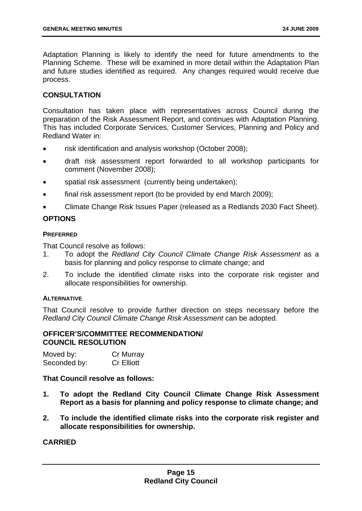Adaptation Planning is likely to identify the need for future amendments to the Planning Scheme. These will be examined in more detail within the Adaptation Plan and future studies identified as required. Any changes required would receive due process.

# **CONSULTATION**

Consultation has taken place with representatives across Council during the preparation of the Risk Assessment Report, and continues with Adaptation Planning. This has included Corporate Services, Customer Services, Planning and Policy and Redland Water in:

- risk identification and analysis workshop (October 2008);
- draft risk assessment report forwarded to all workshop participants for comment (November 2008);
- spatial risk assessment (currently being undertaken);
- final risk assessment report (to be provided by end March 2009);
- Climate Change Risk Issues Paper (released as a Redlands 2030 Fact Sheet).

# **OPTIONS**

#### **PREFERRED**

That Council resolve as follows:

- 1. To adopt the *Redland City Council Climate Change Risk Assessment* as a basis for planning and policy response to climate change; and
- 2. To include the identified climate risks into the corporate risk register and allocate responsibilities for ownership.

#### **ALTERNATIVE**

That Council resolve to provide further direction on steps necessary before the *Redland City Council Climate Change Risk Assessment* can be adopted.

#### **OFFICER'S/COMMITTEE RECOMMENDATION/ COUNCIL RESOLUTION**

| Moved by:    | Cr Murray         |
|--------------|-------------------|
| Seconded by: | <b>Cr Elliott</b> |

**That Council resolve as follows:** 

- **1. To adopt the Redland City Council Climate Change Risk Assessment Report as a basis for planning and policy response to climate change; and**
- **2. To include the identified climate risks into the corporate risk register and allocate responsibilities for ownership.**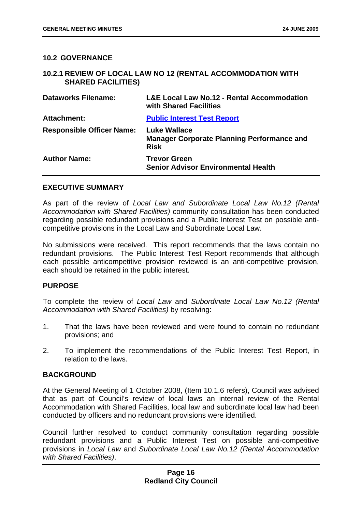#### <span id="page-20-0"></span>**10.2 GOVERNANCE**

#### **10.2.1 REVIEW OF LOCAL LAW NO 12 (RENTAL ACCOMMODATION WITH SHARED FACILITIES)**

| <b>Dataworks Filename:</b>       | <b>L&amp;E Local Law No.12 - Rental Accommodation</b><br>with Shared Facilities         |
|----------------------------------|-----------------------------------------------------------------------------------------|
| <b>Attachment:</b>               | <b>Public Interest Test Report</b>                                                      |
| <b>Responsible Officer Name:</b> | <b>Luke Wallace</b><br><b>Manager Corporate Planning Performance and</b><br><b>Risk</b> |
| <b>Author Name:</b>              | <b>Trevor Green</b><br><b>Senior Advisor Environmental Health</b>                       |

#### **EXECUTIVE SUMMARY**

As part of the review of *Local Law and Subordinate Local Law No.12 (Rental Accommodation with Shared Facilities)* community consultation has been conducted regarding possible redundant provisions and a Public Interest Test on possible anticompetitive provisions in the Local Law and Subordinate Local Law.

No submissions were received. This report recommends that the laws contain no redundant provisions. The Public Interest Test Report recommends that although each possible anticompetitive provision reviewed is an anti-competitive provision, each should be retained in the public interest.

#### **PURPOSE**

To complete the review of *Local Law* and *Subordinate Local Law No.12 (Rental Accommodation with Shared Facilities)* by resolving:

- 1. That the laws have been reviewed and were found to contain no redundant provisions; and
- 2. To implement the recommendations of the Public Interest Test Report, in relation to the laws.

# **BACKGROUND**

At the General Meeting of 1 October 2008, (Item 10.1.6 refers), Council was advised that as part of Council's review of local laws an internal review of the Rental Accommodation with Shared Facilities, local law and subordinate local law had been conducted by officers and no redundant provisions were identified.

Council further resolved to conduct community consultation regarding possible redundant provisions and a Public Interest Test on possible anti-competitive provisions in *Local Law* and *Subordinate Local Law No.12 (Rental Accommodation with Shared Facilities)*.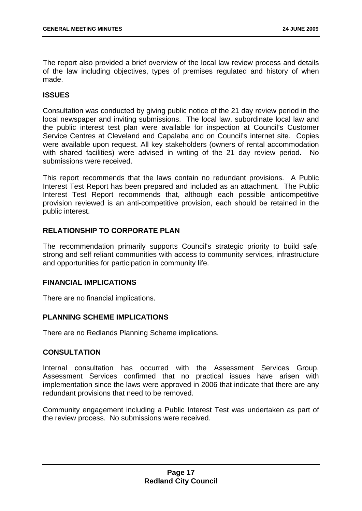The report also provided a brief overview of the local law review process and details of the law including objectives, types of premises regulated and history of when made.

# **ISSUES**

Consultation was conducted by giving public notice of the 21 day review period in the local newspaper and inviting submissions. The local law, subordinate local law and the public interest test plan were available for inspection at Council's Customer Service Centres at Cleveland and Capalaba and on Council's internet site. Copies were available upon request. All key stakeholders (owners of rental accommodation with shared facilities) were advised in writing of the 21 day review period. No submissions were received.

This report recommends that the laws contain no redundant provisions. A Public Interest Test Report has been prepared and included as an attachment. The Public Interest Test Report recommends that, although each possible anticompetitive provision reviewed is an anti-competitive provision, each should be retained in the public interest.

# **RELATIONSHIP TO CORPORATE PLAN**

The recommendation primarily supports Council's strategic priority to build safe, strong and self reliant communities with access to community services, infrastructure and opportunities for participation in community life.

# **FINANCIAL IMPLICATIONS**

There are no financial implications.

# **PLANNING SCHEME IMPLICATIONS**

There are no Redlands Planning Scheme implications.

# **CONSULTATION**

Internal consultation has occurred with the Assessment Services Group. Assessment Services confirmed that no practical issues have arisen with implementation since the laws were approved in 2006 that indicate that there are any redundant provisions that need to be removed.

Community engagement including a Public Interest Test was undertaken as part of the review process. No submissions were received.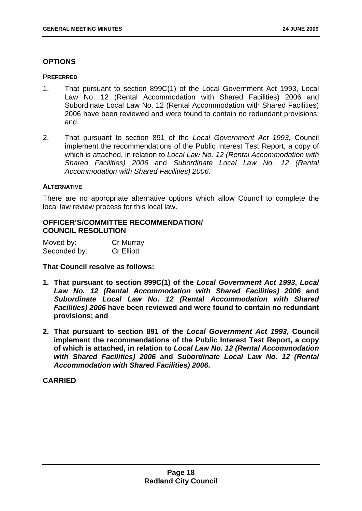# **OPTIONS**

#### **PREFERRED**

- 1. That pursuant to section 899C(1) of the Local Government Act 1993, Local Law No. 12 (Rental Accommodation with Shared Facilities) 2006 and Subordinate Local Law No. 12 (Rental Accommodation with Shared Facilities) 2006 have been reviewed and were found to contain no redundant provisions; and
- 2. That pursuant to section 891 of the *Local Government Act 1993*, Council implement the recommendations of the Public Interest Test Report, a copy of which is attached, in relation to *Local Law No. 12 (Rental Accommodation with Shared Facilities) 2006* and *Subordinate Local Law No. 12 (Rental Accommodation with Shared Facilities) 2006*.

#### **ALTERNATIVE**

There are no appropriate alternative options which allow Council to complete the local law review process for this local law.

# **OFFICER'S/COMMITTEE RECOMMENDATION/ COUNCIL RESOLUTION**

| Moved by:    | Cr Murray         |
|--------------|-------------------|
| Seconded by: | <b>Cr Elliott</b> |

**That Council resolve as follows:** 

- **1. That pursuant to section 899C(1) of the** *Local Government Act 1993***,** *Local Law No. 12 (Rental Accommodation with Shared Facilities) 2006* **and**  *Subordinate Local Law No. 12 (Rental Accommodation with Shared Facilities) 2006* **have been reviewed and were found to contain no redundant provisions; and**
- **2. That pursuant to section 891 of the** *Local Government Act 1993***, Council implement the recommendations of the Public Interest Test Report, a copy of which is attached, in relation to** *Local Law No. 12 (Rental Accommodation with Shared Facilities) 2006* **and** *Subordinate Local Law No. 12 (Rental Accommodation with Shared Facilities) 2006***.**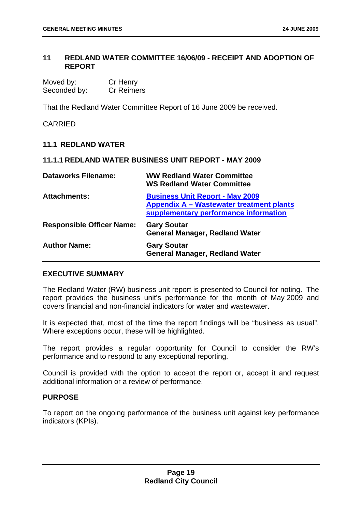# <span id="page-23-0"></span>**11 REDLAND WATER COMMITTEE 16/06/09 - RECEIPT AND ADOPTION OF REPORT**

| Moved by:    | Cr Henry          |
|--------------|-------------------|
| Seconded by: | <b>Cr Reimers</b> |

That the Redland Water Committee Report of 16 June 2009 be received.

**CARRIED** 

# **11.1 REDLAND WATER**

#### **11.1.1 REDLAND WATER BUSINESS UNIT REPORT - MAY 2009**

| <b>Dataworks Filename:</b>       | <b>WW Redland Water Committee</b><br><b>WS Redland Water Committee</b>                                                      |
|----------------------------------|-----------------------------------------------------------------------------------------------------------------------------|
| <b>Attachments:</b>              | <b>Business Unit Report - May 2009</b><br>Appendix A - Wastewater treatment plants<br>supplementary performance information |
| <b>Responsible Officer Name:</b> | <b>Gary Soutar</b><br><b>General Manager, Redland Water</b>                                                                 |
| <b>Author Name:</b>              | <b>Gary Soutar</b><br><b>General Manager, Redland Water</b>                                                                 |

#### **EXECUTIVE SUMMARY**

The Redland Water (RW) business unit report is presented to Council for noting. The report provides the business unit's performance for the month of May 2009 and covers financial and non-financial indicators for water and wastewater.

It is expected that, most of the time the report findings will be "business as usual". Where exceptions occur, these will be highlighted.

The report provides a regular opportunity for Council to consider the RW's performance and to respond to any exceptional reporting.

Council is provided with the option to accept the report or, accept it and request additional information or a review of performance.

#### **PURPOSE**

To report on the ongoing performance of the business unit against key performance indicators (KPIs).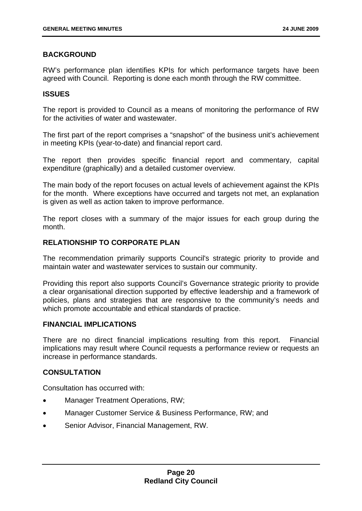# **BACKGROUND**

RW's performance plan identifies KPIs for which performance targets have been agreed with Council. Reporting is done each month through the RW committee.

#### **ISSUES**

The report is provided to Council as a means of monitoring the performance of RW for the activities of water and wastewater.

The first part of the report comprises a "snapshot" of the business unit's achievement in meeting KPIs (year-to-date) and financial report card.

The report then provides specific financial report and commentary, capital expenditure (graphically) and a detailed customer overview.

The main body of the report focuses on actual levels of achievement against the KPIs for the month. Where exceptions have occurred and targets not met, an explanation is given as well as action taken to improve performance.

The report closes with a summary of the major issues for each group during the month.

# **RELATIONSHIP TO CORPORATE PLAN**

The recommendation primarily supports Council's strategic priority to provide and maintain water and wastewater services to sustain our community.

Providing this report also supports Council's Governance strategic priority to provide a clear organisational direction supported by effective leadership and a framework of policies, plans and strategies that are responsive to the community's needs and which promote accountable and ethical standards of practice.

#### **FINANCIAL IMPLICATIONS**

There are no direct financial implications resulting from this report. Financial implications may result where Council requests a performance review or requests an increase in performance standards.

#### **CONSULTATION**

Consultation has occurred with:

- Manager Treatment Operations, RW;
- Manager Customer Service & Business Performance, RW; and
- Senior Advisor, Financial Management, RW.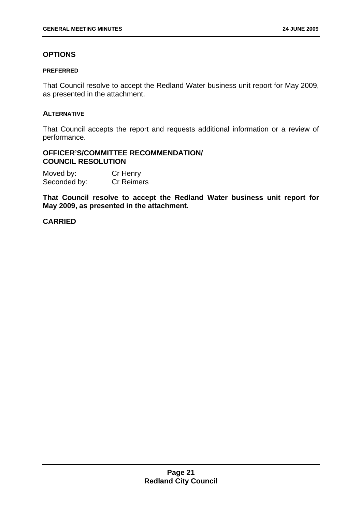# **OPTIONS**

#### **PREFERRED**

That Council resolve to accept the Redland Water business unit report for May 2009, as presented in the attachment.

#### **ALTERNATIVE**

That Council accepts the report and requests additional information or a review of performance.

#### **OFFICER'S/COMMITTEE RECOMMENDATION/ COUNCIL RESOLUTION**

| Moved by:    | Cr Henry          |
|--------------|-------------------|
| Seconded by: | <b>Cr Reimers</b> |

**That Council resolve to accept the Redland Water business unit report for May 2009, as presented in the attachment.**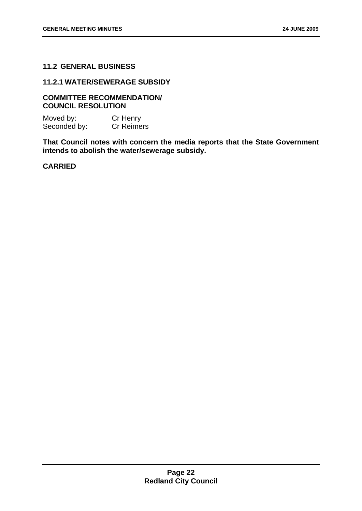# <span id="page-26-0"></span>**11.2 GENERAL BUSINESS**

#### **11.2.1 WATER/SEWERAGE SUBSIDY**

# **COMMITTEE RECOMMENDATION/ COUNCIL RESOLUTION**

Moved by: Cr Henry Seconded by: Cr Reimers

**That Council notes with concern the media reports that the State Government intends to abolish the water/sewerage subsidy.**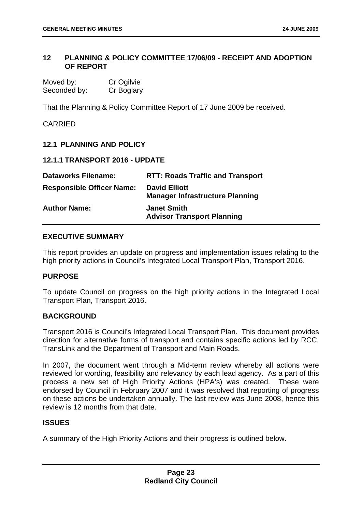#### <span id="page-27-0"></span>**12 PLANNING & POLICY COMMITTEE 17/06/09 - RECEIPT AND ADOPTION OF REPORT**

| Moved by:    | Cr Ogilvie |
|--------------|------------|
| Seconded by: | Cr Boglary |

That the Planning & Policy Committee Report of 17 June 2009 be received.

# CARRIED

# **12.1 PLANNING AND POLICY**

**12.1.1 TRANSPORT 2016 - UPDATE** 

| <b>Dataworks Filename:</b>       | <b>RTT: Roads Traffic and Transport</b>                        |
|----------------------------------|----------------------------------------------------------------|
| <b>Responsible Officer Name:</b> | <b>David Elliott</b><br><b>Manager Infrastructure Planning</b> |
| <b>Author Name:</b>              | <b>Janet Smith</b><br><b>Advisor Transport Planning</b>        |

# **EXECUTIVE SUMMARY**

This report provides an update on progress and implementation issues relating to the high priority actions in Council's Integrated Local Transport Plan, Transport 2016.

#### **PURPOSE**

To update Council on progress on the high priority actions in the Integrated Local Transport Plan, Transport 2016.

#### **BACKGROUND**

Transport 2016 is Council's Integrated Local Transport Plan. This document provides direction for alternative forms of transport and contains specific actions led by RCC, TransLink and the Department of Transport and Main Roads.

In 2007, the document went through a Mid-term review whereby all actions were reviewed for wording, feasibility and relevancy by each lead agency. As a part of this process a new set of High Priority Actions (HPA's) was created. These were endorsed by Council in February 2007 and it was resolved that reporting of progress on these actions be undertaken annually. The last review was June 2008, hence this review is 12 months from that date.

#### **ISSUES**

A summary of the High Priority Actions and their progress is outlined below.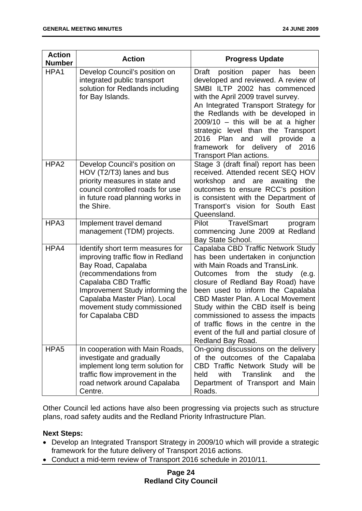| <b>Action</b><br><b>Number</b> | <b>Action</b>                                                                                                                                                                                                                                                      | <b>Progress Update</b>                                                                                                                                                                                                                                                                                                                                                                                                                                      |
|--------------------------------|--------------------------------------------------------------------------------------------------------------------------------------------------------------------------------------------------------------------------------------------------------------------|-------------------------------------------------------------------------------------------------------------------------------------------------------------------------------------------------------------------------------------------------------------------------------------------------------------------------------------------------------------------------------------------------------------------------------------------------------------|
| HPA1                           | Develop Council's position on<br>integrated public transport<br>solution for Redlands including<br>for Bay Islands.                                                                                                                                                | Draft<br>position<br>paper<br>has<br>been<br>developed and reviewed. A review of<br>SMBI ILTP 2002 has commenced<br>with the April 2009 travel survey.<br>An Integrated Transport Strategy for<br>the Redlands with be developed in<br>$2009/10$ - this will be at a higher<br>strategic level than the Transport<br>2016<br>and<br>will<br>provide<br>Plan<br><sub>a</sub><br>framework for delivery<br>of<br>2016<br>Transport Plan actions.              |
| HPA <sub>2</sub>               | Develop Council's position on<br>HOV (T2/T3) lanes and bus<br>priority measures in state and<br>council controlled roads for use<br>in future road planning works in<br>the Shire.                                                                                 | Stage 3 (draft final) report has been<br>received. Attended recent SEQ HOV<br>workshop and are<br>awaiting<br>the<br>outcomes to ensure RCC's position<br>is consistent with the Department of<br>Transport's vision for South East<br>Queensland.                                                                                                                                                                                                          |
| HPA3                           | Implement travel demand<br>management (TDM) projects.                                                                                                                                                                                                              | <b>TravelSmart</b><br>Pilot<br>program<br>commencing June 2009 at Redland<br>Bay State School.                                                                                                                                                                                                                                                                                                                                                              |
| HPA4                           | Identify short term measures for<br>improving traffic flow in Redland<br>Bay Road, Capalaba<br>(recommendations from<br>Capalaba CBD Traffic<br>Improvement Study informing the<br>Capalaba Master Plan). Local<br>movement study commissioned<br>for Capalaba CBD | Capalaba CBD Traffic Network Study<br>has been undertaken in conjunction<br>with Main Roads and TransLink.<br>Outcomes from the<br>study (e.g.<br>closure of Redland Bay Road) have<br>been used to inform the Capalaba<br><b>CBD Master Plan. A Local Movement</b><br>Study within the CBD itself is being<br>commissioned to assess the impacts<br>of traffic flows in the centre in the<br>event of the full and partial closure of<br>Redland Bay Road. |
| HPA <sub>5</sub>               | In cooperation with Main Roads,<br>investigate and gradually<br>implement long term solution for<br>traffic flow improvement in the<br>road network around Capalaba<br>Centre.                                                                                     | On-going discussions on the delivery<br>of the outcomes of the Capalaba<br>CBD Traffic Network Study will be<br><b>Translink</b><br>held<br>with<br>and<br>the<br>Department of Transport and Main<br>Roads.                                                                                                                                                                                                                                                |

Other Council led actions have also been progressing via projects such as structure plans, road safety audits and the Redland Priority Infrastructure Plan.

# **Next Steps:**

- Develop an Integrated Transport Strategy in 2009/10 which will provide a strategic framework for the future delivery of Transport 2016 actions.
- Conduct a mid-term review of Transport 2016 schedule in 2010/11.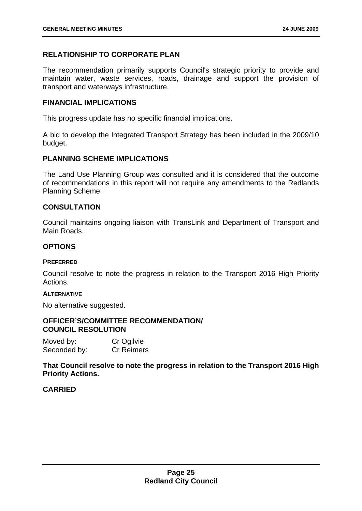# **RELATIONSHIP TO CORPORATE PLAN**

The recommendation primarily supports Council's strategic priority to provide and maintain water, waste services, roads, drainage and support the provision of transport and waterways infrastructure.

#### **FINANCIAL IMPLICATIONS**

This progress update has no specific financial implications.

A bid to develop the Integrated Transport Strategy has been included in the 2009/10 budget.

# **PLANNING SCHEME IMPLICATIONS**

The Land Use Planning Group was consulted and it is considered that the outcome of recommendations in this report will not require any amendments to the Redlands Planning Scheme.

# **CONSULTATION**

Council maintains ongoing liaison with TransLink and Department of Transport and Main Roads.

# **OPTIONS**

#### **PREFERRED**

Council resolve to note the progress in relation to the Transport 2016 High Priority Actions.

#### **ALTERNATIVE**

No alternative suggested.

#### **OFFICER'S/COMMITTEE RECOMMENDATION/ COUNCIL RESOLUTION**

| Moved by:    | Cr Ogilvie        |
|--------------|-------------------|
| Seconded by: | <b>Cr Reimers</b> |

**That Council resolve to note the progress in relation to the Transport 2016 High Priority Actions.**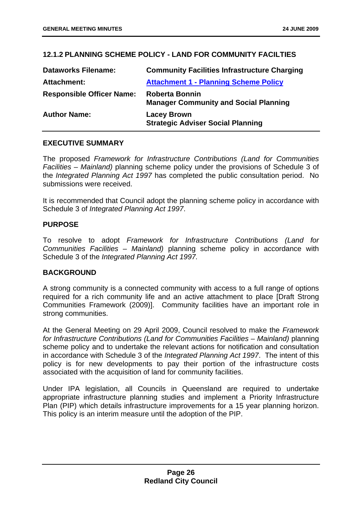# <span id="page-30-0"></span>**12.1.2 PLANNING SCHEME POLICY - LAND FOR COMMUNITY FACILTIES**

| <b>Dataworks Filename:</b>       | <b>Community Facilities Infrastructure Charging</b>                   |
|----------------------------------|-----------------------------------------------------------------------|
| <b>Attachment:</b>               | <b>Attachment 1 - Planning Scheme Policy</b>                          |
| <b>Responsible Officer Name:</b> | <b>Roberta Bonnin</b><br><b>Manager Community and Social Planning</b> |
| <b>Author Name:</b>              | <b>Lacey Brown</b><br><b>Strategic Adviser Social Planning</b>        |

# **EXECUTIVE SUMMARY**

The proposed *Framework for Infrastructure Contributions (Land for Communities Facilities – Mainland)* planning scheme policy under the provisions of Schedule 3 of the *Integrated Planning Act 1997* has completed the public consultation period. No submissions were received.

It is recommended that Council adopt the planning scheme policy in accordance with Schedule 3 of *Integrated Planning Act 1997*.

# **PURPOSE**

To resolve to adopt *Framework for Infrastructure Contributions (Land for Communities Facilities – Mainland)* planning scheme policy in accordance with Schedule 3 of the *Integrated Planning Act 1997.* 

# **BACKGROUND**

A strong community is a connected community with access to a full range of options required for a rich community life and an active attachment to place [Draft Strong Communities Framework (2009)]. Community facilities have an important role in strong communities.

At the General Meeting on 29 April 2009, Council resolved to make the *Framework for Infrastructure Contributions (Land for Communities Facilities – Mainland)* planning scheme policy and to undertake the relevant actions for notification and consultation in accordance with Schedule 3 of the *Integrated Planning Act 1997*. The intent of this policy is for new developments to pay their portion of the infrastructure costs associated with the acquisition of land for community facilities.

Under IPA legislation, all Councils in Queensland are required to undertake appropriate infrastructure planning studies and implement a Priority Infrastructure Plan (PIP) which details infrastructure improvements for a 15 year planning horizon. This policy is an interim measure until the adoption of the PIP.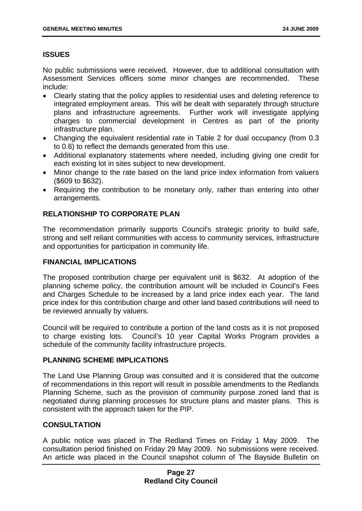# **ISSUES**

No public submissions were received. However, due to additional consultation with Assessment Services officers some minor changes are recommended. These include:

- Clearly stating that the policy applies to residential uses and deleting reference to integrated employment areas. This will be dealt with separately through structure plans and infrastructure agreements. Further work will investigate applying charges to commercial development in Centres as part of the priority infrastructure plan.
- Changing the equivalent residential rate in Table 2 for dual occupancy (from 0.3 to 0.6) to reflect the demands generated from this use.
- Additional explanatory statements where needed, including giving one credit for each existing lot in sites subject to new development.
- Minor change to the rate based on the land price index information from valuers (\$609 to \$632).
- Requiring the contribution to be monetary only, rather than entering into other arrangements.

# **RELATIONSHIP TO CORPORATE PLAN**

The recommendation primarily supports Council's strategic priority to build safe, strong and self reliant communities with access to community services, infrastructure and opportunities for participation in community life.

# **FINANCIAL IMPLICATIONS**

The proposed contribution charge per equivalent unit is \$632. At adoption of the planning scheme policy, the contribution amount will be included in Council's Fees and Charges Schedule to be increased by a land price index each year. The land price index for this contribution charge and other land based contributions will need to be reviewed annually by valuers.

Council will be required to contribute a portion of the land costs as it is not proposed to charge existing lots. Council's 10 year Capital Works Program provides a schedule of the community facility infrastructure projects.

# **PLANNING SCHEME IMPLICATIONS**

The Land Use Planning Group was consulted and it is considered that the outcome of recommendations in this report will result in possible amendments to the Redlands Planning Scheme, such as the provision of community purpose zoned land that is negotiated during planning processes for structure plans and master plans. This is consistent with the approach taken for the PIP.

# **CONSULTATION**

A public notice was placed in The Redland Times on Friday 1 May 2009. The consultation period finished on Friday 29 May 2009. No submissions were received. An article was placed in the Council snapshot column of The Bayside Bulletin on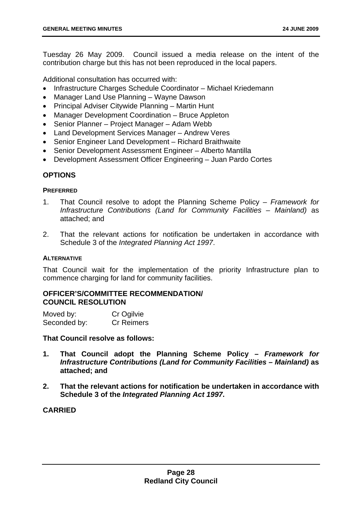Tuesday 26 May 2009. Council issued a media release on the intent of the contribution charge but this has not been reproduced in the local papers.

Additional consultation has occurred with:

- Infrastructure Charges Schedule Coordinator Michael Kriedemann
- Manager Land Use Planning Wayne Dawson
- Principal Adviser Citywide Planning Martin Hunt
- Manager Development Coordination Bruce Appleton
- Senior Planner Project Manager Adam Webb
- Land Development Services Manager Andrew Veres
- Senior Engineer Land Development Richard Braithwaite
- Senior Development Assessment Engineer Alberto Mantilla
- Development Assessment Officer Engineering Juan Pardo Cortes

# **OPTIONS**

#### **PREFERRED**

- 1. That Council resolve to adopt the Planning Scheme Policy *Framework for Infrastructure Contributions (Land for Community Facilities – Mainland)* as attached; and
- 2. That the relevant actions for notification be undertaken in accordance with Schedule 3 of the *Integrated Planning Act 1997*.

#### **ALTERNATIVE**

That Council wait for the implementation of the priority Infrastructure plan to commence charging for land for community facilities.

# **OFFICER'S/COMMITTEE RECOMMENDATION/ COUNCIL RESOLUTION**

| Moved by:    | Cr Ogilvie        |
|--------------|-------------------|
| Seconded by: | <b>Cr Reimers</b> |

**That Council resolve as follows:** 

- **1. That Council adopt the Planning Scheme Policy** *Framework for Infrastructure Contributions (Land for Community Facilities – Mainland)* **as attached; and**
- **2. That the relevant actions for notification be undertaken in accordance with Schedule 3 of the** *Integrated Planning Act 1997***.**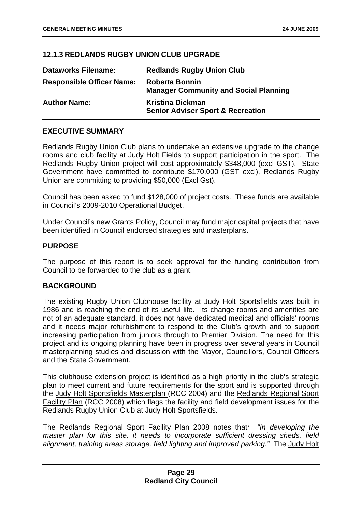# <span id="page-33-0"></span>**12.1.3 REDLANDS RUGBY UNION CLUB UPGRADE**

| <b>Dataworks Filename:</b>       | <b>Redlands Rugby Union Club</b>                                        |
|----------------------------------|-------------------------------------------------------------------------|
| <b>Responsible Officer Name:</b> | <b>Roberta Bonnin</b><br><b>Manager Community and Social Planning</b>   |
| <b>Author Name:</b>              | <b>Kristina Dickman</b><br><b>Senior Adviser Sport &amp; Recreation</b> |

#### **EXECUTIVE SUMMARY**

Redlands Rugby Union Club plans to undertake an extensive upgrade to the change rooms and club facility at Judy Holt Fields to support participation in the sport. The Redlands Rugby Union project will cost approximately \$348,000 (excl GST). State Government have committed to contribute \$170,000 (GST excl), Redlands Rugby Union are committing to providing \$50,000 (Excl Gst).

Council has been asked to fund \$128,000 of project costs. These funds are available in Council's 2009-2010 Operational Budget.

Under Council's new Grants Policy, Council may fund major capital projects that have been identified in Council endorsed strategies and masterplans.

#### **PURPOSE**

The purpose of this report is to seek approval for the funding contribution from Council to be forwarded to the club as a grant.

#### **BACKGROUND**

The existing Rugby Union Clubhouse facility at Judy Holt Sportsfields was built in 1986 and is reaching the end of its useful life. Its change rooms and amenities are not of an adequate standard, it does not have dedicated medical and officials' rooms and it needs major refurbishment to respond to the Club's growth and to support increasing participation from juniors through to Premier Division. The need for this project and its ongoing planning have been in progress over several years in Council masterplanning studies and discussion with the Mayor, Councillors, Council Officers and the State Government.

This clubhouse extension project is identified as a high priority in the club's strategic plan to meet current and future requirements for the sport and is supported through the Judy Holt Sportsfields Masterplan (RCC 2004) and the Redlands Regional Sport Facility Plan (RCC 2008) which flags the facility and field development issues for the Redlands Rugby Union Club at Judy Holt Sportsfields.

The Redlands Regional Sport Facility Plan 2008 notes that*: "In developing the master plan for this site, it needs to incorporate sufficient dressing sheds, field alignment, training areas storage, field lighting and improved parking."* The Judy Holt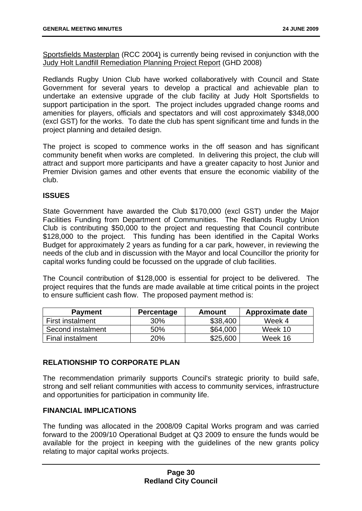Sportsfields Masterplan (RCC 2004) is currently being revised in conjunction with the Judy Holt Landfill Remediation Planning Project Report (GHD 2008)

Redlands Rugby Union Club have worked collaboratively with Council and State Government for several years to develop a practical and achievable plan to undertake an extensive upgrade of the club facility at Judy Holt Sportsfields to support participation in the sport. The project includes upgraded change rooms and amenities for players, officials and spectators and will cost approximately \$348,000 (excl GST) for the works. To date the club has spent significant time and funds in the project planning and detailed design.

The project is scoped to commence works in the off season and has significant community benefit when works are completed. In delivering this project, the club will attract and support more participants and have a greater capacity to host Junior and Premier Division games and other events that ensure the economic viability of the club.

# **ISSUES**

State Government have awarded the Club \$170,000 (excl GST) under the Major Facilities Funding from Department of Communities. The Redlands Rugby Union Club is contributing \$50,000 to the project and requesting that Council contribute \$128,000 to the project. This funding has been identified in the Capital Works Budget for approximately 2 years as funding for a car park, however, in reviewing the needs of the club and in discussion with the Mayor and local Councillor the priority for capital works funding could be focussed on the upgrade of club facilities.

The Council contribution of \$128,000 is essential for project to be delivered. The project requires that the funds are made available at time critical points in the project to ensure sufficient cash flow. The proposed payment method is:

| <b>Payment</b>    | <b>Percentage</b> | Amount   | Approximate date |
|-------------------|-------------------|----------|------------------|
| First instalment  | 30%               | \$38,400 | Week 4           |
| Second instalment | 50%               | \$64,000 | Week 10          |
| Final instalment  | $20\%$            | \$25,600 | Week 16          |

# **RELATIONSHIP TO CORPORATE PLAN**

The recommendation primarily supports Council's strategic priority to build safe, strong and self reliant communities with access to community services, infrastructure and opportunities for participation in community life.

#### **FINANCIAL IMPLICATIONS**

The funding was allocated in the 2008/09 Capital Works program and was carried forward to the 2009/10 Operational Budget at Q3 2009 to ensure the funds would be available for the project in keeping with the guidelines of the new grants policy relating to major capital works projects.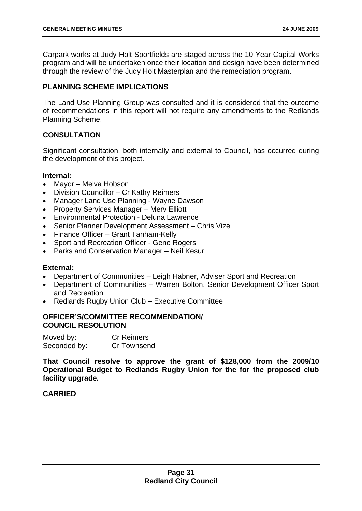Carpark works at Judy Holt Sportfields are staged across the 10 Year Capital Works program and will be undertaken once their location and design have been determined through the review of the Judy Holt Masterplan and the remediation program.

#### **PLANNING SCHEME IMPLICATIONS**

The Land Use Planning Group was consulted and it is considered that the outcome of recommendations in this report will not require any amendments to the Redlands Planning Scheme.

# **CONSULTATION**

Significant consultation, both internally and external to Council, has occurred during the development of this project.

#### **Internal:**

- Mayor Melva Hobson
- Division Councillor Cr Kathy Reimers
- Manager Land Use Planning Wayne Dawson
- Property Services Manager Merv Elliott
- Environmental Protection Deluna Lawrence
- Senior Planner Development Assessment Chris Vize
- Finance Officer Grant Tanham-Kelly
- Sport and Recreation Officer Gene Rogers
- Parks and Conservation Manager Neil Kesur

#### **External:**

- Department of Communities Leigh Habner, Adviser Sport and Recreation
- Department of Communities Warren Bolton, Senior Development Officer Sport and Recreation
- Redlands Rugby Union Club Executive Committee

# **OFFICER'S/COMMITTEE RECOMMENDATION/ COUNCIL RESOLUTION**

| Moved by:    | <b>Cr Reimers</b> |
|--------------|-------------------|
| Seconded by: | Cr Townsend       |

**That Council resolve to approve the grant of \$128,000 from the 2009/10 Operational Budget to Redlands Rugby Union for the for the proposed club facility upgrade.**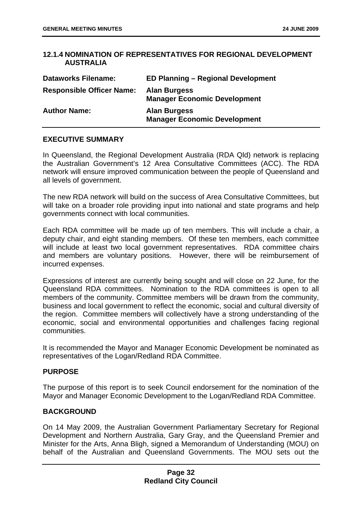## **12.1.4 NOMINATION OF REPRESENTATIVES FOR REGIONAL DEVELOPMENT AUSTRALIA**

| <b>Dataworks Filename:</b>       | <b>ED Planning – Regional Development</b>                  |
|----------------------------------|------------------------------------------------------------|
| <b>Responsible Officer Name:</b> | <b>Alan Burgess</b><br><b>Manager Economic Development</b> |
| <b>Author Name:</b>              | <b>Alan Burgess</b><br><b>Manager Economic Development</b> |

## **EXECUTIVE SUMMARY**

In Queensland, the Regional Development Australia (RDA Qld) network is replacing the Australian Government's 12 Area Consultative Committees (ACC). The RDA network will ensure improved communication between the people of Queensland and all levels of government.

The new RDA network will build on the success of Area Consultative Committees, but will take on a broader role providing input into national and state programs and help governments connect with local communities.

Each RDA committee will be made up of ten members. This will include a chair, a deputy chair, and eight standing members. Of these ten members, each committee will include at least two local government representatives. RDA committee chairs and members are voluntary positions. However, there will be reimbursement of incurred expenses.

Expressions of interest are currently being sought and will close on 22 June, for the Queensland RDA committees. Nomination to the RDA committees is open to all members of the community. Committee members will be drawn from the community, business and local government to reflect the economic, social and cultural diversity of the region. Committee members will collectively have a strong understanding of the economic, social and environmental opportunities and challenges facing regional communities.

It is recommended the Mayor and Manager Economic Development be nominated as representatives of the Logan/Redland RDA Committee.

## **PURPOSE**

The purpose of this report is to seek Council endorsement for the nomination of the Mayor and Manager Economic Development to the Logan/Redland RDA Committee.

## **BACKGROUND**

On 14 May 2009, the Australian Government Parliamentary Secretary for Regional Development and Northern Australia, Gary Gray, and the Queensland Premier and Minister for the Arts, Anna Bligh, signed a Memorandum of Understanding (MOU) on behalf of the Australian and Queensland Governments. The MOU sets out the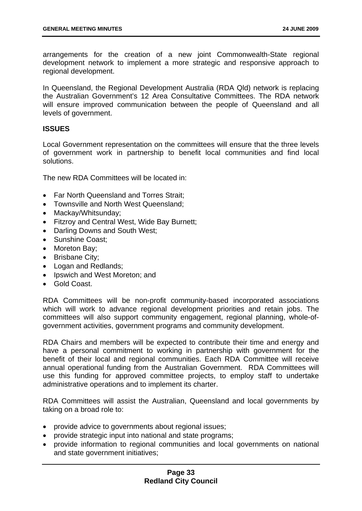arrangements for the creation of a new joint Commonwealth-State regional development network to implement a more strategic and responsive approach to regional development.

In Queensland, the Regional Development Australia (RDA Qld) network is replacing the Australian Government's 12 Area Consultative Committees. The RDA network will ensure improved communication between the people of Queensland and all levels of government.

## **ISSUES**

Local Government representation on the committees will ensure that the three levels of government work in partnership to benefit local communities and find local solutions.

The new RDA Committees will be located in:

- Far North Queensland and Torres Strait;
- Townsville and North West Queensland;
- Mackay/Whitsunday;
- Fitzroy and Central West, Wide Bay Burnett;
- Darling Downs and South West;
- Sunshine Coast:
- Moreton Bay;
- Brisbane City;
- Logan and Redlands;
- Ipswich and West Moreton; and
- Gold Coast.

RDA Committees will be non-profit community-based incorporated associations which will work to advance regional development priorities and retain jobs. The committees will also support community engagement, regional planning, whole-ofgovernment activities, government programs and community development.

RDA Chairs and members will be expected to contribute their time and energy and have a personal commitment to working in partnership with government for the benefit of their local and regional communities. Each RDA Committee will receive annual operational funding from the Australian Government. RDA Committees will use this funding for approved committee projects, to employ staff to undertake administrative operations and to implement its charter.

RDA Committees will assist the Australian, Queensland and local governments by taking on a broad role to:

- provide advice to governments about regional issues;
- provide strategic input into national and state programs;
- provide information to regional communities and local governments on national and state government initiatives;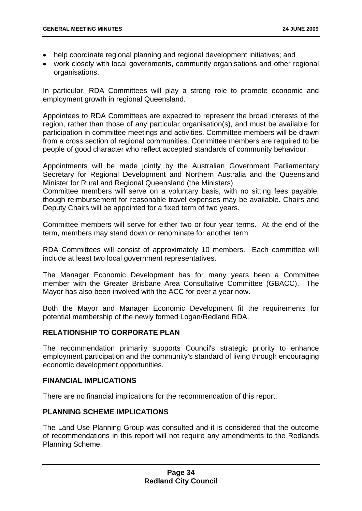- help coordinate regional planning and regional development initiatives; and
- work closely with local governments, community organisations and other regional organisations.

In particular, RDA Committees will play a strong role to promote economic and employment growth in regional Queensland.

Appointees to RDA Committees are expected to represent the broad interests of the region, rather than those of any particular organisation(s), and must be available for participation in committee meetings and activities. Committee members will be drawn from a cross section of regional communities. Committee members are required to be people of good character who reflect accepted standards of community behaviour.

Appointments will be made jointly by the Australian Government Parliamentary Secretary for Regional Development and Northern Australia and the Queensland Minister for Rural and Regional Queensland (the Ministers).

Committee members will serve on a voluntary basis, with no sitting fees payable, though reimbursement for reasonable travel expenses may be available. Chairs and Deputy Chairs will be appointed for a fixed term of two years.

Committee members will serve for either two or four year terms. At the end of the term, members may stand down or renominate for another term.

RDA Committees will consist of approximately 10 members. Each committee will include at least two local government representatives.

The Manager Economic Development has for many years been a Committee member with the Greater Brisbane Area Consultative Committee (GBACC). The Mayor has also been involved with the ACC for over a year now.

Both the Mayor and Manager Economic Development fit the requirements for potential membership of the newly formed Logan/Redland RDA.

## **RELATIONSHIP TO CORPORATE PLAN**

The recommendation primarily supports Council's strategic priority to enhance employment participation and the community's standard of living through encouraging economic development opportunities.

## **FINANCIAL IMPLICATIONS**

There are no financial implications for the recommendation of this report.

## **PLANNING SCHEME IMPLICATIONS**

The Land Use Planning Group was consulted and it is considered that the outcome of recommendations in this report will not require any amendments to the Redlands Planning Scheme.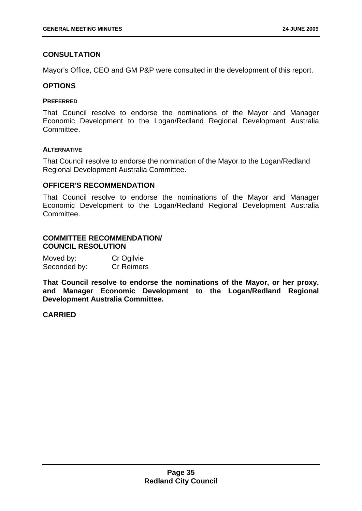## **CONSULTATION**

Mayor's Office, CEO and GM P&P were consulted in the development of this report.

### **OPTIONS**

#### **PREFERRED**

That Council resolve to endorse the nominations of the Mayor and Manager Economic Development to the Logan/Redland Regional Development Australia Committee.

#### **ALTERNATIVE**

That Council resolve to endorse the nomination of the Mayor to the Logan/Redland Regional Development Australia Committee.

## **OFFICER'S RECOMMENDATION**

That Council resolve to endorse the nominations of the Mayor and Manager Economic Development to the Logan/Redland Regional Development Australia Committee.

## **COMMITTEE RECOMMENDATION/ COUNCIL RESOLUTION**

| Moved by:    | Cr Ogilvie        |
|--------------|-------------------|
| Seconded by: | <b>Cr Reimers</b> |

**That Council resolve to endorse the nominations of the Mayor, or her proxy, and Manager Economic Development to the Logan/Redland Regional Development Australia Committee.**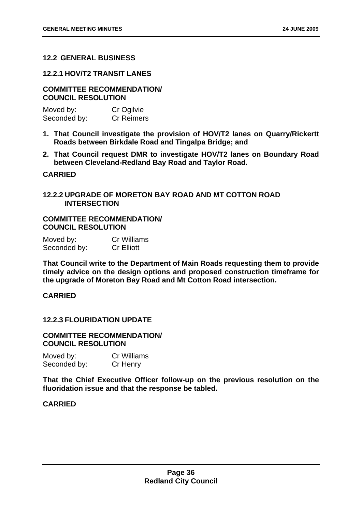## **12.2 GENERAL BUSINESS**

### **12.2.1 HOV/T2 TRANSIT LANES**

### **COMMITTEE RECOMMENDATION/ COUNCIL RESOLUTION**

| Moved by:    | Cr Ogilvie        |
|--------------|-------------------|
| Seconded by: | <b>Cr Reimers</b> |

- **1. That Council investigate the provision of HOV/T2 lanes on Quarry/Rickertt Roads between Birkdale Road and Tingalpa Bridge; and**
- **2. That Council request DMR to investigate HOV/T2 lanes on Boundary Road between Cleveland-Redland Bay Road and Taylor Road.**

## **CARRIED**

## **12.2.2 UPGRADE OF MORETON BAY ROAD AND MT COTTON ROAD INTERSECTION**

## **COMMITTEE RECOMMENDATION/ COUNCIL RESOLUTION**

| Moved by:    | <b>Cr Williams</b> |
|--------------|--------------------|
| Seconded by: | <b>Cr Elliott</b>  |

**That Council write to the Department of Main Roads requesting them to provide timely advice on the design options and proposed construction timeframe for the upgrade of Moreton Bay Road and Mt Cotton Road intersection.** 

# **CARRIED**

## **12.2.3 FLOURIDATION UPDATE**

## **COMMITTEE RECOMMENDATION/ COUNCIL RESOLUTION**

Moved by: Cr Williams Seconded by: Cr Henry

**That the Chief Executive Officer follow-up on the previous resolution on the fluoridation issue and that the response be tabled.**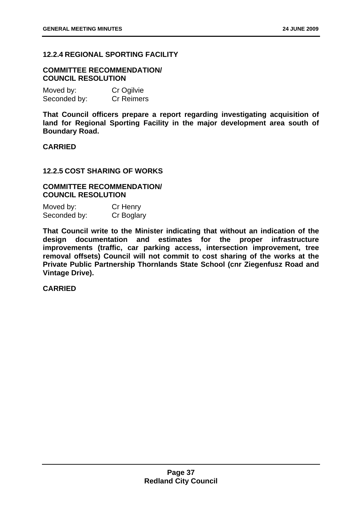# **12.2.4 REGIONAL SPORTING FACILITY**

## **COMMITTEE RECOMMENDATION/ COUNCIL RESOLUTION**

| Moved by:    | Cr Ogilvie        |
|--------------|-------------------|
| Seconded by: | <b>Cr Reimers</b> |

**That Council officers prepare a report regarding investigating acquisition of land for Regional Sporting Facility in the major development area south of Boundary Road.** 

## **CARRIED**

## **12.2.5 COST SHARING OF WORKS**

## **COMMITTEE RECOMMENDATION/ COUNCIL RESOLUTION**

| Moved by:    | Cr Henry   |
|--------------|------------|
| Seconded by: | Cr Boglary |

**That Council write to the Minister indicating that without an indication of the design documentation and estimates for the proper infrastructure improvements (traffic, car parking access, intersection improvement, tree removal offsets) Council will not commit to cost sharing of the works at the Private Public Partnership Thornlands State School (cnr Ziegenfusz Road and Vintage Drive).**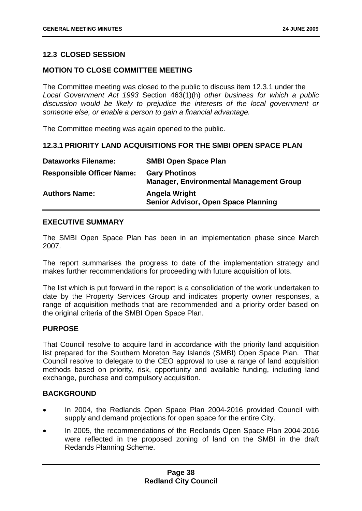# **12.3 CLOSED SESSION**

## **MOTION TO CLOSE COMMITTEE MEETING**

The Committee meeting was closed to the public to discuss item 12.3.1 under the *Local Government Act 1993* Section 463(1)(h) *other business for which a public discussion would be likely to prejudice the interests of the local government or someone else, or enable a person to gain a financial advantage.*

The Committee meeting was again opened to the public.

## **12.3.1 PRIORITY LAND ACQUISITIONS FOR THE SMBI OPEN SPACE PLAN**

| <b>Dataworks Filename:</b>       | <b>SMBI Open Space Plan</b>                                            |
|----------------------------------|------------------------------------------------------------------------|
| <b>Responsible Officer Name:</b> | <b>Gary Photinos</b><br><b>Manager, Environmental Management Group</b> |
| <b>Authors Name:</b>             | Angela Wright<br>Senior Advisor, Open Space Planning                   |

## **EXECUTIVE SUMMARY**

The SMBI Open Space Plan has been in an implementation phase since March 2007.

The report summarises the progress to date of the implementation strategy and makes further recommendations for proceeding with future acquisition of lots.

The list which is put forward in the report is a consolidation of the work undertaken to date by the Property Services Group and indicates property owner responses, a range of acquisition methods that are recommended and a priority order based on the original criteria of the SMBI Open Space Plan.

## **PURPOSE**

That Council resolve to acquire land in accordance with the priority land acquisition list prepared for the Southern Moreton Bay Islands (SMBI) Open Space Plan. That Council resolve to delegate to the CEO approval to use a range of land acquisition methods based on priority, risk, opportunity and available funding, including land exchange, purchase and compulsory acquisition.

## **BACKGROUND**

- In 2004, the Redlands Open Space Plan 2004-2016 provided Council with supply and demand projections for open space for the entire City.
- In 2005, the recommendations of the Redlands Open Space Plan 2004-2016 were reflected in the proposed zoning of land on the SMBI in the draft Redands Planning Scheme.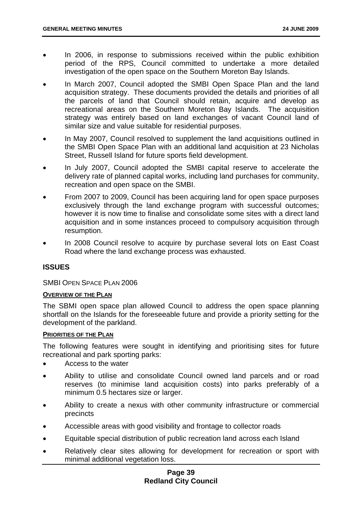- In 2006, in response to submissions received within the public exhibition period of the RPS, Council committed to undertake a more detailed investigation of the open space on the Southern Moreton Bay Islands.
- In March 2007, Council adopted the SMBI Open Space Plan and the land acquisition strategy. These documents provided the details and priorities of all the parcels of land that Council should retain, acquire and develop as recreational areas on the Southern Moreton Bay Islands. The acquisition strategy was entirely based on land exchanges of vacant Council land of similar size and value suitable for residential purposes.
- In May 2007, Council resolved to supplement the land acquisitions outlined in the SMBI Open Space Plan with an additional land acquisition at 23 Nicholas Street, Russell Island for future sports field development.
- In July 2007, Council adopted the SMBI capital reserve to accelerate the delivery rate of planned capital works, including land purchases for community, recreation and open space on the SMBI.
- From 2007 to 2009, Council has been acquiring land for open space purposes exclusively through the land exchange program with successful outcomes; however it is now time to finalise and consolidate some sites with a direct land acquisition and in some instances proceed to compulsory acquisition through resumption.
- In 2008 Council resolve to acquire by purchase several lots on East Coast Road where the land exchange process was exhausted.

# **ISSUES**

## SMBI OPEN SPACE PLAN 2006

#### **OVERVIEW OF THE PLAN**

The SBMI open space plan allowed Council to address the open space planning shortfall on the Islands for the foreseeable future and provide a priority setting for the development of the parkland.

#### **PRIORITIES OF THE PLAN**

The following features were sought in identifying and prioritising sites for future recreational and park sporting parks:

- Access to the water
- Ability to utilise and consolidate Council owned land parcels and or road reserves (to minimise land acquisition costs) into parks preferably of a minimum 0.5 hectares size or larger.
- Ability to create a nexus with other community infrastructure or commercial precincts
- Accessible areas with good visibility and frontage to collector roads
- Equitable special distribution of public recreation land across each Island
- Relatively clear sites allowing for development for recreation or sport with minimal additional vegetation loss.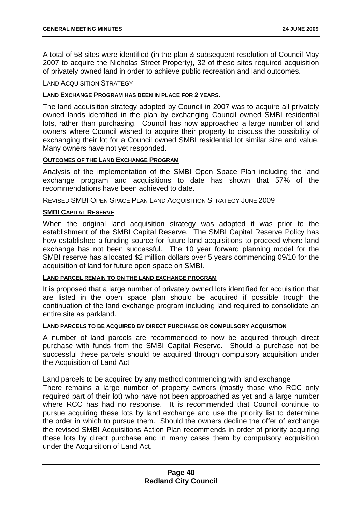A total of 58 sites were identified (in the plan & subsequent resolution of Council May 2007 to acquire the Nicholas Street Property), 32 of these sites required acquisition of privately owned land in order to achieve public recreation and land outcomes.

#### LAND ACQUISITION STRATEGY

#### **LAND EXCHANGE PROGRAM HAS BEEN IN PLACE FOR 2 YEARS.**

The land acquisition strategy adopted by Council in 2007 was to acquire all privately owned lands identified in the plan by exchanging Council owned SMBI residential lots, rather than purchasing. Council has now approached a large number of land owners where Council wished to acquire their property to discuss the possibility of exchanging their lot for a Council owned SMBI residential lot similar size and value. Many owners have not yet responded.

#### **OUTCOMES OF THE LAND EXCHANGE PROGRAM**

Analysis of the implementation of the SMBI Open Space Plan including the land exchange program and acquisitions to date has shown that 57% of the recommendations have been achieved to date.

REVISED SMBI OPEN SPACE PLAN LAND ACQUISITION STRATEGY JUNE 2009

### **SMBI CAPITAL RESERVE**

When the original land acquisition strategy was adopted it was prior to the establishment of the SMBI Capital Reserve. The SMBI Capital Reserve Policy has how established a funding source for future land acquisitions to proceed where land exchange has not been successful. The 10 year forward planning model for the SMBI reserve has allocated \$2 million dollars over 5 years commencing 09/10 for the acquisition of land for future open space on SMBI.

#### **LAND PARCEL REMAIN TO ON THE LAND EXCHANGE PROGRAM**

It is proposed that a large number of privately owned lots identified for acquisition that are listed in the open space plan should be acquired if possible trough the continuation of the land exchange program including land required to consolidate an entire site as parkland.

#### **LAND PARCELS TO BE ACQUIRED BY DIRECT PURCHASE OR COMPULSORY ACQUISITION**

A number of land parcels are recommended to now be acquired through direct purchase with funds from the SMBI Capital Reserve. Should a purchase not be successful these parcels should be acquired through compulsory acquisition under the Acquisition of Land Act

#### Land parcels to be acquired by any method commencing with land exchange

There remains a large number of property owners (mostly those who RCC only required part of their lot) who have not been approached as yet and a large number where RCC has had no response. It is recommended that Council continue to pursue acquiring these lots by land exchange and use the priority list to determine the order in which to pursue them. Should the owners decline the offer of exchange the revised SMBI Acquisitions Action Plan recommends in order of priority acquiring these lots by direct purchase and in many cases them by compulsory acquisition under the Acquisition of Land Act.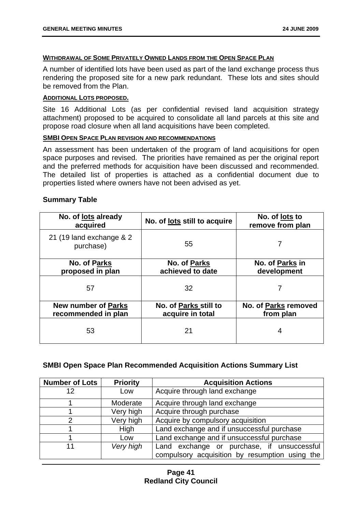#### **WITHDRAWAL OF SOME PRIVATELY OWNED LANDS FROM THE OPEN SPACE PLAN**

A number of identified lots have been used as part of the land exchange process thus rendering the proposed site for a new park redundant. These lots and sites should be removed from the Plan.

### **ADDITIONAL LOTS PROPOSED.**

Site 16 Additional Lots (as per confidential revised land acquisition strategy attachment) proposed to be acquired to consolidate all land parcels at this site and propose road closure when all land acquisitions have been completed.

### **SMBI OPEN SPACE PLAN REVISION AND RECOMMENDATIONS**

An assessment has been undertaken of the program of land acquisitions for open space purposes and revised. The priorities have remained as per the original report and the preferred methods for acquisition have been discussed and recommended. The detailed list of properties is attached as a confidential document due to properties listed where owners have not been advised as yet.

| pullillial y Table                                |                                           |                                    |
|---------------------------------------------------|-------------------------------------------|------------------------------------|
| No. of <u>lots</u> already<br>acquired            | No. of lots still to acquire              | No. of lots to<br>remove from plan |
| 21 (19 land exchange & 2<br>purchase)             | 55                                        |                                    |
| <b>No. of Parks</b><br>proposed in plan           | <b>No. of Parks</b><br>achieved to date   | No. of Parks in<br>development     |
| 57                                                | 32                                        |                                    |
| <b>New number of Parks</b><br>recommended in plan | No. of Parks still to<br>acquire in total | No. of Parks removed<br>from plan  |
| 53                                                | 21                                        |                                    |

## **Summary Table**

## **SMBI Open Space Plan Recommended Acquisition Actions Summary List**

| <b>Number of Lots</b> | <b>Priority</b> | <b>Acquisition Actions</b>                     |
|-----------------------|-----------------|------------------------------------------------|
| 12                    | Low             | Acquire through land exchange                  |
|                       | Moderate        | Acquire through land exchange                  |
|                       | Very high       | Acquire through purchase                       |
| 2                     | Very high       | Acquire by compulsory acquisition              |
|                       | High            | Land exchange and if unsuccessful purchase     |
|                       | Low             | Land exchange and if unsuccessful purchase     |
| 11                    | Very high       | Land exchange or purchase, if unsuccessful     |
|                       |                 | compulsory acquisition by resumption using the |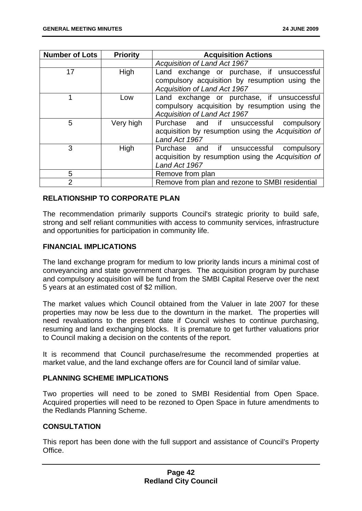| <b>Number of Lots</b> | <b>Priority</b> | <b>Acquisition Actions</b>                                                                                                                                          |
|-----------------------|-----------------|---------------------------------------------------------------------------------------------------------------------------------------------------------------------|
|                       |                 | <b>Acquisition of Land Act 1967</b>                                                                                                                                 |
| 17                    | High            | Land exchange or purchase, if unsuccessful<br>compulsory acquisition by resumption using the                                                                        |
|                       | Low             | <b>Acquisition of Land Act 1967</b><br>Land exchange or purchase, if unsuccessful<br>compulsory acquisition by resumption using the<br>Acquisition of Land Act 1967 |
| 5                     | Very high       | Purchase and if unsuccessful<br>compulsory<br>acquisition by resumption using the Acquisition of<br>Land Act 1967                                                   |
| 3                     | High            | Purchase and if unsuccessful<br>compulsory<br>acquisition by resumption using the Acquisition of<br>Land Act 1967                                                   |
| 5                     |                 | Remove from plan                                                                                                                                                    |
| $\overline{2}$        |                 | Remove from plan and rezone to SMBI residential                                                                                                                     |

# **RELATIONSHIP TO CORPORATE PLAN**

The recommendation primarily supports Council's strategic priority to build safe, strong and self reliant communities with access to community services, infrastructure and opportunities for participation in community life.

## **FINANCIAL IMPLICATIONS**

The land exchange program for medium to low priority lands incurs a minimal cost of conveyancing and state government charges. The acquisition program by purchase and compulsory acquisition will be fund from the SMBI Capital Reserve over the next 5 years at an estimated cost of \$2 million.

The market values which Council obtained from the Valuer in late 2007 for these properties may now be less due to the downturn in the market. The properties will need revaluations to the present date if Council wishes to continue purchasing, resuming and land exchanging blocks. It is premature to get further valuations prior to Council making a decision on the contents of the report.

It is recommend that Council purchase/resume the recommended properties at market value, and the land exchange offers are for Council land of similar value.

## **PLANNING SCHEME IMPLICATIONS**

Two properties will need to be zoned to SMBI Residential from Open Space. Acquired properties will need to be rezoned to Open Space in future amendments to the Redlands Planning Scheme.

## **CONSULTATION**

This report has been done with the full support and assistance of Council's Property **Office**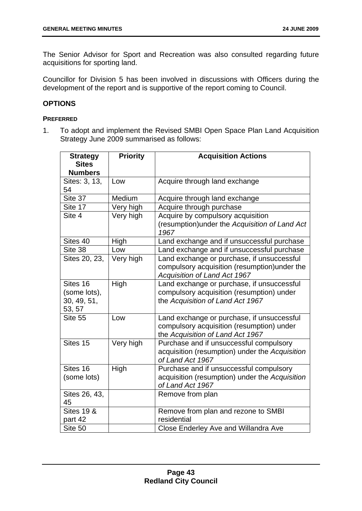The Senior Advisor for Sport and Recreation was also consulted regarding future acquisitions for sporting land.

Councillor for Division 5 has been involved in discussions with Officers during the development of the report and is supportive of the report coming to Council.

# **OPTIONS**

## **PREFERRED**

1. To adopt and implement the Revised SMBI Open Space Plan Land Acquisition Strategy June 2009 summarised as follows:

| <b>Strategy</b><br><b>Sites</b><br><b>Numbers</b> | <b>Priority</b> | <b>Acquisition Actions</b>                                                                                                         |
|---------------------------------------------------|-----------------|------------------------------------------------------------------------------------------------------------------------------------|
| Sites: 3, 13,<br>54                               | Low             | Acquire through land exchange                                                                                                      |
| Site 37                                           | Medium          | Acquire through land exchange                                                                                                      |
| Site 17                                           | Very high       | Acquire through purchase                                                                                                           |
| Site 4                                            | Very high       | Acquire by compulsory acquisition<br>(resumption) under the Acquisition of Land Act<br>1967                                        |
| Sites 40                                          | High            | Land exchange and if unsuccessful purchase                                                                                         |
| Site 38                                           | Low             | Land exchange and if unsuccessful purchase                                                                                         |
| Sites 20, 23,                                     | Very high       | Land exchange or purchase, if unsuccessful<br>compulsory acquisition (resumption) under the<br><b>Acquisition of Land Act 1967</b> |
| Sites 16<br>(some lots),<br>30, 49, 51,<br>53, 57 | High            | Land exchange or purchase, if unsuccessful<br>compulsory acquisition (resumption) under<br>the Acquisition of Land Act 1967        |
| Site 55                                           | Low             | Land exchange or purchase, if unsuccessful<br>compulsory acquisition (resumption) under<br>the Acquisition of Land Act 1967        |
| Sites 15                                          | Very high       | Purchase and if unsuccessful compulsory<br>acquisition (resumption) under the Acquisition<br>of Land Act 1967                      |
| Sites 16<br>(some lots)                           | High            | Purchase and if unsuccessful compulsory<br>acquisition (resumption) under the Acquisition<br>of Land Act 1967                      |
| Sites 26, 43,<br>45                               |                 | Remove from plan                                                                                                                   |
| <b>Sites 19 &amp;</b><br>part 42                  |                 | Remove from plan and rezone to SMBI<br>residential                                                                                 |
| Site 50                                           |                 | Close Enderley Ave and Willandra Ave                                                                                               |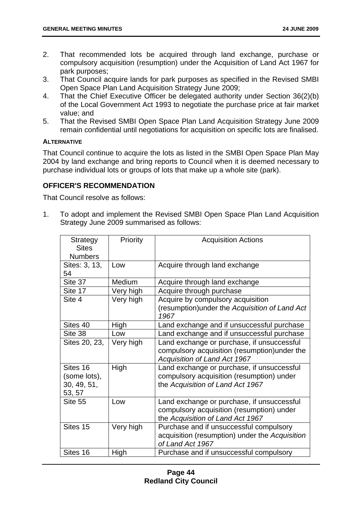- 2. That recommended lots be acquired through land exchange, purchase or compulsory acquisition (resumption) under the Acquisition of Land Act 1967 for park purposes;
- 3. That Council acquire lands for park purposes as specified in the Revised SMBI Open Space Plan Land Acquisition Strategy June 2009;
- 4. That the Chief Executive Officer be delegated authority under Section 36(2)(b) of the Local Government Act 1993 to negotiate the purchase price at fair market value; and
- 5. That the Revised SMBI Open Space Plan Land Acquisition Strategy June 2009 remain confidential until negotiations for acquisition on specific lots are finalised.

## **ALTERNATIVE**

That Council continue to acquire the lots as listed in the SMBI Open Space Plan May 2004 by land exchange and bring reports to Council when it is deemed necessary to purchase individual lots or groups of lots that make up a whole site (park).

# **OFFICER'S RECOMMENDATION**

That Council resolve as follows:

1. To adopt and implement the Revised SMBI Open Space Plan Land Acquisition Strategy June 2009 summarised as follows:

| <b>Strategy</b><br><b>Sites</b><br><b>Numbers</b> | Priority  | <b>Acquisition Actions</b>                                                                                                  |
|---------------------------------------------------|-----------|-----------------------------------------------------------------------------------------------------------------------------|
| Sites: 3, 13,<br>54                               | Low       | Acquire through land exchange                                                                                               |
| Site 37                                           | Medium    | Acquire through land exchange                                                                                               |
| Site 17                                           | Very high | Acquire through purchase                                                                                                    |
| Site 4                                            | Very high | Acquire by compulsory acquisition<br>(resumption) under the Acquisition of Land Act<br>1967                                 |
| Sites 40                                          | High      | Land exchange and if unsuccessful purchase                                                                                  |
| Site 38                                           | Low       | Land exchange and if unsuccessful purchase                                                                                  |
| Sites 20, 23,                                     | Very high | Land exchange or purchase, if unsuccessful<br>compulsory acquisition (resumption) under the<br>Acquisition of Land Act 1967 |
| Sites 16<br>(some lots),<br>30, 49, 51,<br>53, 57 | High      | Land exchange or purchase, if unsuccessful<br>compulsory acquisition (resumption) under<br>the Acquisition of Land Act 1967 |
| Site 55                                           | Low       | Land exchange or purchase, if unsuccessful<br>compulsory acquisition (resumption) under<br>the Acquisition of Land Act 1967 |
| Sites 15                                          | Very high | Purchase and if unsuccessful compulsory<br>acquisition (resumption) under the Acquisition<br>of Land Act 1967               |
| Sites 16                                          | High      | Purchase and if unsuccessful compulsory                                                                                     |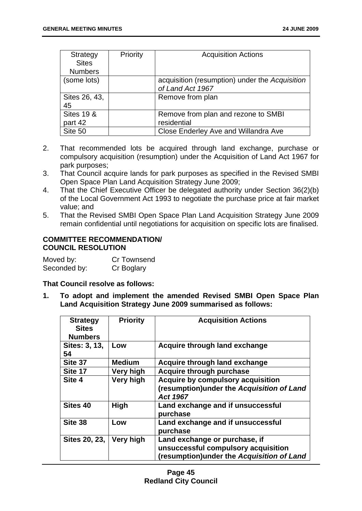| Strategy              | Priority | <b>Acquisition Actions</b>                     |
|-----------------------|----------|------------------------------------------------|
| <b>Sites</b>          |          |                                                |
| <b>Numbers</b>        |          |                                                |
| (some lots)           |          | acquisition (resumption) under the Acquisition |
|                       |          | of Land Act 1967                               |
| Sites 26, 43,         |          | Remove from plan                               |
| 45                    |          |                                                |
| <b>Sites 19 &amp;</b> |          | Remove from plan and rezone to SMBI            |
| part 42               |          | residential                                    |
| Site 50               |          | Close Enderley Ave and Willandra Ave           |

- 2. That recommended lots be acquired through land exchange, purchase or compulsory acquisition (resumption) under the Acquisition of Land Act 1967 for park purposes;
- 3. That Council acquire lands for park purposes as specified in the Revised SMBI Open Space Plan Land Acquisition Strategy June 2009;
- 4. That the Chief Executive Officer be delegated authority under Section 36(2)(b) of the Local Government Act 1993 to negotiate the purchase price at fair market value; and
- 5. That the Revised SMBI Open Space Plan Land Acquisition Strategy June 2009 remain confidential until negotiations for acquisition on specific lots are finalised.

## **COMMITTEE RECOMMENDATION/ COUNCIL RESOLUTION**

| Moved by:    | Cr Townsend |
|--------------|-------------|
| Seconded by: | Cr Boglary  |

## **That Council resolve as follows:**

**1. To adopt and implement the amended Revised SMBI Open Space Plan Land Acquisition Strategy June 2009 summarised as follows:** 

| <b>Strategy</b><br><b>Sites</b><br><b>Numbers</b> | <b>Priority</b> | <b>Acquisition Actions</b>                                                                                        |
|---------------------------------------------------|-----------------|-------------------------------------------------------------------------------------------------------------------|
| Sites: 3, 13,<br>54                               | Low             | Acquire through land exchange                                                                                     |
| Site 37                                           | <b>Medium</b>   | Acquire through land exchange                                                                                     |
| Site 17                                           | Very high       | Acquire through purchase                                                                                          |
| Site 4                                            | Very high       | <b>Acquire by compulsory acquisition</b><br>(resumption) under the Acquisition of Land<br>Act 1967                |
| Sites 40                                          | <b>High</b>     | Land exchange and if unsuccessful<br>purchase                                                                     |
| Site 38                                           | Low             | Land exchange and if unsuccessful<br>purchase                                                                     |
| <b>Sites 20, 23,</b>                              | Very high       | Land exchange or purchase, if<br>unsuccessful compulsory acquisition<br>(resumption)under the Acquisition of Land |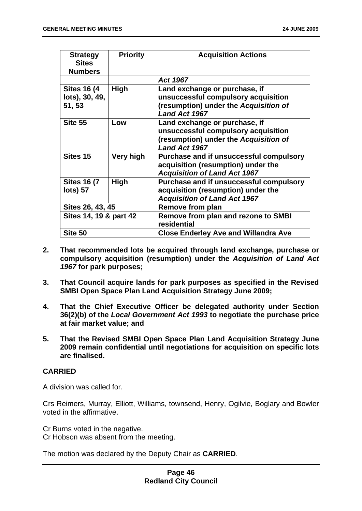| <b>Strategy</b><br><b>Sites</b><br><b>Numbers</b> | <b>Priority</b> | <b>Acquisition Actions</b>                                                                                                            |
|---------------------------------------------------|-----------------|---------------------------------------------------------------------------------------------------------------------------------------|
|                                                   |                 | Act 1967                                                                                                                              |
| <b>Sites 16 (4)</b><br>lots), 30, 49,<br>51, 53   | High            | Land exchange or purchase, if<br>unsuccessful compulsory acquisition<br>(resumption) under the Acquisition of<br>Land Act 1967        |
| Site 55                                           | Low             | Land exchange or purchase, if<br>unsuccessful compulsory acquisition<br>(resumption) under the Acquisition of<br><b>Land Act 1967</b> |
| Sites 15                                          | Very high       | Purchase and if unsuccessful compulsory<br>acquisition (resumption) under the<br><b>Acquisition of Land Act 1967</b>                  |
| <b>Sites 16 (7</b><br><b>lots</b> ) 57            | <b>High</b>     | Purchase and if unsuccessful compulsory<br>acquisition (resumption) under the<br><b>Acquisition of Land Act 1967</b>                  |
| Sites 26, 43, 45                                  |                 | Remove from plan                                                                                                                      |
| Sites 14, 19 & part 42                            |                 | Remove from plan and rezone to SMBI<br>residential                                                                                    |
| Site 50                                           |                 | <b>Close Enderley Ave and Willandra Ave</b>                                                                                           |

- **2. That recommended lots be acquired through land exchange, purchase or compulsory acquisition (resumption) under the** *Acquisition of Land Act 1967* **for park purposes;**
- **3. That Council acquire lands for park purposes as specified in the Revised SMBI Open Space Plan Land Acquisition Strategy June 2009;**
- **4. That the Chief Executive Officer be delegated authority under Section 36(2)(b) of the** *Local Government Act 1993* **to negotiate the purchase price at fair market value; and**
- **5. That the Revised SMBI Open Space Plan Land Acquisition Strategy June 2009 remain confidential until negotiations for acquisition on specific lots are finalised.**

# **CARRIED**

A division was called for.

Crs Reimers, Murray, Elliott, Williams, townsend, Henry, Ogilvie, Boglary and Bowler voted in the affirmative.

Cr Burns voted in the negative. Cr Hobson was absent from the meeting.

The motion was declared by the Deputy Chair as **CARRIED**.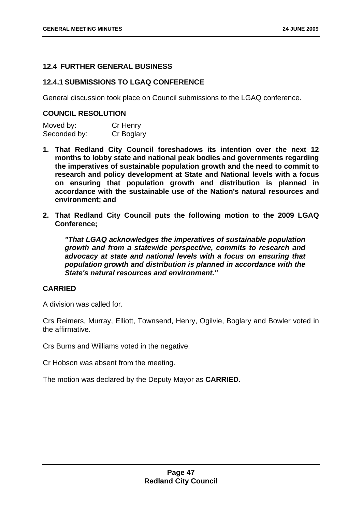# **12.4 FURTHER GENERAL BUSINESS**

## **12.4.1 SUBMISSIONS TO LGAQ CONFERENCE**

General discussion took place on Council submissions to the LGAQ conference.

## **COUNCIL RESOLUTION**

Moved by: Cr Henry Seconded by: Cr Boglary

- **1. That Redland City Council foreshadows its intention over the next 12 months to lobby state and national peak bodies and governments regarding the imperatives of sustainable population growth and the need to commit to research and policy development at State and National levels with a focus on ensuring that population growth and distribution is planned in accordance with the sustainable use of the Nation's natural resources and environment; and**
- **2. That Redland City Council puts the following motion to the 2009 LGAQ Conference;**

*"That LGAQ acknowledges the imperatives of sustainable population growth and from a statewide perspective, commits to research and advocacy at state and national levels with a focus on ensuring that population growth and distribution is planned in accordance with the State's natural resources and environment."*

# **CARRIED**

A division was called for.

Crs Reimers, Murray, Elliott, Townsend, Henry, Ogilvie, Boglary and Bowler voted in the affirmative.

Crs Burns and Williams voted in the negative.

Cr Hobson was absent from the meeting.

The motion was declared by the Deputy Mayor as **CARRIED**.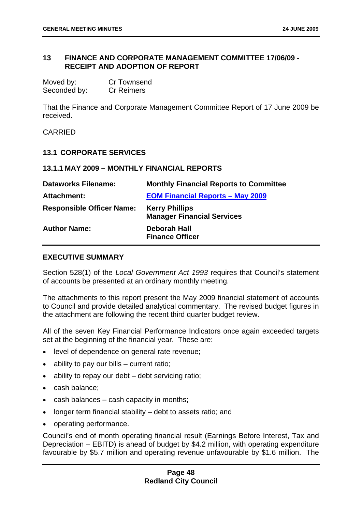## **13 FINANCE AND CORPORATE MANAGEMENT COMMITTEE 17/06/09 - RECEIPT AND ADOPTION OF REPORT**

| Moved by:    | <b>Cr Townsend</b> |
|--------------|--------------------|
| Seconded by: | <b>Cr Reimers</b>  |

That the Finance and Corporate Management Committee Report of 17 June 2009 be received.

CARRIED

#### **13.1 CORPORATE SERVICES**

#### **13.1.1 MAY 2009 – MONTHLY FINANCIAL REPORTS**

| <b>Dataworks Filename:</b>       | <b>Monthly Financial Reports to Committee</b>              |
|----------------------------------|------------------------------------------------------------|
| Attachment:                      | <b>EOM Financial Reports - May 2009</b>                    |
| <b>Responsible Officer Name:</b> | <b>Kerry Phillips</b><br><b>Manager Financial Services</b> |
| <b>Author Name:</b>              | Deborah Hall<br><b>Finance Officer</b>                     |

## **EXECUTIVE SUMMARY**

Section 528(1) of the *Local Government Act 1993* requires that Council's statement of accounts be presented at an ordinary monthly meeting.

The attachments to this report present the May 2009 financial statement of accounts to Council and provide detailed analytical commentary. The revised budget figures in the attachment are following the recent third quarter budget review.

All of the seven Key Financial Performance Indicators once again exceeded targets set at the beginning of the financial year. These are:

- level of dependence on general rate revenue;
- ability to pay our bills current ratio;
- ability to repay our debt debt servicing ratio;
- cash balance;
- cash balances  $-$  cash capacity in months;
- longer term financial stability debt to assets ratio; and
- operating performance.

Council's end of month operating financial result (Earnings Before Interest, Tax and Depreciation – EBITD) is ahead of budget by \$4.2 million, with operating expenditure favourable by \$5.7 million and operating revenue unfavourable by \$1.6 million. The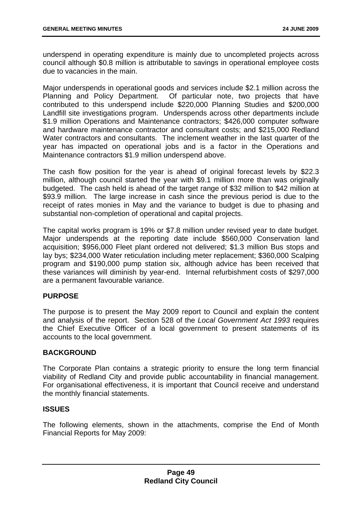underspend in operating expenditure is mainly due to uncompleted projects across council although \$0.8 million is attributable to savings in operational employee costs due to vacancies in the main.

Major underspends in operational goods and services include \$2.1 million across the Planning and Policy Department. Of particular note, two projects that have contributed to this underspend include \$220,000 Planning Studies and \$200,000 Landfill site investigations program. Underspends across other departments include \$1.9 million Operations and Maintenance contractors; \$426,000 computer software and hardware maintenance contractor and consultant costs; and \$215,000 Redland Water contractors and consultants. The inclement weather in the last quarter of the year has impacted on operational jobs and is a factor in the Operations and Maintenance contractors \$1.9 million underspend above.

The cash flow position for the year is ahead of original forecast levels by \$22.3 million, although council started the year with \$9.1 million more than was originally budgeted. The cash held is ahead of the target range of \$32 million to \$42 million at \$93.9 million. The large increase in cash since the previous period is due to the receipt of rates monies in May and the variance to budget is due to phasing and substantial non-completion of operational and capital projects.

The capital works program is 19% or \$7.8 million under revised year to date budget. Major underspends at the reporting date include \$560,000 Conservation land acquisition; \$956,000 Fleet plant ordered not delivered; \$1.3 million Bus stops and lay bys; \$234,000 Water reticulation including meter replacement; \$360,000 Scalping program and \$190,000 pump station six, although advice has been received that these variances will diminish by year-end. Internal refurbishment costs of \$297,000 are a permanent favourable variance.

## **PURPOSE**

The purpose is to present the May 2009 report to Council and explain the content and analysis of the report. Section 528 of the *Local Government Act 1993* requires the Chief Executive Officer of a local government to present statements of its accounts to the local government.

## **BACKGROUND**

The Corporate Plan contains a strategic priority to ensure the long term financial viability of Redland City and provide public accountability in financial management. For organisational effectiveness, it is important that Council receive and understand the monthly financial statements.

## **ISSUES**

The following elements, shown in the attachments, comprise the End of Month Financial Reports for May 2009: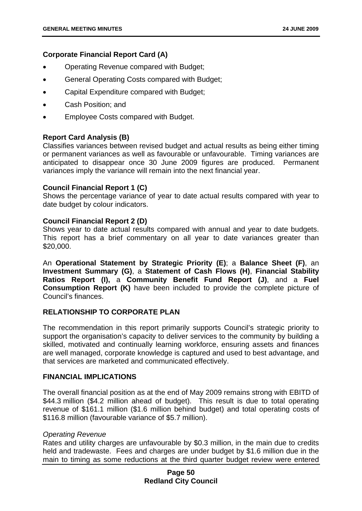## **Corporate Financial Report Card (A)**

- Operating Revenue compared with Budget;
- General Operating Costs compared with Budget;
- Capital Expenditure compared with Budget;
- Cash Position; and
- Employee Costs compared with Budget.

## **Report Card Analysis (B)**

Classifies variances between revised budget and actual results as being either timing or permanent variances as well as favourable or unfavourable. Timing variances are anticipated to disappear once 30 June 2009 figures are produced. Permanent variances imply the variance will remain into the next financial year.

## **Council Financial Report 1 (C)**

Shows the percentage variance of year to date actual results compared with year to date budget by colour indicators.

## **Council Financial Report 2 (D)**

Shows year to date actual results compared with annual and year to date budgets. This report has a brief commentary on all year to date variances greater than \$20,000.

An **Operational Statement by Strategic Priority (E)**; a **Balance Sheet (F)**, an **Investment Summary (G)**, a **Statement of Cash Flows (H)**, **Financial Stability Ratios Report (I),** a **Community Benefit Fund Report (J)**, and a **Fuel Consumption Report (K)** have been included to provide the complete picture of Council's finances.

## **RELATIONSHIP TO CORPORATE PLAN**

The recommendation in this report primarily supports Council's strategic priority to support the organisation's capacity to deliver services to the community by building a skilled, motivated and continually learning workforce, ensuring assets and finances are well managed, corporate knowledge is captured and used to best advantage, and that services are marketed and communicated effectively.

## **FINANCIAL IMPLICATIONS**

The overall financial position as at the end of May 2009 remains strong with EBITD of \$44.3 million (\$4.2 million ahead of budget). This result is due to total operating revenue of \$161.1 million (\$1.6 million behind budget) and total operating costs of \$116.8 million (favourable variance of \$5.7 million).

## *Operating Revenue*

Rates and utility charges are unfavourable by \$0.3 million, in the main due to credits held and tradewaste. Fees and charges are under budget by \$1.6 million due in the main to timing as some reductions at the third quarter budget review were entered

## **Page 50 Redland City Council**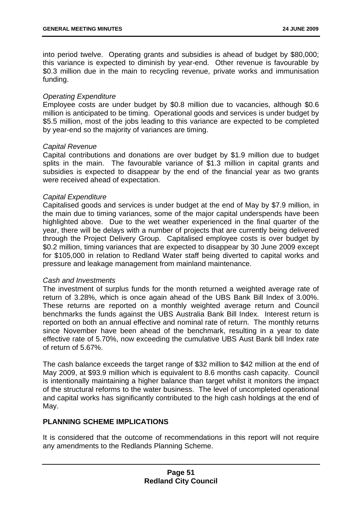into period twelve. Operating grants and subsidies is ahead of budget by \$80,000; this variance is expected to diminish by year-end. Other revenue is favourable by \$0.3 million due in the main to recycling revenue, private works and immunisation funding.

### *Operating Expenditure*

Employee costs are under budget by \$0.8 million due to vacancies, although \$0.6 million is anticipated to be timing. Operational goods and services is under budget by \$5.5 million, most of the jobs leading to this variance are expected to be completed by year-end so the majority of variances are timing.

#### *Capital Revenue*

Capital contributions and donations are over budget by \$1.9 million due to budget splits in the main. The favourable variance of \$1.3 million in capital grants and subsidies is expected to disappear by the end of the financial year as two grants were received ahead of expectation.

#### *Capital Expenditure*

Capitalised goods and services is under budget at the end of May by \$7.9 million, in the main due to timing variances, some of the major capital underspends have been highlighted above. Due to the wet weather experienced in the final quarter of the year, there will be delays with a number of projects that are currently being delivered through the Project Delivery Group. Capitalised employee costs is over budget by \$0.2 million, timing variances that are expected to disappear by 30 June 2009 except for \$105,000 in relation to Redland Water staff being diverted to capital works and pressure and leakage management from mainland maintenance.

## *Cash and Investments*

The investment of surplus funds for the month returned a weighted average rate of return of 3.28%, which is once again ahead of the UBS Bank Bill Index of 3.00%. These returns are reported on a monthly weighted average return and Council benchmarks the funds against the UBS Australia Bank Bill Index. Interest return is reported on both an annual effective and nominal rate of return. The monthly returns since November have been ahead of the benchmark, resulting in a year to date effective rate of 5.70%, now exceeding the cumulative UBS Aust Bank bill Index rate of return of 5.67%.

The cash balance exceeds the target range of \$32 million to \$42 million at the end of May 2009, at \$93.9 million which is equivalent to 8.6 months cash capacity. Council is intentionally maintaining a higher balance than target whilst it monitors the impact of the structural reforms to the water business. The level of uncompleted operational and capital works has significantly contributed to the high cash holdings at the end of May.

## **PLANNING SCHEME IMPLICATIONS**

It is considered that the outcome of recommendations in this report will not require any amendments to the Redlands Planning Scheme.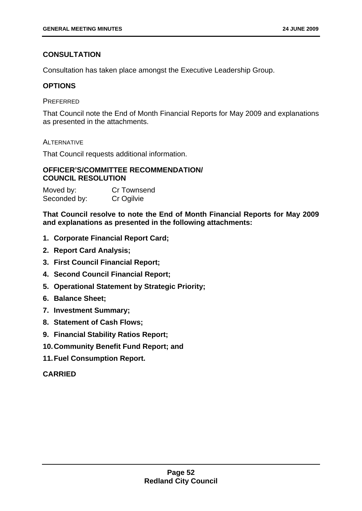# **CONSULTATION**

Consultation has taken place amongst the Executive Leadership Group.

# **OPTIONS**

## **PREFERRED**

That Council note the End of Month Financial Reports for May 2009 and explanations as presented in the attachments.

# **ALTERNATIVE**

That Council requests additional information.

# **OFFICER'S/COMMITTEE RECOMMENDATION/ COUNCIL RESOLUTION**

| Moved by:    | Cr Townsend |
|--------------|-------------|
| Seconded by: | Cr Ogilvie  |

**That Council resolve to note the End of Month Financial Reports for May 2009 and explanations as presented in the following attachments:** 

- **1. Corporate Financial Report Card;**
- **2. Report Card Analysis;**
- **3. First Council Financial Report;**
- **4. Second Council Financial Report;**
- **5. Operational Statement by Strategic Priority;**
- **6. Balance Sheet;**
- **7. Investment Summary;**
- **8. Statement of Cash Flows;**
- **9. Financial Stability Ratios Report;**
- **10. Community Benefit Fund Report; and**
- **11. Fuel Consumption Report.**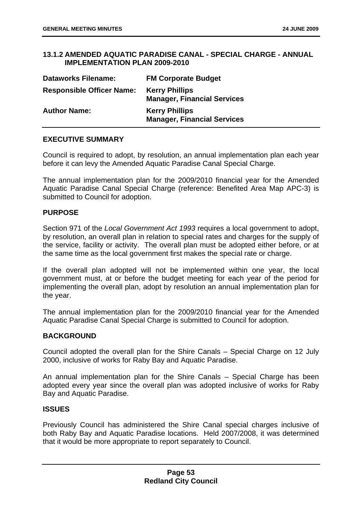## **13.1.2 AMENDED AQUATIC PARADISE CANAL - SPECIAL CHARGE - ANNUAL IMPLEMENTATION PLAN 2009-2010**

| <b>Dataworks Filename:</b>       | <b>FM Corporate Budget</b>                                  |
|----------------------------------|-------------------------------------------------------------|
| <b>Responsible Officer Name:</b> | <b>Kerry Phillips</b><br><b>Manager, Financial Services</b> |
| <b>Author Name:</b>              | <b>Kerry Phillips</b><br><b>Manager, Financial Services</b> |

## **EXECUTIVE SUMMARY**

Council is required to adopt, by resolution, an annual implementation plan each year before it can levy the Amended Aquatic Paradise Canal Special Charge.

The annual implementation plan for the 2009/2010 financial year for the Amended Aquatic Paradise Canal Special Charge (reference: Benefited Area Map APC-3) is submitted to Council for adoption.

#### **PURPOSE**

Section 971 of the *Local Government Act 1993* requires a local government to adopt, by resolution, an overall plan in relation to special rates and charges for the supply of the service, facility or activity. The overall plan must be adopted either before, or at the same time as the local government first makes the special rate or charge.

If the overall plan adopted will not be implemented within one year, the local government must, at or before the budget meeting for each year of the period for implementing the overall plan, adopt by resolution an annual implementation plan for the year.

The annual implementation plan for the 2009/2010 financial year for the Amended Aquatic Paradise Canal Special Charge is submitted to Council for adoption.

## **BACKGROUND**

Council adopted the overall plan for the Shire Canals – Special Charge on 12 July 2000, inclusive of works for Raby Bay and Aquatic Paradise.

An annual implementation plan for the Shire Canals – Special Charge has been adopted every year since the overall plan was adopted inclusive of works for Raby Bay and Aquatic Paradise.

### **ISSUES**

Previously Council has administered the Shire Canal special charges inclusive of both Raby Bay and Aquatic Paradise locations. Held 2007/2008, it was determined that it would be more appropriate to report separately to Council.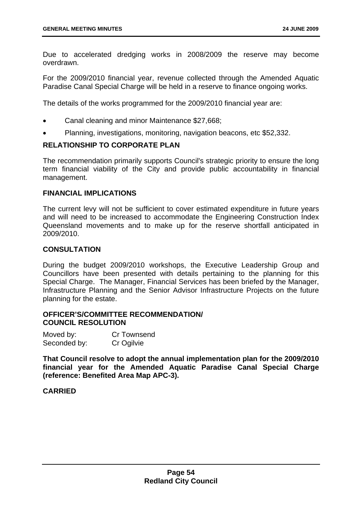Due to accelerated dredging works in 2008/2009 the reserve may become overdrawn.

For the 2009/2010 financial year, revenue collected through the Amended Aquatic Paradise Canal Special Charge will be held in a reserve to finance ongoing works.

The details of the works programmed for the 2009/2010 financial year are:

- Canal cleaning and minor Maintenance \$27,668;
- Planning, investigations, monitoring, navigation beacons, etc \$52,332.

# **RELATIONSHIP TO CORPORATE PLAN**

The recommendation primarily supports Council's strategic priority to ensure the long term financial viability of the City and provide public accountability in financial management.

#### **FINANCIAL IMPLICATIONS**

The current levy will not be sufficient to cover estimated expenditure in future years and will need to be increased to accommodate the Engineering Construction Index Queensland movements and to make up for the reserve shortfall anticipated in 2009/2010.

## **CONSULTATION**

During the budget 2009/2010 workshops, the Executive Leadership Group and Councillors have been presented with details pertaining to the planning for this Special Charge. The Manager, Financial Services has been briefed by the Manager, Infrastructure Planning and the Senior Advisor Infrastructure Projects on the future planning for the estate.

## **OFFICER'S/COMMITTEE RECOMMENDATION/ COUNCIL RESOLUTION**

| Moved by:    | Cr Townsend |
|--------------|-------------|
| Seconded by: | Cr Ogilvie  |

**That Council resolve to adopt the annual implementation plan for the 2009/2010 financial year for the Amended Aquatic Paradise Canal Special Charge (reference: Benefited Area Map APC-3).**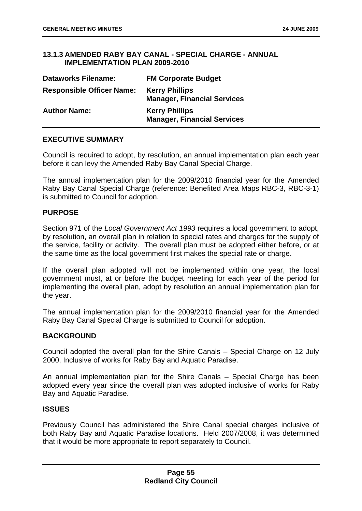## **13.1.3 AMENDED RABY BAY CANAL - SPECIAL CHARGE - ANNUAL IMPLEMENTATION PLAN 2009-2010**

| <b>Dataworks Filename:</b>       | <b>FM Corporate Budget</b>                                  |
|----------------------------------|-------------------------------------------------------------|
| <b>Responsible Officer Name:</b> | <b>Kerry Phillips</b><br><b>Manager, Financial Services</b> |
| <b>Author Name:</b>              | <b>Kerry Phillips</b><br><b>Manager, Financial Services</b> |

## **EXECUTIVE SUMMARY**

Council is required to adopt, by resolution, an annual implementation plan each year before it can levy the Amended Raby Bay Canal Special Charge.

The annual implementation plan for the 2009/2010 financial year for the Amended Raby Bay Canal Special Charge (reference: Benefited Area Maps RBC-3, RBC-3-1) is submitted to Council for adoption.

#### **PURPOSE**

Section 971 of the *Local Government Act 1993* requires a local government to adopt, by resolution, an overall plan in relation to special rates and charges for the supply of the service, facility or activity. The overall plan must be adopted either before, or at the same time as the local government first makes the special rate or charge.

If the overall plan adopted will not be implemented within one year, the local government must, at or before the budget meeting for each year of the period for implementing the overall plan, adopt by resolution an annual implementation plan for the year.

The annual implementation plan for the 2009/2010 financial year for the Amended Raby Bay Canal Special Charge is submitted to Council for adoption.

## **BACKGROUND**

Council adopted the overall plan for the Shire Canals – Special Charge on 12 July 2000, Inclusive of works for Raby Bay and Aquatic Paradise.

An annual implementation plan for the Shire Canals – Special Charge has been adopted every year since the overall plan was adopted inclusive of works for Raby Bay and Aquatic Paradise.

## **ISSUES**

Previously Council has administered the Shire Canal special charges inclusive of both Raby Bay and Aquatic Paradise locations. Held 2007/2008, it was determined that it would be more appropriate to report separately to Council.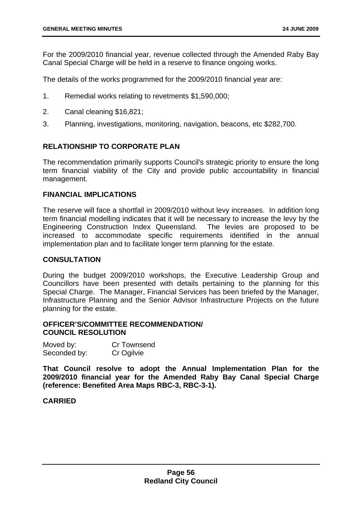For the 2009/2010 financial year, revenue collected through the Amended Raby Bay Canal Special Charge will be held in a reserve to finance ongoing works.

The details of the works programmed for the 2009/2010 financial year are:

- 1. Remedial works relating to revetments \$1,590,000;
- 2. Canal cleaning \$16,821;
- 3. Planning, investigations, monitoring, navigation, beacons, etc \$282,700.

## **RELATIONSHIP TO CORPORATE PLAN**

The recommendation primarily supports Council's strategic priority to ensure the long term financial viability of the City and provide public accountability in financial management.

### **FINANCIAL IMPLICATIONS**

The reserve will face a shortfall in 2009/2010 without levy increases. In addition long term financial modelling indicates that it will be necessary to increase the levy by the Engineering Construction Index Queensland. The levies are proposed to be increased to accommodate specific requirements identified in the annual implementation plan and to facilitate longer term planning for the estate.

## **CONSULTATION**

During the budget 2009/2010 workshops, the Executive Leadership Group and Councillors have been presented with details pertaining to the planning for this Special Charge. The Manager, Financial Services has been briefed by the Manager, Infrastructure Planning and the Senior Advisor Infrastructure Projects on the future planning for the estate.

## **OFFICER'S/COMMITTEE RECOMMENDATION/ COUNCIL RESOLUTION**

| Moved by:    | Cr Townsend |
|--------------|-------------|
| Seconded by: | Cr Ogilvie  |

**That Council resolve to adopt the Annual Implementation Plan for the 2009/2010 financial year for the Amended Raby Bay Canal Special Charge (reference: Benefited Area Maps RBC-3, RBC-3-1).**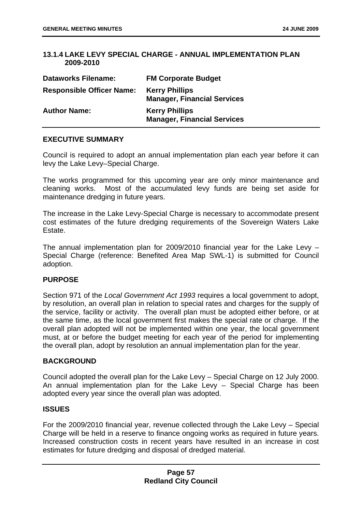## **13.1.4 LAKE LEVY SPECIAL CHARGE - ANNUAL IMPLEMENTATION PLAN 2009-2010**

| <b>Dataworks Filename:</b>       | <b>FM Corporate Budget</b>                                  |
|----------------------------------|-------------------------------------------------------------|
| <b>Responsible Officer Name:</b> | <b>Kerry Phillips</b><br><b>Manager, Financial Services</b> |
| <b>Author Name:</b>              | <b>Kerry Phillips</b><br><b>Manager, Financial Services</b> |

## **EXECUTIVE SUMMARY**

Council is required to adopt an annual implementation plan each year before it can levy the Lake Levy–Special Charge.

The works programmed for this upcoming year are only minor maintenance and cleaning works. Most of the accumulated levy funds are being set aside for maintenance dredging in future years.

The increase in the Lake Levy-Special Charge is necessary to accommodate present cost estimates of the future dredging requirements of the Sovereign Waters Lake Estate.

The annual implementation plan for 2009/2010 financial year for the Lake Levy – Special Charge (reference: Benefited Area Map SWL-1) is submitted for Council adoption.

## **PURPOSE**

Section 971 of the *Local Government Act 1993* requires a local government to adopt, by resolution, an overall plan in relation to special rates and charges for the supply of the service, facility or activity. The overall plan must be adopted either before, or at the same time, as the local government first makes the special rate or charge. If the overall plan adopted will not be implemented within one year, the local government must, at or before the budget meeting for each year of the period for implementing the overall plan, adopt by resolution an annual implementation plan for the year.

## **BACKGROUND**

Council adopted the overall plan for the Lake Levy – Special Charge on 12 July 2000. An annual implementation plan for the Lake Levy – Special Charge has been adopted every year since the overall plan was adopted.

## **ISSUES**

For the 2009/2010 financial year, revenue collected through the Lake Levy – Special Charge will be held in a reserve to finance ongoing works as required in future years. Increased construction costs in recent years have resulted in an increase in cost estimates for future dredging and disposal of dredged material.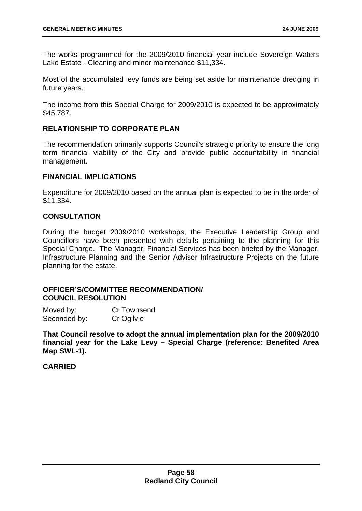The works programmed for the 2009/2010 financial year include Sovereign Waters Lake Estate - Cleaning and minor maintenance \$11,334.

Most of the accumulated levy funds are being set aside for maintenance dredging in future years.

The income from this Special Charge for 2009/2010 is expected to be approximately \$45,787.

## **RELATIONSHIP TO CORPORATE PLAN**

The recommendation primarily supports Council's strategic priority to ensure the long term financial viability of the City and provide public accountability in financial management.

## **FINANCIAL IMPLICATIONS**

Expenditure for 2009/2010 based on the annual plan is expected to be in the order of \$11,334.

## **CONSULTATION**

During the budget 2009/2010 workshops, the Executive Leadership Group and Councillors have been presented with details pertaining to the planning for this Special Charge. The Manager, Financial Services has been briefed by the Manager, Infrastructure Planning and the Senior Advisor Infrastructure Projects on the future planning for the estate.

## **OFFICER'S/COMMITTEE RECOMMENDATION/ COUNCIL RESOLUTION**

Moved by: Cr Townsend Seconded by: Cr Ogilvie

**That Council resolve to adopt the annual implementation plan for the 2009/2010 financial year for the Lake Levy – Special Charge (reference: Benefited Area Map SWL-1).**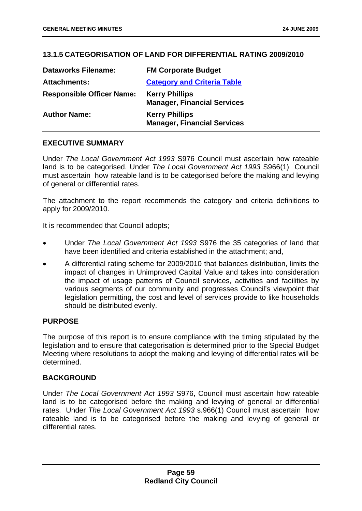## **13.1.5 CATEGORISATION OF LAND FOR DIFFERENTIAL RATING 2009/2010**

| <b>Dataworks Filename:</b>       | <b>FM Corporate Budget</b>                                  |
|----------------------------------|-------------------------------------------------------------|
| <b>Attachments:</b>              | <b>Category and Criteria Table</b>                          |
| <b>Responsible Officer Name:</b> | <b>Kerry Phillips</b><br><b>Manager, Financial Services</b> |
| <b>Author Name:</b>              | <b>Kerry Phillips</b><br><b>Manager, Financial Services</b> |

## **EXECUTIVE SUMMARY**

Under *The Local Government Act 1993* S976 Council must ascertain how rateable land is to be categorised. Under *The Local Government Act 1993* S966(1) Council must ascertain how rateable land is to be categorised before the making and levying of general or differential rates.

The attachment to the report recommends the category and criteria definitions to apply for 2009/2010.

It is recommended that Council adopts;

- Under *The Local Government Act 1993* S976 the 35 categories of land that have been identified and criteria established in the attachment; and,
- A differential rating scheme for 2009/2010 that balances distribution, limits the impact of changes in Unimproved Capital Value and takes into consideration the impact of usage patterns of Council services, activities and facilities by various segments of our community and progresses Council's viewpoint that legislation permitting, the cost and level of services provide to like households should be distributed evenly.

## **PURPOSE**

The purpose of this report is to ensure compliance with the timing stipulated by the legislation and to ensure that categorisation is determined prior to the Special Budget Meeting where resolutions to adopt the making and levying of differential rates will be determined.

## **BACKGROUND**

Under *The Local Government Act 1993* S976, Council must ascertain how rateable land is to be categorised before the making and levying of general or differential rates. Under *The Local Government Act 1993* s.966(1) Council must ascertain how rateable land is to be categorised before the making and levying of general or differential rates.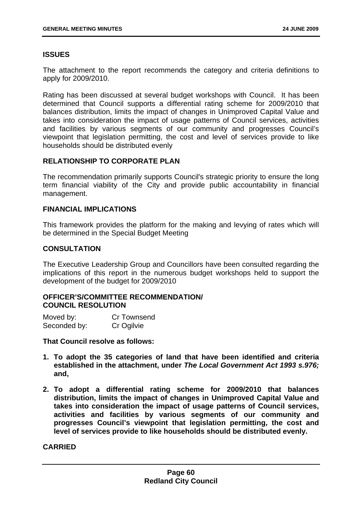## **ISSUES**

The attachment to the report recommends the category and criteria definitions to apply for 2009/2010.

Rating has been discussed at several budget workshops with Council. It has been determined that Council supports a differential rating scheme for 2009/2010 that balances distribution, limits the impact of changes in Unimproved Capital Value and takes into consideration the impact of usage patterns of Council services, activities and facilities by various segments of our community and progresses Council's viewpoint that legislation permitting, the cost and level of services provide to like households should be distributed evenly

## **RELATIONSHIP TO CORPORATE PLAN**

The recommendation primarily supports Council's strategic priority to ensure the long term financial viability of the City and provide public accountability in financial management.

### **FINANCIAL IMPLICATIONS**

This framework provides the platform for the making and levying of rates which will be determined in the Special Budget Meeting

## **CONSULTATION**

The Executive Leadership Group and Councillors have been consulted regarding the implications of this report in the numerous budget workshops held to support the development of the budget for 2009/2010

## **OFFICER'S/COMMITTEE RECOMMENDATION/ COUNCIL RESOLUTION**

| Moved by:    | Cr Townsend |
|--------------|-------------|
| Seconded by: | Cr Ogilvie  |

**That Council resolve as follows:** 

- **1. To adopt the 35 categories of land that have been identified and criteria established in the attachment, under** *The Local Government Act 1993 s.976;* **and,**
- **2. To adopt a differential rating scheme for 2009/2010 that balances distribution, limits the impact of changes in Unimproved Capital Value and takes into consideration the impact of usage patterns of Council services, activities and facilities by various segments of our community and progresses Council's viewpoint that legislation permitting, the cost and level of services provide to like households should be distributed evenly.**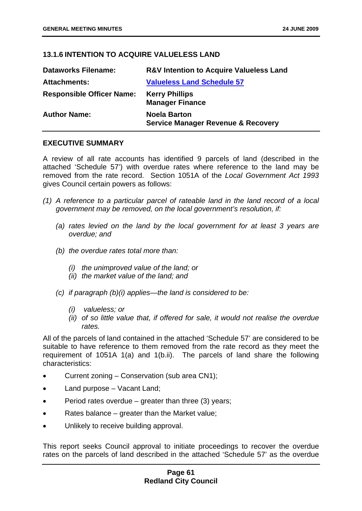# **13.1.6 INTENTION TO ACQUIRE VALUELESS LAND**

| <b>Dataworks Filename:</b>       | <b>R&amp;V Intention to Acquire Valueless Land</b>                   |
|----------------------------------|----------------------------------------------------------------------|
| <b>Attachments:</b>              | <b>Valueless Land Schedule 57</b>                                    |
| <b>Responsible Officer Name:</b> | <b>Kerry Phillips</b><br><b>Manager Finance</b>                      |
| <b>Author Name:</b>              | <b>Noela Barton</b><br><b>Service Manager Revenue &amp; Recovery</b> |

## **EXECUTIVE SUMMARY**

A review of all rate accounts has identified 9 parcels of land (described in the attached 'Schedule 57') with overdue rates where reference to the land may be removed from the rate record. Section 1051A of the *Local Government Act 1993* gives Council certain powers as follows:

- *(1) A reference to a particular parcel of rateable land in the land record of a local government may be removed, on the local government's resolution, if:* 
	- *(a) rates levied on the land by the local government for at least 3 years are overdue; and*
	- *(b) the overdue rates total more than:* 
		- *(i) the unimproved value of the land; or*
		- *(ii) the market value of the land; and*
	- *(c) if paragraph (b)(i) applies—the land is considered to be:* 
		- *(i) valueless; or*
		- *(ii) of so little value that, if offered for sale, it would not realise the overdue rates.*

All of the parcels of land contained in the attached 'Schedule 57' are considered to be suitable to have reference to them removed from the rate record as they meet the requirement of 1051A 1(a) and 1(b.ii). The parcels of land share the following characteristics:

- Current zoning Conservation (sub area CN1);
- Land purpose Vacant Land;
- Period rates overdue greater than three (3) years;
- Rates balance greater than the Market value;
- Unlikely to receive building approval.

This report seeks Council approval to initiate proceedings to recover the overdue rates on the parcels of land described in the attached 'Schedule 57' as the overdue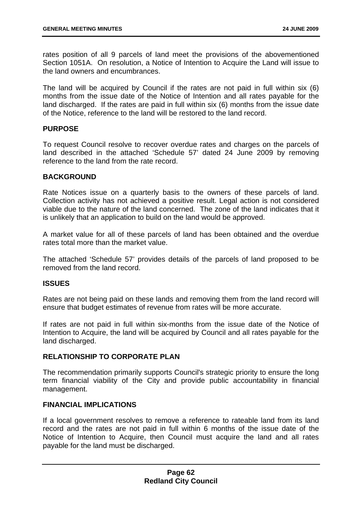rates position of all 9 parcels of land meet the provisions of the abovementioned Section 1051A. On resolution, a Notice of Intention to Acquire the Land will issue to the land owners and encumbrances.

The land will be acquired by Council if the rates are not paid in full within six (6) months from the issue date of the Notice of Intention and all rates payable for the land discharged. If the rates are paid in full within six (6) months from the issue date of the Notice, reference to the land will be restored to the land record.

## **PURPOSE**

To request Council resolve to recover overdue rates and charges on the parcels of land described in the attached 'Schedule 57' dated 24 June 2009 by removing reference to the land from the rate record.

## **BACKGROUND**

Rate Notices issue on a quarterly basis to the owners of these parcels of land. Collection activity has not achieved a positive result. Legal action is not considered viable due to the nature of the land concerned. The zone of the land indicates that it is unlikely that an application to build on the land would be approved.

A market value for all of these parcels of land has been obtained and the overdue rates total more than the market value.

The attached 'Schedule 57' provides details of the parcels of land proposed to be removed from the land record.

## **ISSUES**

Rates are not being paid on these lands and removing them from the land record will ensure that budget estimates of revenue from rates will be more accurate.

If rates are not paid in full within six-months from the issue date of the Notice of Intention to Acquire, the land will be acquired by Council and all rates payable for the land discharged.

## **RELATIONSHIP TO CORPORATE PLAN**

The recommendation primarily supports Council's strategic priority to ensure the long term financial viability of the City and provide public accountability in financial management.

## **FINANCIAL IMPLICATIONS**

If a local government resolves to remove a reference to rateable land from its land record and the rates are not paid in full within 6 months of the issue date of the Notice of Intention to Acquire, then Council must acquire the land and all rates payable for the land must be discharged.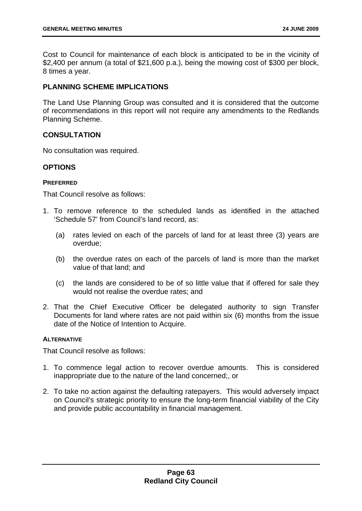Cost to Council for maintenance of each block is anticipated to be in the vicinity of \$2,400 per annum (a total of \$21,600 p.a.), being the mowing cost of \$300 per block, 8 times a year.

## **PLANNING SCHEME IMPLICATIONS**

The Land Use Planning Group was consulted and it is considered that the outcome of recommendations in this report will not require any amendments to the Redlands Planning Scheme.

## **CONSULTATION**

No consultation was required.

## **OPTIONS**

## **PREFERRED**

That Council resolve as follows:

- 1. To remove reference to the scheduled lands as identified in the attached 'Schedule 57' from Council's land record, as:
	- (a) rates levied on each of the parcels of land for at least three (3) years are overdue;
	- (b) the overdue rates on each of the parcels of land is more than the market value of that land; and
	- (c) the lands are considered to be of so little value that if offered for sale they would not realise the overdue rates; and
- 2. That the Chief Executive Officer be delegated authority to sign Transfer Documents for land where rates are not paid within six (6) months from the issue date of the Notice of Intention to Acquire.

## **ALTERNATIVE**

That Council resolve as follows:

- 1. To commence legal action to recover overdue amounts. This is considered inappropriate due to the nature of the land concerned;, or
- 2. To take no action against the defaulting ratepayers. This would adversely impact on Council's strategic priority to ensure the long-term financial viability of the City and provide public accountability in financial management.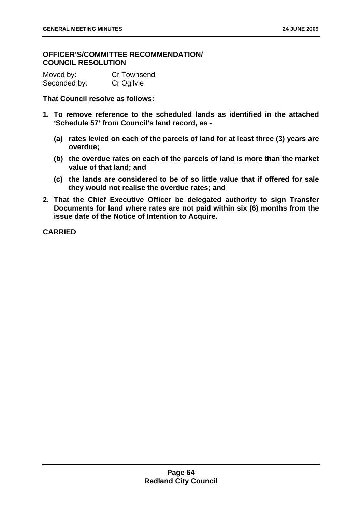## **OFFICER'S/COMMITTEE RECOMMENDATION/ COUNCIL RESOLUTION**

| Moved by:    | Cr Townsend |
|--------------|-------------|
| Seconded by: | Cr Ogilvie  |

**That Council resolve as follows:** 

- **1. To remove reference to the scheduled lands as identified in the attached 'Schedule 57' from Council's land record, as -** 
	- **(a) rates levied on each of the parcels of land for at least three (3) years are overdue;**
	- **(b) the overdue rates on each of the parcels of land is more than the market value of that land; and**
	- **(c) the lands are considered to be of so little value that if offered for sale they would not realise the overdue rates; and**
- **2. That the Chief Executive Officer be delegated authority to sign Transfer Documents for land where rates are not paid within six (6) months from the issue date of the Notice of Intention to Acquire.**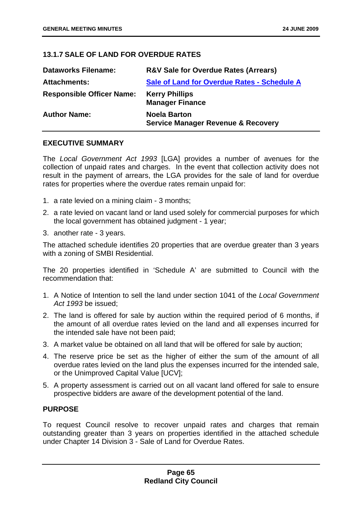## **13.1.7 SALE OF LAND FOR OVERDUE RATES**

| <b>Dataworks Filename:</b>       | <b>R&amp;V Sale for Overdue Rates (Arrears)</b>                      |
|----------------------------------|----------------------------------------------------------------------|
| <b>Attachments:</b>              | Sale of Land for Overdue Rates - Schedule A                          |
| <b>Responsible Officer Name:</b> | <b>Kerry Phillips</b><br><b>Manager Finance</b>                      |
| <b>Author Name:</b>              | <b>Noela Barton</b><br><b>Service Manager Revenue &amp; Recovery</b> |

## **EXECUTIVE SUMMARY**

The *Local Government Act 1993* [LGA] provides a number of avenues for the collection of unpaid rates and charges. In the event that collection activity does not result in the payment of arrears, the LGA provides for the sale of land for overdue rates for properties where the overdue rates remain unpaid for:

- 1. a rate levied on a mining claim 3 months;
- 2. a rate levied on vacant land or land used solely for commercial purposes for which the local government has obtained judgment - 1 year;
- 3. another rate 3 years.

The attached schedule identifies 20 properties that are overdue greater than 3 years with a zoning of SMBI Residential.

The 20 properties identified in 'Schedule A' are submitted to Council with the recommendation that:

- 1. A Notice of Intention to sell the land under section 1041 of the *Local Government Act 1993* be issued;
- 2. The land is offered for sale by auction within the required period of 6 months, if the amount of all overdue rates levied on the land and all expenses incurred for the intended sale have not been paid;
- 3. A market value be obtained on all land that will be offered for sale by auction;
- 4. The reserve price be set as the higher of either the sum of the amount of all overdue rates levied on the land plus the expenses incurred for the intended sale, or the Unimproved Capital Value [UCV];
- 5. A property assessment is carried out on all vacant land offered for sale to ensure prospective bidders are aware of the development potential of the land.

## **PURPOSE**

To request Council resolve to recover unpaid rates and charges that remain outstanding greater than 3 years on properties identified in the attached schedule under Chapter 14 Division 3 - Sale of Land for Overdue Rates.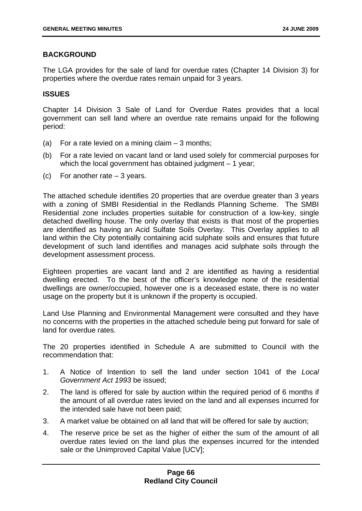## **BACKGROUND**

The LGA provides for the sale of land for overdue rates (Chapter 14 Division 3) for properties where the overdue rates remain unpaid for 3 years.

## **ISSUES**

Chapter 14 Division 3 Sale of Land for Overdue Rates provides that a local government can sell land where an overdue rate remains unpaid for the following period:

- (a) For a rate levied on a mining claim  $-3$  months:
- (b) For a rate levied on vacant land or land used solely for commercial purposes for which the local government has obtained judgment – 1 year;
- (c) For another rate 3 years.

The attached schedule identifies 20 properties that are overdue greater than 3 years with a zoning of SMBI Residential in the Redlands Planning Scheme. The SMBI Residential zone includes properties suitable for construction of a low-key, single detached dwelling house. The only overlay that exists is that most of the properties are identified as having an Acid Sulfate Soils Overlay. This Overlay applies to all land within the City potentially containing acid sulphate soils and ensures that future development of such land identifies and manages acid sulphate soils through the development assessment process.

Eighteen properties are vacant land and 2 are identified as having a residential dwelling erected. To the best of the officer's knowledge none of the residential dwellings are owner/occupied, however one is a deceased estate, there is no water usage on the property but it is unknown if the property is occupied.

Land Use Planning and Environmental Management were consulted and they have no concerns with the properties in the attached schedule being put forward for sale of land for overdue rates.

The 20 properties identified in Schedule A are submitted to Council with the recommendation that:

- 1. A Notice of Intention to sell the land under section 1041 of the *Local Government Act 1993* be issued;
- 2. The land is offered for sale by auction within the required period of 6 months if the amount of all overdue rates levied on the land and all expenses incurred for the intended sale have not been paid;
- 3. A market value be obtained on all land that will be offered for sale by auction;
- 4. The reserve price be set as the higher of either the sum of the amount of all overdue rates levied on the land plus the expenses incurred for the intended sale or the Unimproved Capital Value [UCV];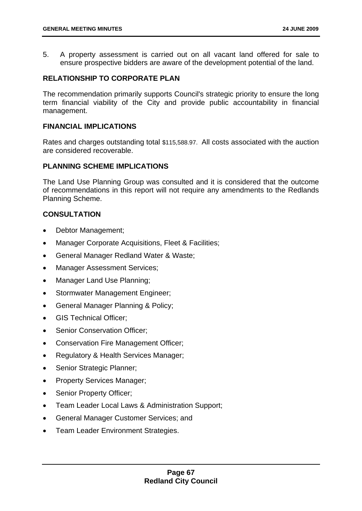5. A property assessment is carried out on all vacant land offered for sale to ensure prospective bidders are aware of the development potential of the land.

# **RELATIONSHIP TO CORPORATE PLAN**

The recommendation primarily supports Council's strategic priority to ensure the long term financial viability of the City and provide public accountability in financial management.

## **FINANCIAL IMPLICATIONS**

Rates and charges outstanding total \$115,588.97. All costs associated with the auction are considered recoverable.

# **PLANNING SCHEME IMPLICATIONS**

The Land Use Planning Group was consulted and it is considered that the outcome of recommendations in this report will not require any amendments to the Redlands Planning Scheme.

# **CONSULTATION**

- Debtor Management;
- Manager Corporate Acquisitions, Fleet & Facilities:
- General Manager Redland Water & Waste;
- Manager Assessment Services;
- Manager Land Use Planning;
- Stormwater Management Engineer;
- General Manager Planning & Policy;
- GIS Technical Officer;
- Senior Conservation Officer:
- Conservation Fire Management Officer;
- Regulatory & Health Services Manager;
- Senior Strategic Planner;
- Property Services Manager;
- Senior Property Officer;
- Team Leader Local Laws & Administration Support;
- General Manager Customer Services; and
- Team Leader Environment Strategies.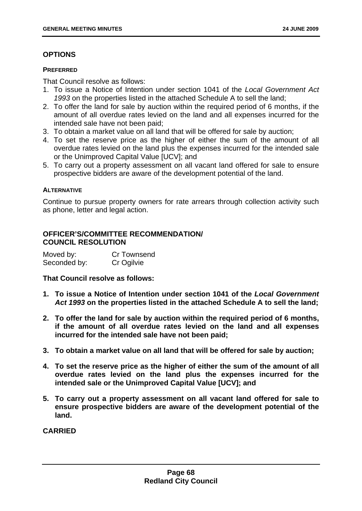# **OPTIONS**

#### **PREFERRED**

That Council resolve as follows:

- 1. To issue a Notice of Intention under section 1041 of the *Local Government Act 1993* on the properties listed in the attached Schedule A to sell the land;
- 2. To offer the land for sale by auction within the required period of 6 months, if the amount of all overdue rates levied on the land and all expenses incurred for the intended sale have not been paid;
- 3. To obtain a market value on all land that will be offered for sale by auction;
- 4. To set the reserve price as the higher of either the sum of the amount of all overdue rates levied on the land plus the expenses incurred for the intended sale or the Unimproved Capital Value [UCV]; and
- 5. To carry out a property assessment on all vacant land offered for sale to ensure prospective bidders are aware of the development potential of the land.

### **ALTERNATIVE**

Continue to pursue property owners for rate arrears through collection activity such as phone, letter and legal action.

# **OFFICER'S/COMMITTEE RECOMMENDATION/ COUNCIL RESOLUTION**

| Moved by:    | Cr Townsend |
|--------------|-------------|
| Seconded by: | Cr Ogilvie  |

**That Council resolve as follows:** 

- **1. To issue a Notice of Intention under section 1041 of the** *Local Government Act 1993* **on the properties listed in the attached Schedule A to sell the land;**
- **2. To offer the land for sale by auction within the required period of 6 months, if the amount of all overdue rates levied on the land and all expenses incurred for the intended sale have not been paid;**
- **3. To obtain a market value on all land that will be offered for sale by auction;**
- **4. To set the reserve price as the higher of either the sum of the amount of all overdue rates levied on the land plus the expenses incurred for the intended sale or the Unimproved Capital Value [UCV]; and**
- **5. To carry out a property assessment on all vacant land offered for sale to ensure prospective bidders are aware of the development potential of the land.**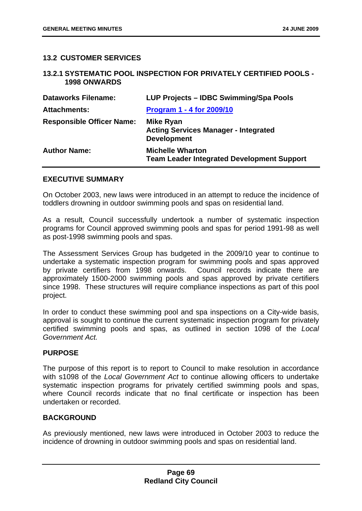## **13.2 CUSTOMER SERVICES**

#### **13.2.1 SYSTEMATIC POOL INSPECTION FOR PRIVATELY CERTIFIED POOLS - 1998 ONWARDS**

| <b>Dataworks Filename:</b>       | LUP Projects – IDBC Swimming/Spa Pools                                                |
|----------------------------------|---------------------------------------------------------------------------------------|
| <b>Attachments:</b>              | Program 1 - 4 for 2009/10                                                             |
| <b>Responsible Officer Name:</b> | <b>Mike Ryan</b><br><b>Acting Services Manager - Integrated</b><br><b>Development</b> |
| <b>Author Name:</b>              | <b>Michelle Wharton</b><br><b>Team Leader Integrated Development Support</b>          |

#### **EXECUTIVE SUMMARY**

On October 2003, new laws were introduced in an attempt to reduce the incidence of toddlers drowning in outdoor swimming pools and spas on residential land.

As a result, Council successfully undertook a number of systematic inspection programs for Council approved swimming pools and spas for period 1991-98 as well as post-1998 swimming pools and spas.

The Assessment Services Group has budgeted in the 2009/10 year to continue to undertake a systematic inspection program for swimming pools and spas approved by private certifiers from 1998 onwards. Council records indicate there are approximately 1500-2000 swimming pools and spas approved by private certifiers since 1998. These structures will require compliance inspections as part of this pool project.

In order to conduct these swimming pool and spa inspections on a City-wide basis, approval is sought to continue the current systematic inspection program for privately certified swimming pools and spas, as outlined in section 1098 of the *Local Government Act.*

### **PURPOSE**

The purpose of this report is to report to Council to make resolution in accordance with s1098 of the *Local Government Act* to continue allowing officers to undertake systematic inspection programs for privately certified swimming pools and spas, where Council records indicate that no final certificate or inspection has been undertaken or recorded.

### **BACKGROUND**

As previously mentioned, new laws were introduced in October 2003 to reduce the incidence of drowning in outdoor swimming pools and spas on residential land.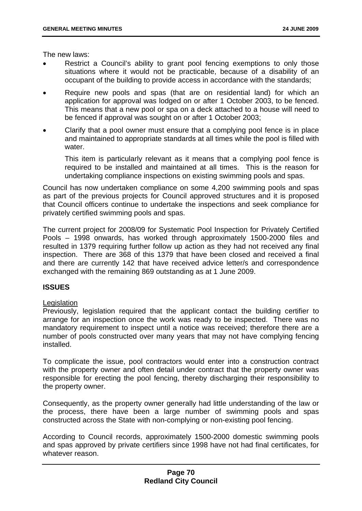The new laws:

- Restrict a Council's ability to grant pool fencing exemptions to only those situations where it would not be practicable, because of a disability of an occupant of the building to provide access in accordance with the standards;
- Require new pools and spas (that are on residential land) for which an application for approval was lodged on or after 1 October 2003, to be fenced. This means that a new pool or spa on a deck attached to a house will need to be fenced if approval was sought on or after 1 October 2003;
- Clarify that a pool owner must ensure that a complying pool fence is in place and maintained to appropriate standards at all times while the pool is filled with water

This item is particularly relevant as it means that a complying pool fence is required to be installed and maintained at all times. This is the reason for undertaking compliance inspections on existing swimming pools and spas.

Council has now undertaken compliance on some 4,200 swimming pools and spas as part of the previous projects for Council approved structures and it is proposed that Council officers continue to undertake the inspections and seek compliance for privately certified swimming pools and spas.

The current project for 2008/09 for Systematic Pool Inspection for Privately Certified Pools – 1998 onwards, has worked through approximately 1500-2000 files and resulted in 1379 requiring further follow up action as they had not received any final inspection. There are 368 of this 1379 that have been closed and received a final and there are currently 142 that have received advice letter/s and correspondence exchanged with the remaining 869 outstanding as at 1 June 2009.

### **ISSUES**

### Legislation

Previously, legislation required that the applicant contact the building certifier to arrange for an inspection once the work was ready to be inspected. There was no mandatory requirement to inspect until a notice was received; therefore there are a number of pools constructed over many years that may not have complying fencing installed.

To complicate the issue, pool contractors would enter into a construction contract with the property owner and often detail under contract that the property owner was responsible for erecting the pool fencing, thereby discharging their responsibility to the property owner.

Consequently, as the property owner generally had little understanding of the law or the process, there have been a large number of swimming pools and spas constructed across the State with non-complying or non-existing pool fencing.

According to Council records, approximately 1500-2000 domestic swimming pools and spas approved by private certifiers since 1998 have not had final certificates, for whatever reason.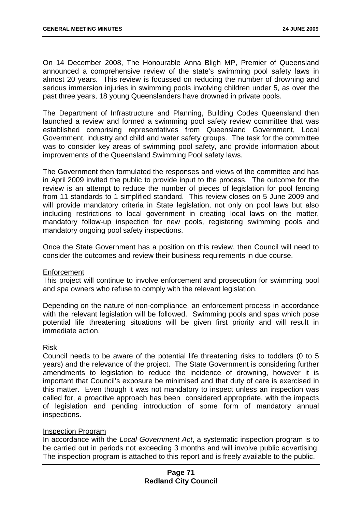On 14 December 2008, The Honourable Anna Bligh MP, Premier of Queensland announced a comprehensive review of the state's swimming pool safety laws in almost 20 years. This review is focussed on reducing the number of drowning and serious immersion injuries in swimming pools involving children under 5, as over the past three years, 18 young Queenslanders have drowned in private pools.

The Department of Infrastructure and Planning, Building Codes Queensland then launched a review and formed a swimming pool safety review committee that was established comprising representatives from Queensland Government, Local Government, industry and child and water safety groups. The task for the committee was to consider key areas of swimming pool safety, and provide information about improvements of the Queensland Swimming Pool safety laws.

The Government then formulated the responses and views of the committee and has in April 2009 invited the public to provide input to the process. The outcome for the review is an attempt to reduce the number of pieces of legislation for pool fencing from 11 standards to 1 simplified standard. This review closes on 5 June 2009 and will provide mandatory criteria in State legislation, not only on pool laws but also including restrictions to local government in creating local laws on the matter, mandatory follow-up inspection for new pools, registering swimming pools and mandatory ongoing pool safety inspections.

Once the State Government has a position on this review, then Council will need to consider the outcomes and review their business requirements in due course.

### **Enforcement**

This project will continue to involve enforcement and prosecution for swimming pool and spa owners who refuse to comply with the relevant legislation.

Depending on the nature of non-compliance, an enforcement process in accordance with the relevant legislation will be followed. Swimming pools and spas which pose potential life threatening situations will be given first priority and will result in immediate action.

### Risk

Council needs to be aware of the potential life threatening risks to toddlers (0 to 5 years) and the relevance of the project. The State Government is considering further amendments to legislation to reduce the incidence of drowning, however it is important that Council's exposure be minimised and that duty of care is exercised in this matter. Even though it was not mandatory to inspect unless an inspection was called for, a proactive approach has been considered appropriate, with the impacts of legislation and pending introduction of some form of mandatory annual inspections.

### Inspection Program

In accordance with the *Local Government Act*, a systematic inspection program is to be carried out in periods not exceeding 3 months and will involve public advertising. The inspection program is attached to this report and is freely available to the public.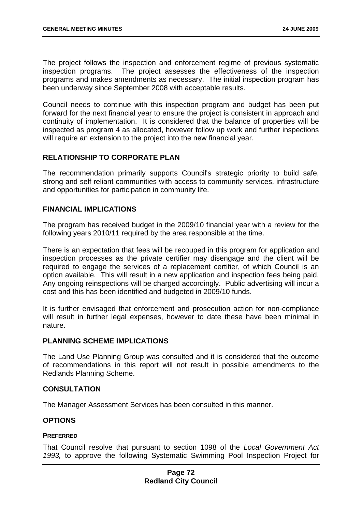The project follows the inspection and enforcement regime of previous systematic inspection programs. The project assesses the effectiveness of the inspection programs and makes amendments as necessary. The initial inspection program has been underway since September 2008 with acceptable results.

Council needs to continue with this inspection program and budget has been put forward for the next financial year to ensure the project is consistent in approach and continuity of implementation. It is considered that the balance of properties will be inspected as program 4 as allocated, however follow up work and further inspections will require an extension to the project into the new financial year.

# **RELATIONSHIP TO CORPORATE PLAN**

The recommendation primarily supports Council's strategic priority to build safe, strong and self reliant communities with access to community services, infrastructure and opportunities for participation in community life.

# **FINANCIAL IMPLICATIONS**

The program has received budget in the 2009/10 financial year with a review for the following years 2010/11 required by the area responsible at the time.

There is an expectation that fees will be recouped in this program for application and inspection processes as the private certifier may disengage and the client will be required to engage the services of a replacement certifier, of which Council is an option available. This will result in a new application and inspection fees being paid. Any ongoing reinspections will be charged accordingly. Public advertising will incur a cost and this has been identified and budgeted in 2009/10 funds.

It is further envisaged that enforcement and prosecution action for non-compliance will result in further legal expenses, however to date these have been minimal in nature.

### **PLANNING SCHEME IMPLICATIONS**

The Land Use Planning Group was consulted and it is considered that the outcome of recommendations in this report will not result in possible amendments to the Redlands Planning Scheme.

### **CONSULTATION**

The Manager Assessment Services has been consulted in this manner.

### **OPTIONS**

### **PREFERRED**

That Council resolve that pursuant to section 1098 of the *Local Government Act 1993,* to approve the following Systematic Swimming Pool Inspection Project for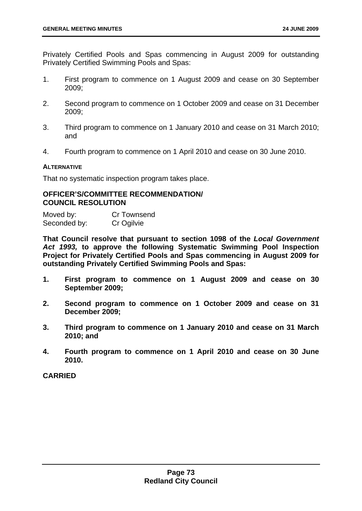Privately Certified Pools and Spas commencing in August 2009 for outstanding Privately Certified Swimming Pools and Spas:

- 1. First program to commence on 1 August 2009 and cease on 30 September 2009;
- 2. Second program to commence on 1 October 2009 and cease on 31 December 2009;
- 3. Third program to commence on 1 January 2010 and cease on 31 March 2010; and
- 4. Fourth program to commence on 1 April 2010 and cease on 30 June 2010.

### **ALTERNATIVE**

That no systematic inspection program takes place.

#### **OFFICER'S/COMMITTEE RECOMMENDATION/ COUNCIL RESOLUTION**

Moved by: Cr Townsend Seconded by: Cr Ogilvie

**That Council resolve that pursuant to section 1098 of the** *Local Government Act 1993,* **to approve the following Systematic Swimming Pool Inspection Project for Privately Certified Pools and Spas commencing in August 2009 for outstanding Privately Certified Swimming Pools and Spas:** 

- **1. First program to commence on 1 August 2009 and cease on 30 September 2009;**
- **2. Second program to commence on 1 October 2009 and cease on 31 December 2009;**
- **3. Third program to commence on 1 January 2010 and cease on 31 March 2010; and**
- **4. Fourth program to commence on 1 April 2010 and cease on 30 June 2010.**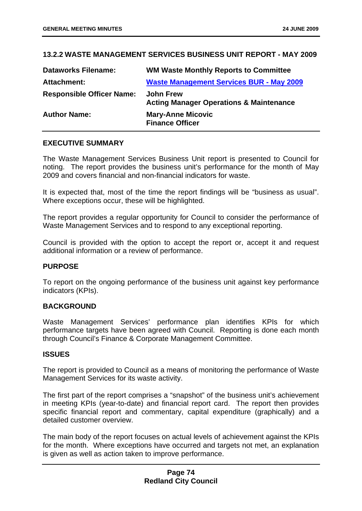# **13.2.2 WASTE MANAGEMENT SERVICES BUSINESS UNIT REPORT - MAY 2009**

| <b>Dataworks Filename:</b>       | <b>WM Waste Monthly Reports to Committee</b>                           |
|----------------------------------|------------------------------------------------------------------------|
| <b>Attachment:</b>               | <b>Waste Management Services BUR - May 2009</b>                        |
| <b>Responsible Officer Name:</b> | <b>John Frew</b><br><b>Acting Manager Operations &amp; Maintenance</b> |
| <b>Author Name:</b>              | <b>Mary-Anne Micovic</b><br><b>Finance Officer</b>                     |

# **EXECUTIVE SUMMARY**

The Waste Management Services Business Unit report is presented to Council for noting. The report provides the business unit's performance for the month of May 2009 and covers financial and non-financial indicators for waste.

It is expected that, most of the time the report findings will be "business as usual". Where exceptions occur, these will be highlighted.

The report provides a regular opportunity for Council to consider the performance of Waste Management Services and to respond to any exceptional reporting.

Council is provided with the option to accept the report or, accept it and request additional information or a review of performance.

### **PURPOSE**

To report on the ongoing performance of the business unit against key performance indicators (KPIs).

### **BACKGROUND**

Waste Management Services' performance plan identifies KPIs for which performance targets have been agreed with Council. Reporting is done each month through Council's Finance & Corporate Management Committee.

#### **ISSUES**

The report is provided to Council as a means of monitoring the performance of Waste Management Services for its waste activity.

The first part of the report comprises a "snapshot" of the business unit's achievement in meeting KPIs (year-to-date) and financial report card. The report then provides specific financial report and commentary, capital expenditure (graphically) and a detailed customer overview.

The main body of the report focuses on actual levels of achievement against the KPIs for the month. Where exceptions have occurred and targets not met, an explanation is given as well as action taken to improve performance.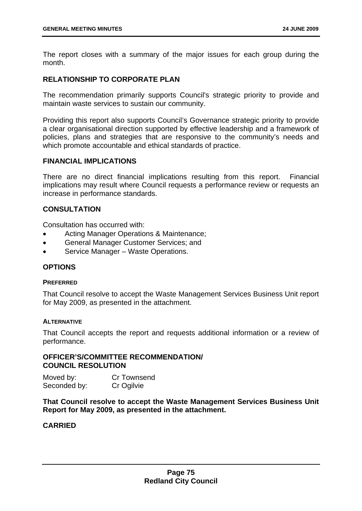The report closes with a summary of the major issues for each group during the month.

## **RELATIONSHIP TO CORPORATE PLAN**

The recommendation primarily supports Council's strategic priority to provide and maintain waste services to sustain our community.

Providing this report also supports Council's Governance strategic priority to provide a clear organisational direction supported by effective leadership and a framework of policies, plans and strategies that are responsive to the community's needs and which promote accountable and ethical standards of practice.

#### **FINANCIAL IMPLICATIONS**

There are no direct financial implications resulting from this report. Financial implications may result where Council requests a performance review or requests an increase in performance standards.

### **CONSULTATION**

Consultation has occurred with:

- Acting Manager Operations & Maintenance;
- General Manager Customer Services; and
- Service Manager Waste Operations.

### **OPTIONS**

#### **PREFERRED**

That Council resolve to accept the Waste Management Services Business Unit report for May 2009, as presented in the attachment.

#### **ALTERNATIVE**

That Council accepts the report and requests additional information or a review of performance.

# **OFFICER'S/COMMITTEE RECOMMENDATION/ COUNCIL RESOLUTION**

Moved by: Cr Townsend Seconded by: Cr Ogilvie

**That Council resolve to accept the Waste Management Services Business Unit Report for May 2009, as presented in the attachment.**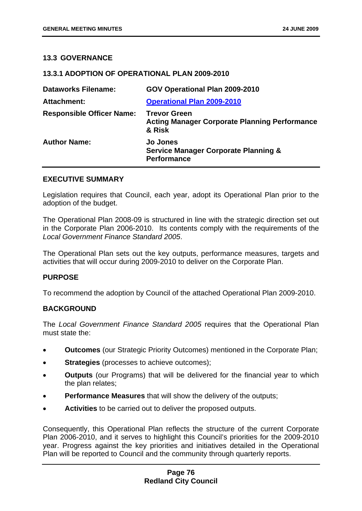## **13.3 GOVERNANCE**

### **13.3.1 ADOPTION OF OPERATIONAL PLAN 2009-2010**

| <b>Dataworks Filename:</b>       | GOV Operational Plan 2009-2010                                                           |
|----------------------------------|------------------------------------------------------------------------------------------|
| <b>Attachment:</b>               | <b>Operational Plan 2009-2010</b>                                                        |
| <b>Responsible Officer Name:</b> | <b>Trevor Green</b><br><b>Acting Manager Corporate Planning Performance</b><br>& Risk    |
| <b>Author Name:</b>              | <b>Jo Jones</b><br><b>Service Manager Corporate Planning &amp;</b><br><b>Performance</b> |

#### **EXECUTIVE SUMMARY**

Legislation requires that Council, each year, adopt its Operational Plan prior to the adoption of the budget.

The Operational Plan 2008-09 is structured in line with the strategic direction set out in the Corporate Plan 2006-2010. Its contents comply with the requirements of the *Local Government Finance Standard 2005*.

The Operational Plan sets out the key outputs, performance measures, targets and activities that will occur during 2009-2010 to deliver on the Corporate Plan.

### **PURPOSE**

To recommend the adoption by Council of the attached Operational Plan 2009-2010.

### **BACKGROUND**

The *Local Government Finance Standard 2005* requires that the Operational Plan must state the:

- **Outcomes** (our Strategic Priority Outcomes) mentioned in the Corporate Plan;
- **Strategies** (processes to achieve outcomes);
- **Outputs** (our Programs) that will be delivered for the financial year to which the plan relates;
- **Performance Measures** that will show the delivery of the outputs;
- **Activities** to be carried out to deliver the proposed outputs.

Consequently, this Operational Plan reflects the structure of the current Corporate Plan 2006-2010, and it serves to highlight this Council's priorities for the 2009-2010 year. Progress against the key priorities and initiatives detailed in the Operational Plan will be reported to Council and the community through quarterly reports.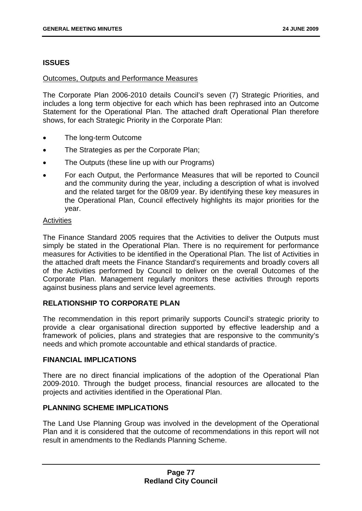## **ISSUES**

### Outcomes, Outputs and Performance Measures

The Corporate Plan 2006-2010 details Council's seven (7) Strategic Priorities, and includes a long term objective for each which has been rephrased into an Outcome Statement for the Operational Plan. The attached draft Operational Plan therefore shows, for each Strategic Priority in the Corporate Plan:

- The long-term Outcome
- The Strategies as per the Corporate Plan;
- The Outputs (these line up with our Programs)
- For each Output, the Performance Measures that will be reported to Council and the community during the year, including a description of what is involved and the related target for the 08/09 year. By identifying these key measures in the Operational Plan, Council effectively highlights its major priorities for the year.

### **Activities**

The Finance Standard 2005 requires that the Activities to deliver the Outputs must simply be stated in the Operational Plan. There is no requirement for performance measures for Activities to be identified in the Operational Plan. The list of Activities in the attached draft meets the Finance Standard's requirements and broadly covers all of the Activities performed by Council to deliver on the overall Outcomes of the Corporate Plan. Management regularly monitors these activities through reports against business plans and service level agreements.

# **RELATIONSHIP TO CORPORATE PLAN**

The recommendation in this report primarily supports Council's strategic priority to provide a clear organisational direction supported by effective leadership and a framework of policies, plans and strategies that are responsive to the community's needs and which promote accountable and ethical standards of practice.

### **FINANCIAL IMPLICATIONS**

There are no direct financial implications of the adoption of the Operational Plan 2009-2010. Through the budget process, financial resources are allocated to the projects and activities identified in the Operational Plan.

## **PLANNING SCHEME IMPLICATIONS**

The Land Use Planning Group was involved in the development of the Operational Plan and it is considered that the outcome of recommendations in this report will not result in amendments to the Redlands Planning Scheme.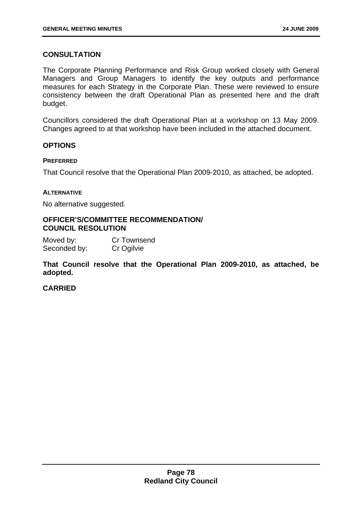# **CONSULTATION**

The Corporate Planning Performance and Risk Group worked closely with General Managers and Group Managers to identify the key outputs and performance measures for each Strategy in the Corporate Plan. These were reviewed to ensure consistency between the draft Operational Plan as presented here and the draft budget.

Councillors considered the draft Operational Plan at a workshop on 13 May 2009. Changes agreed to at that workshop have been included in the attached document.

# **OPTIONS**

#### **PREFERRED**

That Council resolve that the Operational Plan 2009-2010, as attached, be adopted.

#### **ALTERNATIVE**

No alternative suggested.

### **OFFICER'S/COMMITTEE RECOMMENDATION/ COUNCIL RESOLUTION**

Moved by: Cr Townsend Seconded by: Cr Ogilvie

**That Council resolve that the Operational Plan 2009-2010, as attached, be adopted.**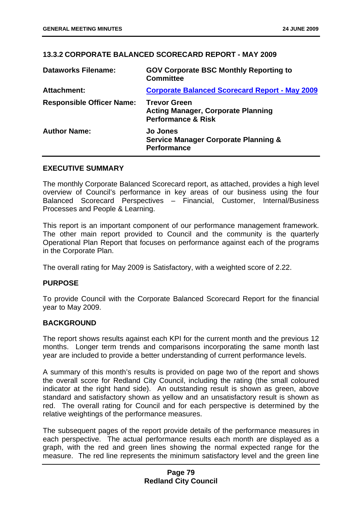# **13.3.2 CORPORATE BALANCED SCORECARD REPORT - MAY 2009**

| <b>Dataworks Filename:</b>       | <b>GOV Corporate BSC Monthly Reporting to</b><br><b>Committee</b>                                 |
|----------------------------------|---------------------------------------------------------------------------------------------------|
| <b>Attachment:</b>               | <b>Corporate Balanced Scorecard Report - May 2009</b>                                             |
| <b>Responsible Officer Name:</b> | <b>Trevor Green</b><br><b>Acting Manager, Corporate Planning</b><br><b>Performance &amp; Risk</b> |
| <b>Author Name:</b>              | <b>Jo Jones</b><br><b>Service Manager Corporate Planning &amp;</b><br><b>Performance</b>          |

#### **EXECUTIVE SUMMARY**

The monthly Corporate Balanced Scorecard report, as attached, provides a high level overview of Council's performance in key areas of our business using the four Balanced Scorecard Perspectives – Financial, Customer, Internal/Business Processes and People & Learning.

This report is an important component of our performance management framework. The other main report provided to Council and the community is the quarterly Operational Plan Report that focuses on performance against each of the programs in the Corporate Plan.

The overall rating for May 2009 is Satisfactory, with a weighted score of 2.22.

### **PURPOSE**

To provide Council with the Corporate Balanced Scorecard Report for the financial year to May 2009.

# **BACKGROUND**

The report shows results against each KPI for the current month and the previous 12 months. Longer term trends and comparisons incorporating the same month last year are included to provide a better understanding of current performance levels.

A summary of this month's results is provided on page two of the report and shows the overall score for Redland City Council, including the rating (the small coloured indicator at the right hand side). An outstanding result is shown as green, above standard and satisfactory shown as yellow and an unsatisfactory result is shown as red. The overall rating for Council and for each perspective is determined by the relative weightings of the performance measures.

The subsequent pages of the report provide details of the performance measures in each perspective. The actual performance results each month are displayed as a graph, with the red and green lines showing the normal expected range for the measure. The red line represents the minimum satisfactory level and the green line

# **Page 79 Redland City Council**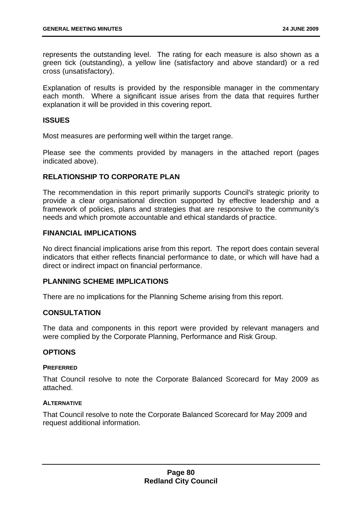represents the outstanding level. The rating for each measure is also shown as a green tick (outstanding), a yellow line (satisfactory and above standard) or a red cross (unsatisfactory).

Explanation of results is provided by the responsible manager in the commentary each month. Where a significant issue arises from the data that requires further explanation it will be provided in this covering report.

### **ISSUES**

Most measures are performing well within the target range.

Please see the comments provided by managers in the attached report (pages indicated above).

### **RELATIONSHIP TO CORPORATE PLAN**

The recommendation in this report primarily supports Council's strategic priority to provide a clear organisational direction supported by effective leadership and a framework of policies, plans and strategies that are responsive to the community's needs and which promote accountable and ethical standards of practice.

#### **FINANCIAL IMPLICATIONS**

No direct financial implications arise from this report. The report does contain several indicators that either reflects financial performance to date, or which will have had a direct or indirect impact on financial performance.

### **PLANNING SCHEME IMPLICATIONS**

There are no implications for the Planning Scheme arising from this report.

## **CONSULTATION**

The data and components in this report were provided by relevant managers and were complied by the Corporate Planning, Performance and Risk Group.

#### **OPTIONS**

#### **PREFERRED**

That Council resolve to note the Corporate Balanced Scorecard for May 2009 as attached.

#### **ALTERNATIVE**

That Council resolve to note the Corporate Balanced Scorecard for May 2009 and request additional information.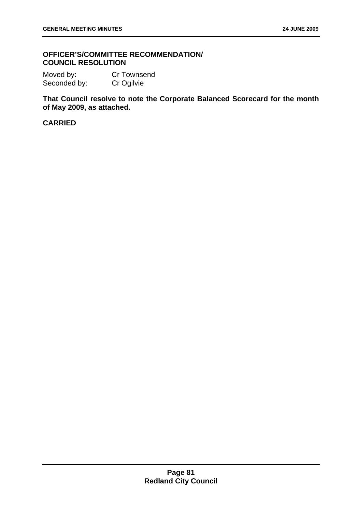# **OFFICER'S/COMMITTEE RECOMMENDATION/ COUNCIL RESOLUTION**

Moved by: Cr Townsend Seconded by: Cr Ogilvie

**That Council resolve to note the Corporate Balanced Scorecard for the month of May 2009, as attached.**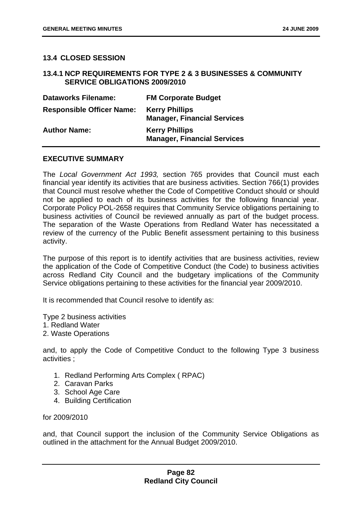### **13.4 CLOSED SESSION**

## **13.4.1 NCP REQUIREMENTS FOR TYPE 2 & 3 BUSINESSES & COMMUNITY SERVICE OBLIGATIONS 2009/2010**

| <b>Dataworks Filename:</b>       | <b>FM Corporate Budget</b>                                  |
|----------------------------------|-------------------------------------------------------------|
| <b>Responsible Officer Name:</b> | <b>Kerry Phillips</b><br><b>Manager, Financial Services</b> |
| <b>Author Name:</b>              | <b>Kerry Phillips</b><br><b>Manager, Financial Services</b> |

### **EXECUTIVE SUMMARY**

The *Local Government Act 1993,* section 765 provides that Council must each financial year identify its activities that are business activities. Section 766(1) provides that Council must resolve whether the Code of Competitive Conduct should or should not be applied to each of its business activities for the following financial year. Corporate Policy POL-2658 requires that Community Service obligations pertaining to business activities of Council be reviewed annually as part of the budget process. The separation of the Waste Operations from Redland Water has necessitated a review of the currency of the Public Benefit assessment pertaining to this business activity.

The purpose of this report is to identify activities that are business activities, review the application of the Code of Competitive Conduct (the Code) to business activities across Redland City Council and the budgetary implications of the Community Service obligations pertaining to these activities for the financial year 2009/2010.

It is recommended that Council resolve to identify as:

Type 2 business activities 1. Redland Water

2. Waste Operations

and, to apply the Code of Competitive Conduct to the following Type 3 business

- 1. Redland Performing Arts Complex ( RPAC)
- 2. Caravan Parks
- 3. School Age Care
- 4. Building Certification

for 2009/2010

activities ;

and, that Council support the inclusion of the Community Service Obligations as outlined in the attachment for the Annual Budget 2009/2010.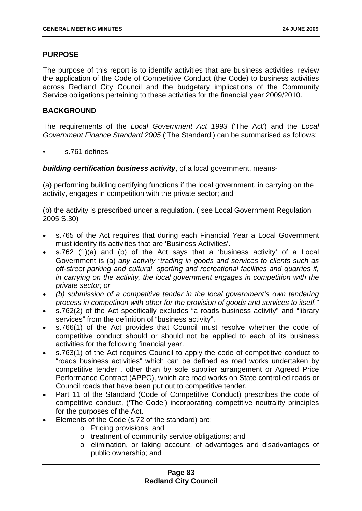## **PURPOSE**

The purpose of this report is to identify activities that are business activities, review the application of the Code of Competitive Conduct (the Code) to business activities across Redland City Council and the budgetary implications of the Community Service obligations pertaining to these activities for the financial year 2009/2010.

## **BACKGROUND**

The requirements of the *Local Government Act 1993* ('The Act') and the *Local Government Finance Standard 2005* ('The Standard') can be summarised as follows:

• s.761 defines

*building certification business activity*, of a local government, means-

(a) performing building certifying functions if the local government, in carrying on the activity, engages in competition with the private sector; and

(b) the activity is prescribed under a regulation. ( see Local Government Regulation 2005 S.30)

- s.765 of the Act requires that during each Financial Year a Local Government must identify its activities that are 'Business Activities'.
- s.762 (1)(a) and (b) of the Act says that a 'business activity' of a Local Government is (a) *any activity "trading in goods and services to clients such as off-street parking and cultural, sporting and recreational facilities and quarries if, in carrying on the activity, the local government engages in competition with the private sector; or*
- *(b) submission of a competitive tender in the local government's own tendering process in competition with other for the provision of goods and services to itself."*
- s.762(2) of the Act specifically excludes "a roads business activity" and "library services" from the definition of "business activity".
- s.766(1) of the Act provides that Council must resolve whether the code of competitive conduct should or should not be applied to each of its business activities for the following financial year.
- s.763(1) of the Act requires Council to apply the code of competitive conduct to "roads business activities" which can be defined as road works undertaken by competitive tender , other than by sole supplier arrangement or Agreed Price Performance Contract (APPC), which are road works on State controlled roads or Council roads that have been put out to competitive tender.
- Part 11 of the Standard (Code of Competitive Conduct) prescribes the code of competitive conduct, ('The Code') incorporating competitive neutrality principles for the purposes of the Act.
- Elements of the Code (s.72 of the standard) are:
	- o Pricing provisions; and
	- o treatment of community service obligations; and
	- o elimination, or taking account, of advantages and disadvantages of public ownership; and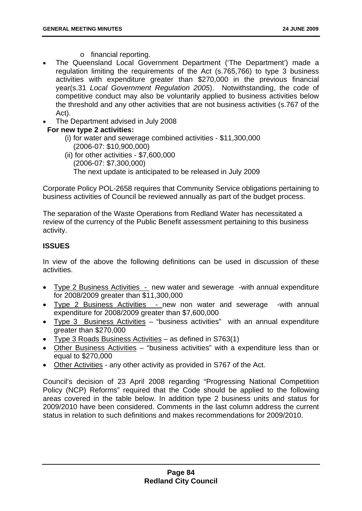- o financial reporting.
- The Queensland Local Government Department ('The Department') made a regulation limiting the requirements of the Act (s.765,766) to type 3 business activities with expenditure greater than \$270,000 in the previous financial year(s.31 *Local Government Regulation 2005*). Notwithstanding, the code of competitive conduct may also be voluntarily applied to business activities below the threshold and any other activities that are not business activities (s.767 of the Act).
- The Department advised in July 2008

# **For new type 2 activities:**

- (i) for water and sewerage combined activities \$11,300,000 (2006-07: \$10,900,000)
- (ii) for other activities \$7,600,000 (2006-07: \$7,300,000) The next update is anticipated to be released in July 2009

Corporate Policy POL-2658 requires that Community Service obligations pertaining to business activities of Council be reviewed annually as part of the budget process.

The separation of the Waste Operations from Redland Water has necessitated a review of the currency of the Public Benefit assessment pertaining to this business activity.

# **ISSUES**

In view of the above the following definitions can be used in discussion of these activities.

- Type 2 Business Activities new water and sewerage -with annual expenditure for 2008/2009 greater than \$11,300,000
- Type 2 Business Activities new non water and sewerage -with annual expenditure for 2008/2009 greater than \$7,600,000
- Type 3 Business Activities "business activities" with an annual expenditure greater than \$270,000
- Type 3 Roads Business Activities as defined in S763(1)
- Other Business Activities "business activities" with a expenditure less than or equal to \$270,000
- Other Activities any other activity as provided in S767 of the Act.

Council's decision of 23 April 2008 regarding "Progressing National Competition Policy (NCP) Reforms" required that the Code should be applied to the following areas covered in the table below. In addition type 2 business units and status for 2009/2010 have been considered. Comments in the last column address the current status in relation to such definitions and makes recommendations for 2009/2010.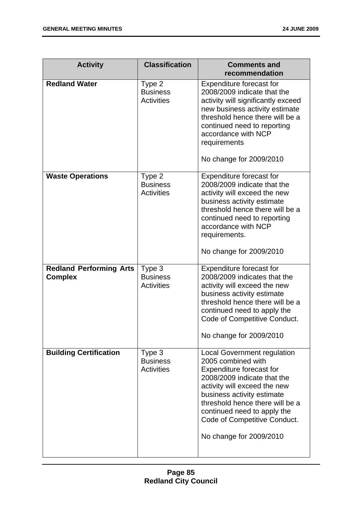| <b>Activity</b>                                  | <b>Classification</b>                          | <b>Comments and</b><br>recommendation                                                                                                                                                                                                                                                                          |
|--------------------------------------------------|------------------------------------------------|----------------------------------------------------------------------------------------------------------------------------------------------------------------------------------------------------------------------------------------------------------------------------------------------------------------|
| <b>Redland Water</b>                             | Type 2<br><b>Business</b><br><b>Activities</b> | <b>Expenditure forecast for</b><br>2008/2009 indicate that the<br>activity will significantly exceed<br>new business activity estimate<br>threshold hence there will be a<br>continued need to reporting<br>accordance with NCP<br>requirements<br>No change for 2009/2010                                     |
| <b>Waste Operations</b>                          | Type 2<br><b>Business</b><br><b>Activities</b> | <b>Expenditure forecast for</b><br>2008/2009 indicate that the<br>activity will exceed the new<br>business activity estimate<br>threshold hence there will be a<br>continued need to reporting<br>accordance with NCP<br>requirements.<br>No change for 2009/2010                                              |
| <b>Redland Performing Arts</b><br><b>Complex</b> | Type 3<br><b>Business</b><br><b>Activities</b> | Expenditure forecast for<br>2008/2009 indicates that the<br>activity will exceed the new<br>business activity estimate<br>threshold hence there will be a<br>continued need to apply the<br>Code of Competitive Conduct.<br>No change for 2009/2010                                                            |
| <b>Building Certification</b>                    | Type 3<br><b>Business</b><br><b>Activities</b> | <b>Local Government regulation</b><br>2005 combined with<br>Expenditure forecast for<br>2008/2009 indicate that the<br>activity will exceed the new<br>business activity estimate<br>threshold hence there will be a<br>continued need to apply the<br>Code of Competitive Conduct.<br>No change for 2009/2010 |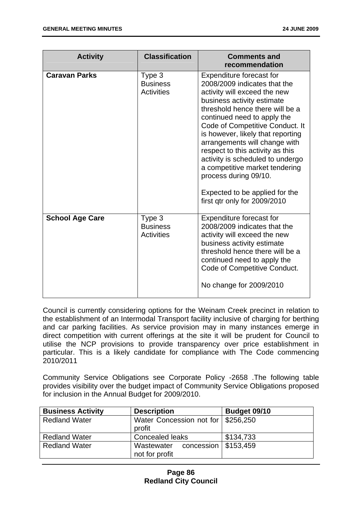| <b>Activity</b>        | <b>Classification</b>                          | <b>Comments and</b><br>recommendation                                                                                                                                                                                                                                                                                                                                                                                                                                                                  |
|------------------------|------------------------------------------------|--------------------------------------------------------------------------------------------------------------------------------------------------------------------------------------------------------------------------------------------------------------------------------------------------------------------------------------------------------------------------------------------------------------------------------------------------------------------------------------------------------|
| <b>Caravan Parks</b>   | Type 3<br><b>Business</b><br><b>Activities</b> | Expenditure forecast for<br>2008/2009 indicates that the<br>activity will exceed the new<br>business activity estimate<br>threshold hence there will be a<br>continued need to apply the<br>Code of Competitive Conduct. It<br>is however, likely that reporting<br>arrangements will change with<br>respect to this activity as this<br>activity is scheduled to undergo<br>a competitive market tendering<br>process during 09/10.<br>Expected to be applied for the<br>first qtr only for 2009/2010 |
| <b>School Age Care</b> | Type 3<br><b>Business</b><br><b>Activities</b> | Expenditure forecast for<br>2008/2009 indicates that the<br>activity will exceed the new<br>business activity estimate<br>threshold hence there will be a<br>continued need to apply the<br>Code of Competitive Conduct.<br>No change for 2009/2010                                                                                                                                                                                                                                                    |

Council is currently considering options for the Weinam Creek precinct in relation to the establishment of an Intermodal Transport facility inclusive of charging for berthing and car parking facilities. As service provision may in many instances emerge in direct competition with current offerings at the site it will be prudent for Council to utilise the NCP provisions to provide transparency over price establishment in particular. This is a likely candidate for compliance with The Code commencing 2010/2011

Community Service Obligations see Corporate Policy -2658 .The following table provides visibility over the budget impact of Community Service Obligations proposed for inclusion in the Annual Budget for 2009/2010.

| <b>Business Activity</b> | <b>Description</b>                                      | Budget 09/10 |
|--------------------------|---------------------------------------------------------|--------------|
| <b>Redland Water</b>     | Water Concession not for   \$256,250<br>profit          |              |
| <b>Redland Water</b>     | Concealed leaks                                         | \$134,733    |
| <b>Redland Water</b>     | concession $  $153,459$<br>Wastewater<br>not for profit |              |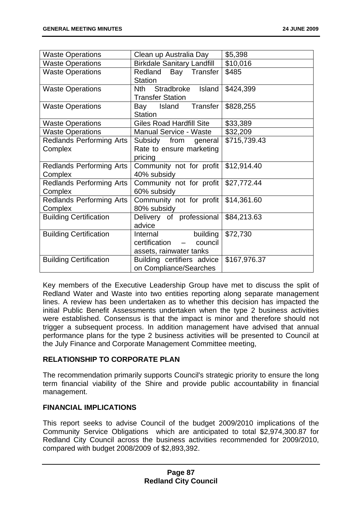| <b>Waste Operations</b>                    | Clean up Australia Day                                                      | \$5,398      |
|--------------------------------------------|-----------------------------------------------------------------------------|--------------|
| <b>Waste Operations</b>                    | <b>Birkdale Sanitary Landfill</b>                                           | \$10,016     |
| <b>Waste Operations</b>                    | Redland Bay Transfer<br><b>Station</b>                                      | \$485        |
| <b>Waste Operations</b>                    | Stradbroke<br>Island<br>Nth.<br><b>Transfer Station</b>                     | \$424,399    |
| <b>Waste Operations</b>                    | Transfer<br>Island<br>Bay<br><b>Station</b>                                 | \$828,255    |
| <b>Waste Operations</b>                    | <b>Giles Road Hardfill Site</b>                                             | \$33,389     |
| <b>Waste Operations</b>                    | <b>Manual Service - Waste</b>                                               | \$32,209     |
| <b>Redlands Performing Arts</b><br>Complex | Subsidy from general<br>Rate to ensure marketing<br>pricing                 | \$715,739.43 |
| <b>Redlands Performing Arts</b><br>Complex | Community not for profit<br>40% subsidy                                     | \$12,914.40  |
| <b>Redlands Performing Arts</b><br>Complex | Community not for profit<br>60% subsidy                                     | \$27,772.44  |
| <b>Redlands Performing Arts</b><br>Complex | Community not for profit<br>80% subsidy                                     | \$14,361.60  |
| <b>Building Certification</b>              | Delivery of professional<br>advice                                          | \$84,213.63  |
| <b>Building Certification</b>              | building<br>Internal<br>certification<br>council<br>assets, rainwater tanks | \$72,730     |
| <b>Building Certification</b>              | Building certifiers advice<br>on Compliance/Searches                        | \$167,976.37 |

Key members of the Executive Leadership Group have met to discuss the split of Redland Water and Waste into two entities reporting along separate management lines. A review has been undertaken as to whether this decision has impacted the initial Public Benefit Assessments undertaken when the type 2 business activities were established. Consensus is that the impact is minor and therefore should not the July Finance and Corporate Management Committee meeting, trigger a subsequent process. In addition management have advised that annual performance plans for the type 2 business activities will be presented to Council at

# **RELATIONSHIP TO CORPORATE PLAN**

The recommendation primarily supports Council's strategic priority to ensure the long term financial viability of the Shire and provide public accountability in financial management.

### **FINANCIAL IMPLICATIONS**

This report seeks to advise Council of the budget 2009/2010 implications of the Community Service Obligations which are anticipated to total \$2,974,300.87 for Redland City Council across the business activities recommended for 2009/2010, compared with budget 2008/2009 of \$2,893,392.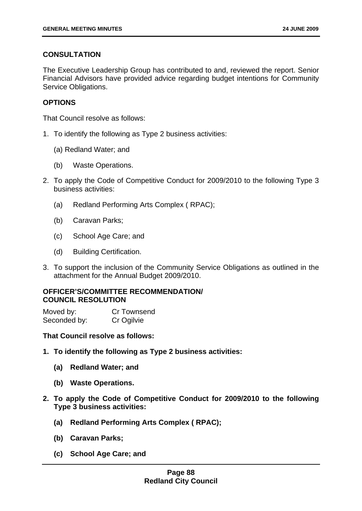# **CONSULTATION**

The Executive Leadership Group has contributed to and, reviewed the report. Senior Financial Advisors have provided advice regarding budget intentions for Community Service Obligations.

# **OPTIONS**

That Council resolve as follows:

- 1. To identify the following as Type 2 business activities:
	- (a) Redland Water; and
	- (b) Waste Operations.
- 2. To apply the Code of Competitive Conduct for 2009/2010 to the following Type 3 business activities:
	- (a) Redland Performing Arts Complex (RPAC);
	- (b) Caravan Parks;
	- (c) School Age Care; and
	- (d) Building Certification.
- 3. To support the inclusion of the Community Service Obligations as outlined in the attachment for the Annual Budget 2009/2010.

# **COUNCIL RESOLUTION OFFICER'S/COMMITTEE RECOMMENDATION/**

Moved by: Cr Townsend Seconded by: Cr Ogilvie

### **That Council resolve as follows:**

- 1. To identify the following as Type 2 business activities:
	- **(a) Redland Water; and**
	- **(b) Waste Operations.**
- 2. To apply the Code of Competitive Conduct for 2009/2010 to the following **Type 3 business activities:** 
	- **(a) Redland Performing Arts Complex ( RPAC);**
	- **(b) Caravan Parks;**
	- **(c) School Age Care; and**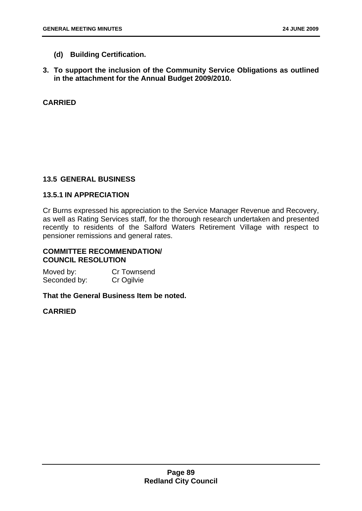- **ilding Certification. (d) Bu**
- **3. To support the inclusion of the Community Service Obligations as outlined in the attachment for the Annual Budget 2009/2010.**

# **CARRIED**

# **13.5 GENERAL BUSINESS**

# **13.5.1 IN APPRECIATION**

Cr Burns expressed his appreciation to the Service Manager Revenue and Recovery, recently to residents of the Salford Waters Retirement Village with respect to pensioner remissions and general rates. as well as Rating Services staff, for the thorough research undertaken and presented

# **COMMITTEE RECOMMENDATION/ COUNCIL RESOLUTION**

**Cr Townsend** Seconded by: Cr Ogilvie Moved by:

**That the General Business Item be noted.**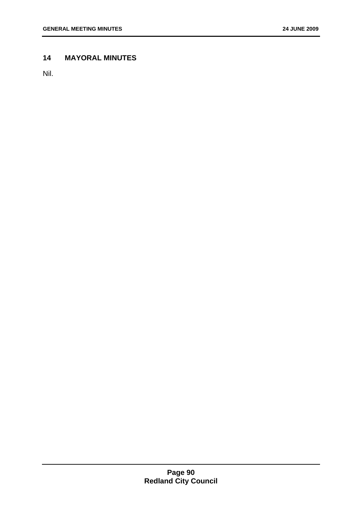# **ORAL MINUTES 14 MAY**

Nil.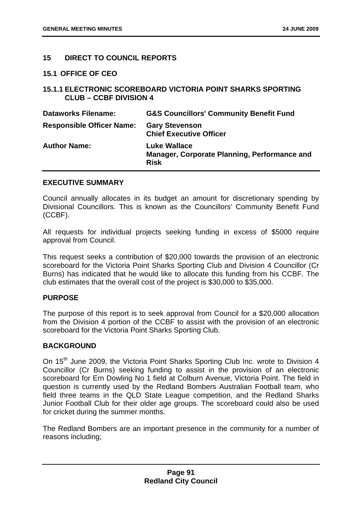## **15 DIRECT TO COUNCIL REPORTS**

#### **OFFICE OF CEO 15.1**

# **5.1.1 ELECTRONIC SCOREBOARD VICTORIA POINT SHARKS SPORTING 1 CLUB – CCBF DIVISION 4**

| <b>Dataworks Filename:</b>       | <b>G&amp;S Councillors' Community Benefit Fund</b>                                 |
|----------------------------------|------------------------------------------------------------------------------------|
| <b>Responsible Officer Name:</b> | <b>Gary Stevenson</b><br><b>Chief Executive Officer</b>                            |
| <b>Author Name:</b>              | <b>Luke Wallace</b><br>Manager, Corporate Planning, Performance and<br><b>Risk</b> |

#### **EXECUTIVE SUMMARY**

Council annually allocates in its budget an amount for discretionary spending by Divisional Councillors. This is known as the Councillors' Community Benefit Fund (CCBF).

All requests for individual projects seeking funding in excess of \$5000 require approval from Council.

This request seeks a contribution of \$20,000 towards the provision of an electronic scoreboard for the Victoria Point Sharks Sporting Club and Division 4 Councillor (Cr Burns) has indicated that he would like to allocate this funding from his CCBF. The club estimates that the overall cost of the project is \$30,000 to \$35,000.

### **PURPOSE**

The purpose of this report is to seek approval from Council for a \$20,000 allocation from the Division 4 portion of the CCBF to assist with the provision of an electronic scoreboard for the Victoria Point Sharks Sporting Club.

### **BACKGROUND**

On 15<sup>th</sup> June 2009, the Victoria Point Sharks Sporting Club Inc. wrote to Division 4 Councillor (Cr Burns) seeking funding to assist in the provision of an electronic scoreboard for Ern Dowling No 1 field at Colburn Avenue, Victoria Point. The field in question is currently used by the Redland Bombers Australian Football team, who field three teams in the QLD State League competition, and the Redland Sharks Junior Football Club for their older age groups. The scoreboard could also be used for cricket during the summer months.

The Redland Bombers are an important presence in the community for a number of reasons including;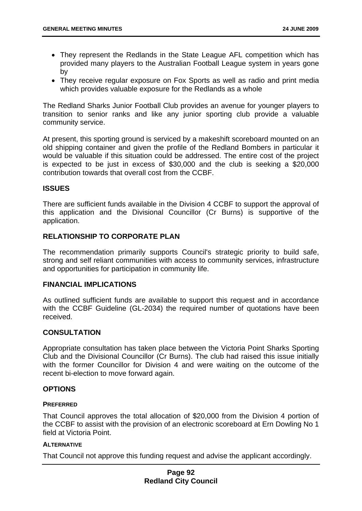- They represent the Redlands in the State League AFL competition which has provided many players to the Australian Football League system in years gone by
- They receive regular exposure on Fox Sports as well as radio and print media which provides valuable exposure for the Redlands as a whole

The Redland Sharks Junior Football Club provides an avenue for younger players to transition to senior ranks and like any junior sporting club provide a valuable community service.

At present, this sporting ground is serviced by a makeshift scoreboard mounted on an old shipping container and given the profile of the Redland Bombers in particular it would be valuable if this situation could be addressed. The entire cost of the project is expected to be just in excess of  $$30,000$  and the club is seeking a  $$20,000$ contribution towards that overall cost from the CCBF.

# **ISSUES**

application. There are sufficient funds available in the Division 4 CCBF to support the approval of this application and the Divisional Councillor (Cr Burns) is supportive of the

# **RELATIONSHIP TO CORPORATE PLAN**

The recommendation primarily supports Council's strategic priority to build safe, strong and self reliant communities with access to community services, infrastructure and opportunities for participation in community life.

### **FINANCIAL IMPLICATIONS**

As outlined sufficient funds are available to support this request and in accordance with the CCBF Guideline (GL-2034) the required number of quotations have been received.

# **CONSULTATION**

Appropriate consultation has taken place between the Victoria Point Sharks Sporting Club and the Divisional Councillor (Cr Burns). The club had raised this issue initially with the former Councillor for Division 4 and were waiting on the outcome of the recent bi-election to move forward again.

### **OPTIONS**

### **PREFERRED**

That Council approves the total allocation of \$20,000 from the Division 4 portion of the CCBF to assist with the provision of an electronic scoreboard at Ern Dowling No 1 field at Victoria Point.

### **ALTERNATIVE**

That Council not approve this funding request and advise the applicant accordingly.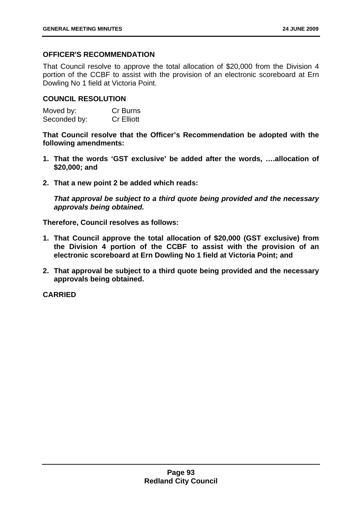# **OFFICER'S RECOMMENDATION**

That Council resolve to approve the total allocation of \$20,000 from the Division 4 portion of the CCBF to assist with the provision of an electronic scoreboard at Ern Dowling No 1 field at Victoria Point.

# **OUNCIL RESOLUTION C**

| Moved by:    | Cr Burns          |
|--------------|-------------------|
| Seconded by: | <b>Cr Elliott</b> |

**That Council resolve that the Officer's Recommendation be adopted with the following amendments:** 

- **1. That the words 'GST exclusive' be added after the words, ….allocation of \$20,000; and**
- **point 2 be added which reads: 2. That a new**

*That approval be subject to a third quote being provided and the necessary approvals being obtained.* 

**ouncil resolves as follows: Therefore, C**

- 1. That Council approve the total allocation of \$20,000 (GST exclusive) from **the Division 4 portion of the CCBF to assist with the provision of an electronic scoreboard at Ern Dowling No 1 field at Victoria Point; and**
- 2. That approval be subject to a third quote being provided and the necessary **. approvals being obtained**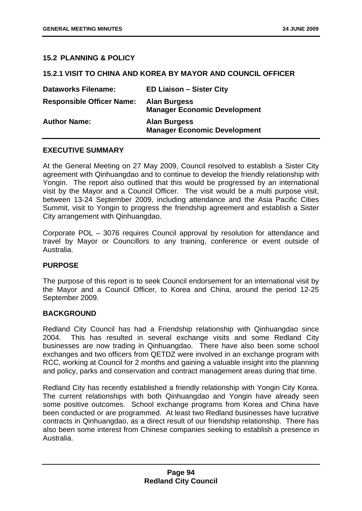## **15.2 PLANNING & POLICY**

### **15.2.1 VISIT TO CHINA AND KOREA BY MAYOR AND COUNCIL OFFICER**

| <b>Dataworks Filename:</b>       | <b>ED Liaison - Sister City</b>                            |
|----------------------------------|------------------------------------------------------------|
| <b>Responsible Officer Name:</b> | <b>Alan Burgess</b><br><b>Manager Economic Development</b> |
| <b>Author Name:</b>              | <b>Alan Burgess</b><br><b>Manager Economic Development</b> |

# **EXECUTIVE SUMMARY**

At the General Meeting on 27 May 2009, Council resolved to establish a Sister City agreement with Qinhuangdao and to continue to develop the friendly relationship with Yongin. The report also outlined that this would be progressed by an international visit by the Mayor and a Council Officer. The visit would be a multi purpose visit, bet ween 13-24 September 2009, including attendance and the Asia Pacific Cities Summit, visit to Yongin to progress the friendship agreement and establish a Sister City arrangement with Qinhuangdao.

Corporate POL – 3076 requires Council approval by resolution for attendance and travel by Mayor or Councillors to any training, conference or event outside of Australia.

### **PURPOSE**

The purpose of this report is to seek Council endorsement for an international visit by the Mayor and a Council Officer, to Korea and China, around the period 12-25 September 2009.

### **BACKGROUND**

Redland City Council has had a Friendship relationship with Qinhuangdao since 2004. This has resulted in several exchange visits and some Redland City businesses are now trading in Qinhuangdao. There have also been some school exchanges and two officers from QETDZ were involved in an exchange program with RCC, working at Council for 2 months and gaining a valuable insight into the planning and policy, parks and conservation and contract management areas during that time.

Redland City has recently established a friendly relationship with Yongin City Korea. The current relationships with both Qinhuangdao and Yongin have already seen some positive outcomes. School exchange programs from Korea and China have been conducted or are programmed. At least two Redland businesses have lucrative contracts in Qinhuangdao, as a direct result of our friendship relationship. There has also been some interest from Chinese companies seeking to establish a presence in Australia.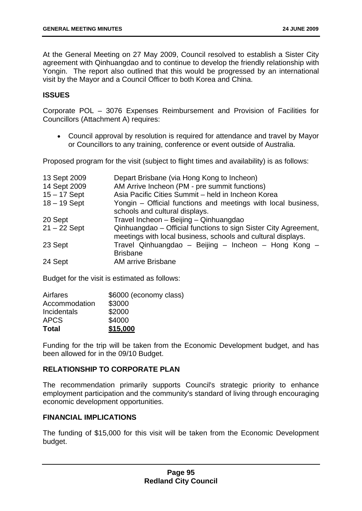At the General Meeting on 27 May 2009, Council resolved to establish a Sister City agreement with Qinhuangdao and to continue to develop the friendly relationship with Yongin. The report also outlined that this would be progressed by an international visit by the Mayor and a Council Officer to both Korea and China.

# **ISSUES**

Corporate POL - 3076 Expenses Reimbursement and Provision of Facilities for Councillors (Attachment A) requires:

• Council approval by resolution is required for attendance and travel by Mayor or Councillors to any training, conference or event outside of Australia.

Proposed program for the visit (subject to flight times and availability) is as follows:

| 13 Sept 2009   | Depart Brisbane (via Hong Kong to Incheon)                                                                                      |
|----------------|---------------------------------------------------------------------------------------------------------------------------------|
| 14 Sept 2009   | AM Arrive Incheon (PM - pre summit functions)                                                                                   |
| $15 - 17$ Sept | Asia Pacific Cities Summit - held in Incheon Korea                                                                              |
| $18 - 19$ Sept | Yongin – Official functions and meetings with local business,<br>schools and cultural displays.                                 |
| 20 Sept        | Travel Incheon - Beijing - Qinhuangdao                                                                                          |
| $21 - 22$ Sept | Qinhuangdao - Official functions to sign Sister City Agreement,<br>meetings with local business, schools and cultural displays. |
| 23 Sept        | Travel Qinhuangdao - Beijing - Incheon - Hong Kong -<br><b>Brisbane</b>                                                         |
| 24 Sept        | <b>AM arrive Brisbane</b>                                                                                                       |

Budget for the visit is estimated as follows:

| \$6000 (economy class) |
|------------------------|
| \$3000                 |
| \$2000                 |
| \$4000                 |
| \$15,000               |
|                        |

Funding for the trip will be taken from the Economic Development budget, and has been allowed for in the 09/10 Budget.

# **RELATIONSHIP TO CORPORATE PLAN**

The recommendation primarily supports Council's strategic priority to enhance employment participation and the community's standard of living through encouraging economic development opportunities.

### **FINANCIAL IMPLICATIONS**

The funding of \$15,000 for this visit will be taken from the Economic Development budget.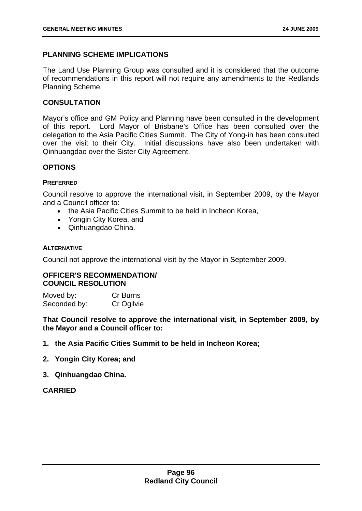## **PLANNING SCHEME IMPLICATIONS**

of recommendations in this report will not require any amendments to the Redlands Planning Scheme. The Land Use Planning Group was consulted and it is considered that the outcome

## **CONSULTATION**

Mayor's office and GM Policy and Planning have been consulted in the development of this report. Lord Mayor of Brisbane's Office has been consulted over the over the visit to their City. Initial discussions have also been undertaken with Qinhuangdao over the Sister City Agreement. delegation to the Asia Pacific Cities Summit. The City of Yong-in has been consulted

# **OPTIONS**

#### **PREFERRED**

Council resolve to approve the international visit, in September 2009, by the Mayor and a Council officer to:

- the Asia Pacific Cities Summit to be held in Incheon Korea.
- Yongin City Korea, and
- Qinhuangdao China.

#### **ALTERNATIVE**

Council not approve the international visit by the Mayor in September 2009.

### **OFFICER'S RECOMMENDATION/ COUNCIL RESOLUTION**

Moved by: Cr Burns Seconded by: Cr Ogilvie

That Council resolve to approve the international visit, in September 2009, by **or and a Council officer to: the May**

- **1. the Asia Pacific Cities Summit to be held in Incheon Korea;**
- **2. Yongin City Korea; and**
- **3. Qinhuangdao China.**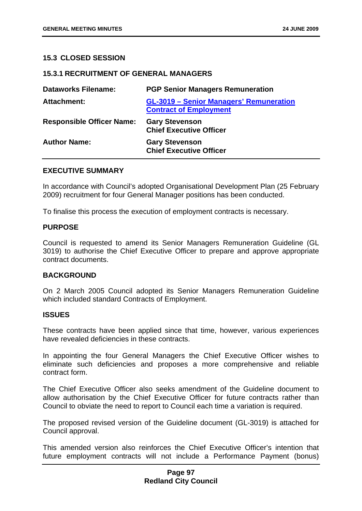#### **15.3 CLOSED SESSION**

#### **15.3.1 RECRUITMENT OF GENERAL MANAGERS**

| <b>Dataworks Filename:</b>       | <b>PGP Senior Managers Remuneration</b>                                         |
|----------------------------------|---------------------------------------------------------------------------------|
| <b>Attachment:</b>               | <b>GL-3019 - Senior Managers' Remuneration</b><br><b>Contract of Employment</b> |
| <b>Responsible Officer Name:</b> | <b>Gary Stevenson</b><br><b>Chief Executive Officer</b>                         |
| <b>Author Name:</b>              | <b>Gary Stevenson</b><br><b>Chief Executive Officer</b>                         |

#### **E SUMMARY EXECUTIV**

In accordance with Council's adopted Organisational Development Plan (25 February 2009) recruitment for four General Manager positions has been conducted.

To finalise this process the execution of employment contracts is necessary.

#### **PURPOSE**

Council is requested to amend its Senior Managers Remuneration Guideline (GL 3019) to authorise the Chief Executive Officer to prepare and approve appropriate contract documents.

# **BACKGROUND**

On 2 March 2005 Council adopted its Senior Managers Remuneration Guideline which included standard Contracts of Employment.

#### **ISSUES**

These contracts have been applied since that time, however, various experiences have revealed deficiencies in these contracts.

In appointing the four General Managers the Chief Executive Officer wishes to eliminate such deficiencies and proposes a more comprehensive and reliable contract form.

The Chief Executive Officer also seeks amendment of the Guideline document to allow authorisation by the Chief Executive Officer for future contracts rather than Council to obviate the need to report to Council each time a variation is required.

The proposed revised version of the Guideline document (GL-3019) is attached for Council approval.

This amended version also reinforces the Chief Executive Officer's intention that future employment contracts will not include a Performance Payment (bonus)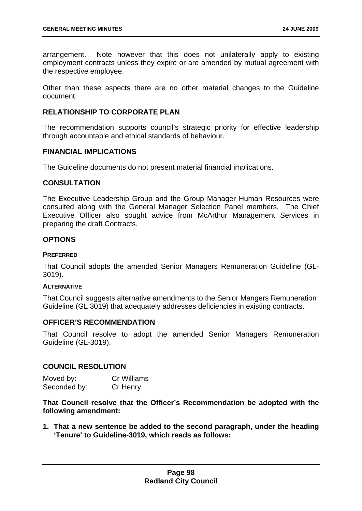Note however that this does not unilaterally apply to existing employment contracts unless they expire or are amended by mutual agreement with arrangement. the respective employee.

Other than these aspects there are no other material changes to the Guideline document.

### **RELATIONSHIP TO CORPORA TE PLAN**

The recommendation supports council's strategic priority for effective leadership through accountable and ethical standards of behaviour.

### **FINANCIAL IMPLICATIONS**

The Guideline documents do not present material financial implications.

# **CONSULTATION**

The Executive Leadership Group and the Group Manager Human Resources were consulted along with the General Manager Selection Panel members. The Chief Executive Officer also sought advice from McArthur Management Services in preparing the draft Contracts.

### **OPTIONS**

#### **PREFERRED**

That Council adopts the amended Senior Managers Remuneration Guideline (GL-3019).

#### **ALTERNATIVE**

That Council suggests alternative amendments to the Senior Mangers Remuneration Guideline (GL 3019) that adequately addresses deficiencies in existing contracts.

## **OFFICER'S RECOMMENDATION**

That Council resolve to adopt the amended Senior Managers Remuneration Guideline (GL-3019).

### **COUNCIL RESOLUTION**

| Moved by:    | <b>Cr Williams</b> |
|--------------|--------------------|
| Seconded by: | Cr Henry           |

**That Council resolve that the Officer's Recommendation be adopted with the following amendment:** 

'Tenure' to Guideline-3019, which reads as follows: **1. That a new sentence be added to the second paragraph, under the heading**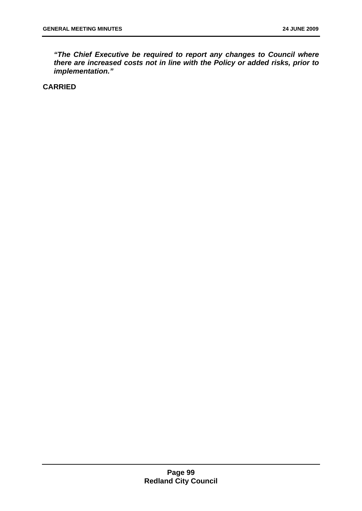*"The Chief Executive be required to report any changes to Council where there are increased costs not in line with the Policy or added risks, prior to implementation."*